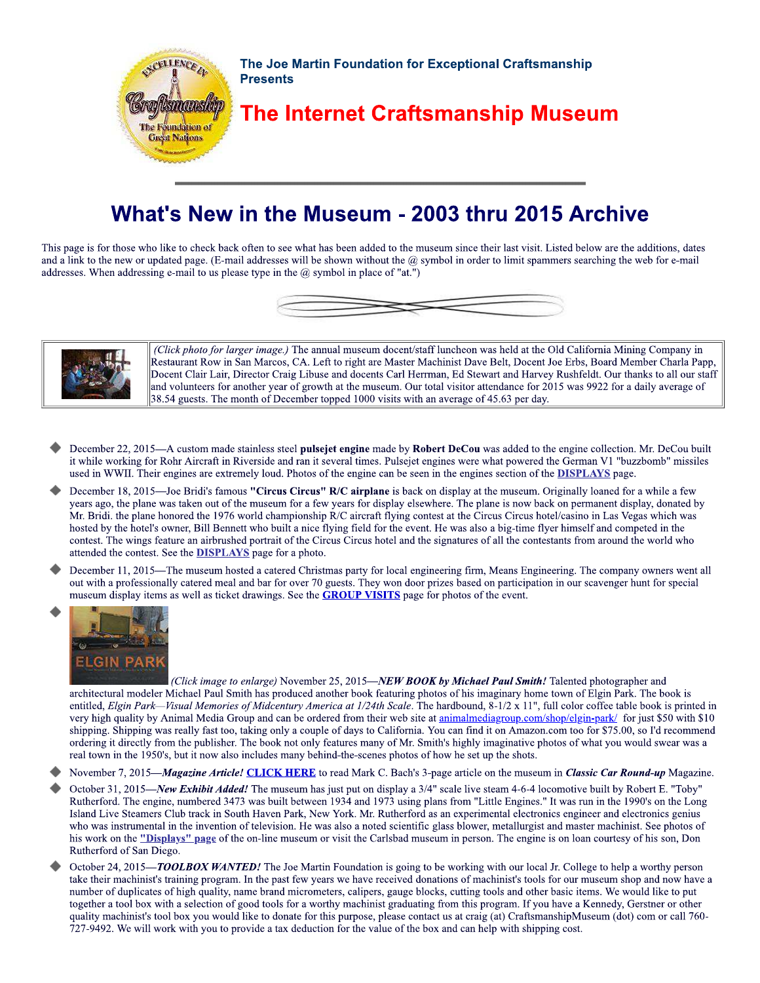

## What's New in the Museum - 2003 thru 2015 Archive

This page is for those who like to check back often to see what has been added to the museum since their last visit. Listed below are the additions, dates and a link to the new or updated page. (E-mail addresses will be shown without the  $@$  symbol in order to limit spammers searching the web for e-mail addresses. When addressing e-mail to us please type in the  $(a)$  symbol in place of "at.")





(Click photo for larger image.) The annual museum docent/staff luncheon was held at the Old California Mining Company in Restaurant Row in San Marcos, CA. Left to right are Master Machinist Dave Belt, Docent Joe Erbs, Board Member Charla Papp, Docent Clair Lair, Director Craig Libuse and docents Carl Herrman, Ed Stewart and Harvey Rushfeldt. Our thanks to all our staff and volunteers for another year of growth at the museum. Our total visitor attendance for 2015 was 9922 for a daily average of 38.54 guests. The month of December topped 1000 visits with an average of 45.63 per day.

- December 22, 2015—A custom made stainless steel pulsejet engine made by Robert DeCou was added to the engine collection. Mr. DeCou built it while working for Rohr Aircraft in Riverside and ran it several times. Pulsejet engines were what powered the German V1 "buzzbomb" missiles used in WWII. Their engines are extremely loud. Photos of the engine can be seen in the engines section of the DISPLAYS page.
- December 18, 2015—Joe Bridi's famous "Circus Circus" R/C airplane is back on display at the museum. Originally loaned for a while a few years ago, the plane was taken out of the museum for a few years for display elsewhere. The plane is now back on permanent display, donated by Mr. Bridi, the plane honored the 1976 world championship R/C aircraft flying contest at the Circus Circus hotel/casino in Las Vegas which was hosted by the hotel's owner. Bill Bennett who built a nice flying field for the event. He was also a big-time flyer himself and competed in the contest. The wings feature an airbrushed portrait of the Circus Circus hotel and the signatures of all the contestants from around the world who attended the contest. See the **DISPLAYS** page for a photo.
- December 11, 2015—The museum hosted a catered Christmas party for local engineering firm, Means Engineering. The company owners went all out with a professionally catered meal and bar for over 70 guests. They won door prizes based on participation in our scavenger hunt for special museum display items as well as ticket drawings. See the **GROUP VISITS** page for photos of the event.



(Click image to enlarge) November 25, 2015-NEW BOOK by Michael Paul Smith! Talented photographer and architectural modeler Michael Paul Smith has produced another book featuring photos of his imaginary home town of Elgin Park. The book is entitled, *Elgin Park—Visual Memories of Midcentury America at 1/24th Scale*. The hardbound, 8-1/2 x 11", full color coffee table book is printed in very high quality by Animal Media Group and can be ordered from their web site at animalmediagroup.com/shop/elgin-park/ for just \$50 with \$10 shipping. Shipping was really fast too, taking only a couple of days to California. You can find it on Amazon.com too for \$75.00, so I'd recommend ordering it directly from the publisher. The book not only features many of Mr. Smith's highly imaginative photos of what you would swear was a real town in the 1950's, but it now also includes many behind-the-scenes photos of how he set up the shots.

November 7, 2015—Magazine Article! CLICK HERE to read Mark C. Bach's 3-page article on the museum in Classic Car Round-up Magazine.

- October 31, 2015—New Exhibit Added! The museum has just put on display a 3/4" scale live steam 4-6-4 locomotive built by Robert E. "Toby" Rutherford. The engine, numbered 3473 was built between 1934 and 1973 using plans from "Little Engines." It was run in the 1990's on the Long Island Live Steamers Club track in South Haven Park, New York. Mr. Rutherford as an experimental electronics engineer and electronics genius who was instrumental in the invention of television. He was also a noted scientific glass blower, metallurgist and master machinist. See photos of his work on the "Displays" page of the on-line museum or visit the Carlsbad museum in person. The engine is on loan courtesy of his son, Don Rutherford of San Diego.
- October 24, 2015—TOOLBOX WANTED! The Joe Martin Foundation is going to be working with our local Jr. College to help a worthy person take their machinist's training program. In the past few years we have received donations of machinist's tools for our museum shop and now have a number of duplicates of high quality, name brand micrometers, calipers, gauge blocks, cutting tools and other basic items. We would like to put together a tool box with a selection of good tools for a worthy machinist graduating from this program. If you have a Kennedy, Gerstner or other quality machinist's tool box you would like to donate for this purpose, please contact us at craig (at) CraftsmanshipMuseum (dot) com or call 760-727-9492. We will work with you to provide a tax deduction for the value of the box and can help with shipping cost.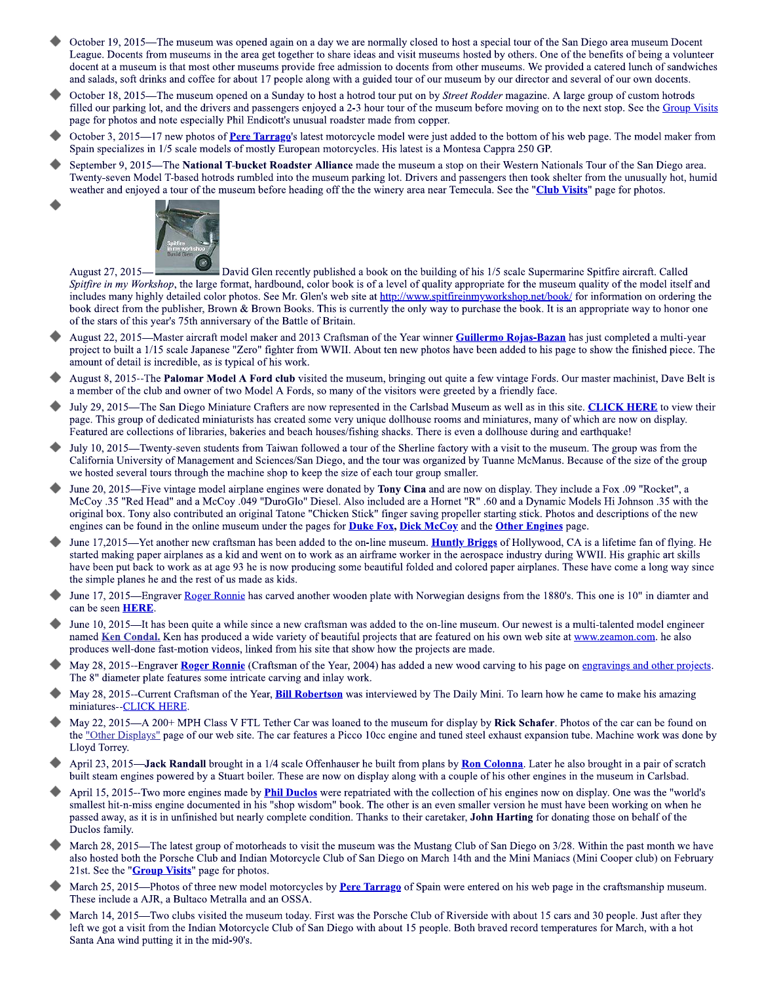- October 19, 2015—The museum was opened again on a day we are normally closed to host a special tour of the San Diego area museum Docent League. Docents from museums in the area get together to share ideas and visit museums hosted by others. One of the benefits of being a volunteer docent at a museum is that most other museums provide free admission to docents from other museums. We provided a catered lunch of sandwiches and salads, soft drinks and coffee for about 17 people along with a guided tour of our museum by our director and several of our own docents.
- October 18, 2015—The museum opened on a Sunday to host a hotrod tour put on by *Street Rodder* magazine. A large group of custom hotrods filled our parking lot, and the drivers and passengers enjoyed a 2-3 hour tour of the museum before moving on to the next stop. See the Group Visits page for photos and note especially Phil Endicott's unusual roadster made from copper.
- October 3, 2015—17 new photos of Pere Tarragg's latest motorcycle model were just added to the bottom of his web page. The model maker from Spain specializes in 1/5 scale models of mostly European motorcycles. His latest is a Montesa Cappra 250 GP.
- September 9, 2015—The National T-bucket Roadster Alliance made the museum a stop on their Western Nationals Tour of the San Diego area. Twenty-seven Model T-based hotrods rumbled into the museum parking lot. Drivers and passengers then took shelter from the unusually hot, humid weather and enjoyed a tour of the museum before heading off the the winery area near Temecula. See the "Club Visits" page for photos.



August 27, 2015-

David Glen recently published a book on the building of his 1/5 scale Supermarine Spitfire aircraft. Called Spitfire in my Workshop, the large format, hardbound, color book is of a level of quality appropriate for the museum quality of the model itself and includes many highly detailed color photos. See Mr. Glen's web site at http://www.spitfireinmyworkshop.net/book/ for information on ordering the book direct from the publisher, Brown & Brown Books. This is currently the only way to purchase the book. It is an appropriate way to honor one of the stars of this year's 75th anniversary of the Battle of Britain.

- August 22, 2015—Master aircraft model maker and 2013 Craftsman of the Year winner Guillermo Rojas-Bazan has just completed a multi-year project to built a 1/15 scale Japanese "Zero" fighter from WWII. About ten new photos have been added to his page to show the finished piece. The amount of detail is incredible, as is typical of his work.
- August 8, 2015--The Palomar Model A Ford club visited the museum, bringing out quite a few vintage Fords. Our master machinist, Dave Belt is a member of the club and owner of two Model A Fords, so many of the visitors were greeted by a friendly face.
- July 29, 2015—The San Diego Miniature Crafters are now represented in the Carlsbad Museum as well as in this site. CLICK HERE to view their page. This group of dedicated miniaturists has created some very unique dollhouse rooms and miniatures, many of which are now on display. Featured are collections of libraries, bakeries and beach houses/fishing shacks. There is even a dollhouse during and earthquake!
- July 10, 2015—Twenty-seven students from Taiwan followed a tour of the Sherline factory with a visit to the museum. The group was from the California University of Management and Sciences/San Diego, and the tour was organized by Tuanne McManus. Because of the size of the group we hosted several tours through the machine shop to keep the size of each tour group smaller.
- June 20, 2015—Five vintage model airplane engines were donated by Tony Cina and are now on display. They include a Fox .09 "Rocket", a McCoy .35 "Red Head" and a McCoy .049 "DuroGlo" Diesel. Also included are a Hornet "R" .60 and a Dynamic Models Hi Johnson .35 with the original box. Tony also contributed an original Tatone "Chicken Stick" finger saving propeller starting stick. Photos and descriptions of the new engines can be found in the online museum under the pages for **Duke Fox, Dick McCoy** and the **Other Engines** page.
- June 17,2015—Yet another new craftsman has been added to the on-line museum. **Huntly Briggs** of Hollywood, CA is a lifetime fan of flying. He started making paper airplanes as a kid and went on to work as an airframe worker in the aerospace industry during WWII. His graphic art skills have been put back to work as at age 93 he is now producing some beautiful folded and colored paper airplanes. These have come a long way since the simple planes he and the rest of us made as kids.
- June 17, 2015—Engraver Roger Ronnie has carved another wooden plate with Norwegian designs from the 1880's. This one is 10" in diamter and can be seen **HERE**.
- June 10, 2015—It has been quite a while since a new craftsman was added to the on-line museum. Our newest is a multi-talented model engineer named Ken Condal. Ken has produced a wide variety of beautiful projects that are featured on his own web site at www.zeamon.com. he also produces well-done fast-motion videos, linked from his site that show how the projects are made.
- May 28, 2015--Engraver Roger Ronnie (Craftsman of the Year, 2004) has added a new wood carving to his page on engravings and other projects. The 8" diameter plate features some intricate carving and inlay work.
- May 28, 2015--Current Craftsman of the Year, **Bill Robertson** was interviewed by The Daily Mini. To learn how he came to make his amazing miniatures--CLICK HERE.
- May 22, 2015-A 200+ MPH Class V FTL Tether Car was loaned to the museum for display by Rick Schafer. Photos of the car can be found on the "Other Displays" page of our web site. The car features a Picco 10cc engine and tuned steel exhaust expansion tube. Machine work was done by Lloyd Torrey.
- April 23, 2015—**Jack Randall** brought in a 1/4 scale Offenhauser he built from plans by Ron Colonna. Later he also brought in a pair of scratch built steam engines powered by a Stuart boiler. These are now on display along with a couple of his other engines in the museum in Carlsbad.
- April 15, 2015--Two more engines made by **Phil Duclos** were repatriated with the collection of his engines now on display. One was the "world's smallest hit-n-miss engine documented in his "shop wisdom" book. The other is an even smaller version he must have been working on when he passed away, as it is in unfinished but nearly complete condition. Thanks to their caretaker, John Harting for donating those on behalf of the Duclos family.
- March 28, 2015—The latest group of motorheads to visit the museum was the Mustang Club of San Diego on 3/28. Within the past month we have also hosted both the Porsche Club and Indian Motorcycle Club of San Diego on March 14th and the Mini Maniacs (Mini Cooper club) on February 21st. See the "**Group Visits**" page for photos.
- March 25, 2015—Photos of three new model motorcycles by Pere Tarrago of Spain were entered on his web page in the craftsmanship museum. These include a AJR, a Bultaco Metralla and an OSSA.
- March 14, 2015—Two clubs visited the museum today. First was the Porsche Club of Riverside with about 15 cars and 30 people. Just after they left we got a visit from the Indian Motorcycle Club of San Diego with about 15 people. Both braved record temperatures for March, with a hot Santa Ana wind putting it in the mid-90's.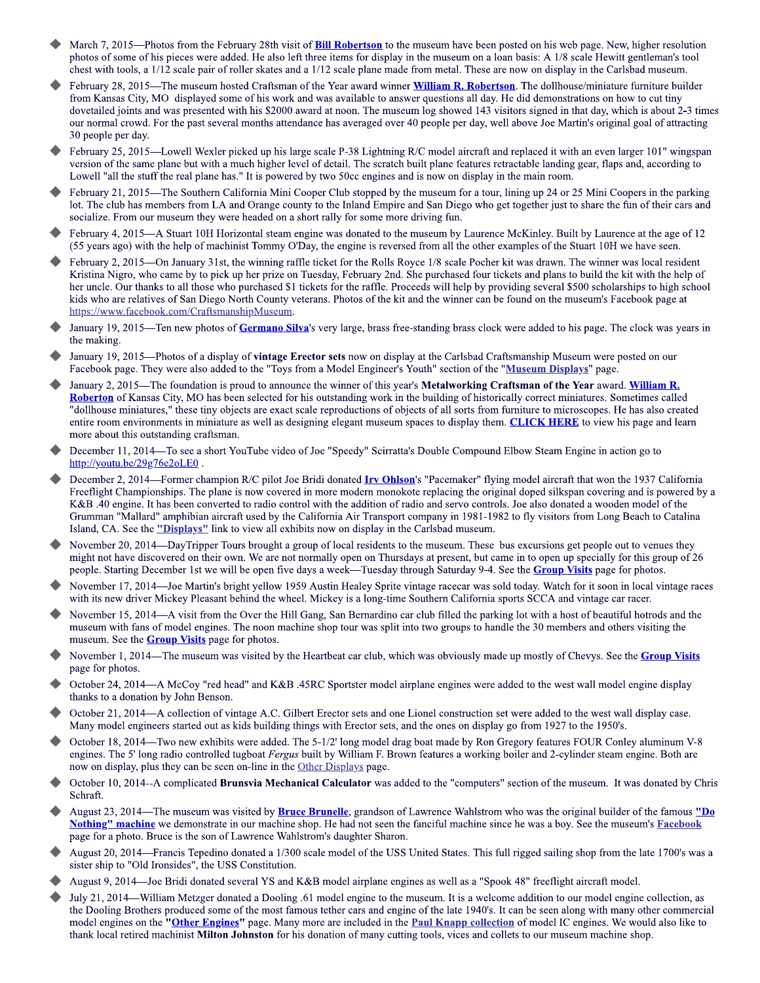- March 7, 2015—Photos from the February 28th visit of **Bill Robertson** to the museum have been posted on his web page. New, higher resolution photos of some of his pieces were added. He also left three items for display in the museum on a loan basis: A 1/8 scale Hewitt gentleman's tool chest with tools, a 1/12 scale pair of roller skates and a 1/12 scale plane made from metal. These are now on display in the Carlsbad museum.
- February 28, 2015—The museum hosted Craftsman of the Year award winner William R. Robertson. The dollhouse/miniature furniture builder from Kansas City, MO displayed some of his work and was available to answer questions all day. He did demonstrations on how to cut tiny dovetailed joints and was presented with his \$2000 award at noon. The museum log showed 143 visitors signed in that day, which is about 2-3 times our normal crowd. For the past several months attendance has averaged over 40 people per day, well above Joe Martin's original goal of attracting 30 people per day.
- February 25, 2015—Lowell Wexler picked up his large scale P-38 Lightning R/C model aircraft and replaced it with an even larger 101" wingspan version of the same plane but with a much higher level of detail. The scratch built plane features retractable landing gear, flaps and, according to Lowell "all the stuff the real plane has." It is powered by two 50cc engines and is now on display in the main room.
- February 21, 2015—The Southern California Mini Cooper Club stopped by the museum for a tour, lining up 24 or 25 Mini Coopers in the parking lot. The club has members from LA and Orange county to the Inland Empire and San Diego who get together just to share the fun of their cars and socialize. From our museum they were headed on a short rally for some more driving fun.
- February 4, 2015—A Stuart 10H Horizontal steam engine was donated to the museum by Laurence McKinley. Built by Laurence at the age of 12 (55 years ago) with the help of machinist Tommy O'Day, the engine is reversed from all the other examples of the Stuart 10H we have seen.
- February 2, 2015—On January 31st, the winning raffle ticket for the Rolls Royce 1/8 scale Pocher kit was drawn. The winner was local resident Kristina Nigro, who came by to pick up her prize on Tuesday, February 2nd. She purchased four tickets and plans to build the kit with the help of her uncle. Our thanks to all those who purchased \$1 tickets for the raffle. Proceeds will help by providing several \$500 scholarships to high school kids who are relatives of San Diego North County veterans. Photos of the kit and the winner can be found on the museum's Facebook page at https://www.facebook.com/CraftsmanshipMuseum.
- January 19, 2015—Ten new photos of Germano Silva's very large, brass free-standing brass clock were added to his page. The clock was years in the making.
- January 19, 2015—Photos of a display of vintage Erector sets now on display at the Carlsbad Craftsmanship Museum were posted on our Facebook page. They were also added to the "Toys from a Model Engineer's Youth" section of the "Museum Displays" page.
- January 2, 2015—The foundation is proud to announce the winner of this year's Metalworking Craftsman of the Year award. William R. Roberton of Kansas City, MO has been selected for his outstanding work in the building of historically correct miniatures. Sometimes called "dollhouse miniatures," these tiny objects are exact scale reproductions of objects of all sorts from furniture to microscopes. He has also created entire room environments in miniature as well as designing elegant museum spaces to display them. CLICK HERE to view his page and learn more about this outstanding craftsman.
- December 11, 2014—To see a short YouTube video of Joe "Speedy" Scirratta's Double Compound Elbow Steam Engine in action go to http://youtu.be/29g76e2oLE0.
- December 2, 2014—Former champion R/C pilot Joe Bridi donated *Irv Ohlson's* "Pacemaker" flying model aircraft that won the 1937 California Freeflight Championships. The plane is now covered in more modern monokote replacing the original doped silkspan covering and is powered by a K&B .40 engine. It has been converted to radio control with the addition of radio and servo controls. Joe also donated a wooden model of the Grumman "Mallard" amphibian aircraft used by the California Air Transport company in 1981-1982 to fly visitors from Long Beach to Catalina Island, CA. See the "Displays" link to view all exhibits now on display in the Carlsbad museum.
- November 20, 2014—DayTripper Tours brought a group of local residents to the museum. These bus excursions get people out to venues they might not have discovered on their own. We are not normally open on Thursdays at present, but came in to open up specially for this group of 26 people. Starting December 1st we will be open five days a week—Tuesday through Saturday 9-4. See the Group Visits page for photos.
- November 17, 2014—Joe Martin's bright yellow 1959 Austin Healey Sprite vintage racecar was sold today. Watch for it soon in local vintage races with its new driver Mickey Pleasant behind the wheel. Mickey is a long-time Southern California sports SCCA and vintage car racer.
- November 15, 2014—A visit from the Over the Hill Gang, San Bernardino car club filled the parking lot with a host of beautiful hotrods and the museum with fans of model engines. The noon machine shop tour was split into two groups to handle the 30 members and others visiting the museum. See the **Group Visits** page for photos.
- November 1, 2014—The museum was visited by the Heartbeat car club, which was obviously made up mostly of Chevys. See the Group Visits page for photos.
- October 24, 2014—A McCoy "red head" and K&B .45RC Sportster model airplane engines were added to the west wall model engine display thanks to a donation by John Benson.
- October 21, 2014—A collection of vintage A.C. Gilbert Erector sets and one Lionel construction set were added to the west wall display case. Many model engineers started out as kids building things with Erector sets, and the ones on display go from 1927 to the 1950's.
- October 18, 2014—Two new exhibits were added. The 5-1/2' long model drag boat made by Ron Gregory features FOUR Conley aluminum V-8 engines. The 5' long radio controlled tugboat Fergus built by William F. Brown features a working boiler and 2-cylinder steam engine. Both are now on display, plus they can be seen on-line in the Other Displays page.
- October 10, 2014--A complicated Brunsvia Mechanical Calculator was added to the "computers" section of the museum. It was donated by Chris Schraft.
- August 23, 2014—The museum was visited by **Bruce Brunelle**, grandson of Lawrence Wahlstrom who was the original builder of the famous "Do Nothing" machine we demonstrate in our machine shop. He had not seen the fanciful machine since he was a boy. See the museum's Facebook page for a photo. Bruce is the son of Lawrence Wahlstrom's daughter Sharon.
- August 20, 2014—Francis Tepedino donated a 1/300 scale model of the USS United States. This full rigged sailing shop from the late 1700's was a sister ship to "Old Ironsides", the USS Constitution.
- August 9, 2014—Joe Bridi donated several YS and K&B model airplane engines as well as a "Spook 48" freeflight aircraft model.
- July 21, 2014—William Metzger donated a Dooling .61 model engine to the museum. It is a welcome addition to our model engine collection, as the Dooling Brothers produced some of the most famous tether cars and engine of the late 1940's. It can be seen along with many other commercial model engines on the "Other Engines" page. Many more are included in the Paul Knapp collection of model IC engines. We would also like to thank local retired machinist **Milton Johnston** for his donation of many cutting tools, vices and collets to our museum machine shop.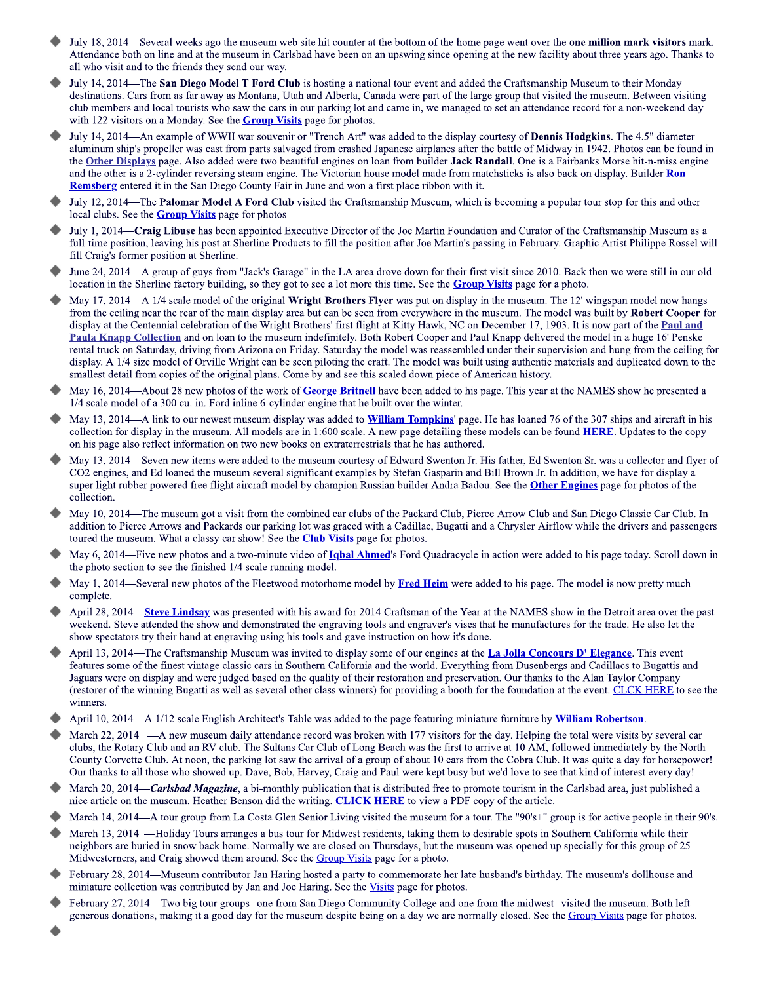- July 18, 2014—Several weeks ago the museum web site hit counter at the bottom of the home page went over the one million mark visitors mark. Attendance both on line and at the museum in Carlsbad have been on an upswing since opening at the new facility about three years ago. Thanks to all who visit and to the friends they send our way.
- July 14, 2014—The San Diego Model T Ford Club is hosting a national tour event and added the Craftsmanship Museum to their Monday destinations. Cars from as far away as Montana, Utah and Alberta, Canada were part of the large group that visited the museum. Between visiting club members and local tourists who saw the cars in our parking lot and came in, we managed to set an attendance record for a non-weekend day with 122 visitors on a Monday. See the **Group Visits** page for photos.
- July 14, 2014—An example of WWII war souvenir or "Trench Art" was added to the display courtesy of Dennis Hodgkins. The 4.5" diameter aluminum ship's propeller was cast from parts salvaged from crashed Japanese airplanes after the battle of Midway in 1942. Photos can be found in the Other Displays page. Also added were two beautiful engines on loan from builder Jack Randall. One is a Fairbanks Morse hit-n-miss engine and the other is a 2-cylinder reversing steam engine. The Victorian house model made from matchsticks is also back on display. Builder Ron Remsberg entered it in the San Diego County Fair in June and won a first place ribbon with it.
- July 12, 2014—The Palomar Model A Ford Club visited the Craftsmanship Museum, which is becoming a popular tour stop for this and other local clubs. See the **Group Visits** page for photos
- July 1, 2014-Craig Libuse has been appointed Executive Director of the Joe Martin Foundation and Curator of the Craftsmanship Museum as a full-time position, leaving his post at Sherline Products to fill the position after Joe Martin's passing in February. Graphic Artist Philippe Rossel will fill Craig's former position at Sherline.
- June 24, 2014—A group of guys from "Jack's Garage" in the LA area drove down for their first visit since 2010. Back then we were still in our old location in the Sherline factory building, so they got to see a lot more this time. See the **Group Visits** page for a photo.
- May 17, 2014—A 1/4 scale model of the original Wright Brothers Flyer was put on display in the museum. The 12' wingspan model now hangs from the ceiling near the rear of the main display area but can be seen from everywhere in the museum. The model was built by Robert Cooper for display at the Centennial celebration of the Wright Brothers' first flight at Kitty Hawk, NC on December 17, 1903. It is now part of the Paul and Paula Knapp Collection and on loan to the museum indefinitely. Both Robert Cooper and Paul Knapp delivered the model in a huge 16' Penske rental truck on Saturday, driving from Arizona on Friday. Saturday the model was reassembled under their supervision and hung from the ceiling for display. A 1/4 size model of Orville Wright can be seen piloting the craft. The model was built using authentic materials and duplicated down to the smallest detail from copies of the original plans. Come by and see this scaled down piece of American history.
- May 16, 2014—About 28 new photos of the work of George Britnell have been added to his page. This year at the NAMES show he presented a 1/4 scale model of a 300 cu. in. Ford inline 6-cylinder engine that he built over the winter.
- May 13, 2014—A link to our newest museum display was added to **William Tompkins'** page. He has loaned 76 of the 307 ships and aircraft in his collection for display in the museum. All models are in 1:600 scale. A new page detailing these models can be found **HERE**. Updates to the copy on his page also reflect information on two new books on extraterrestrials that he has authored.
- May 13, 2014—Seven new items were added to the museum courtesy of Edward Swenton Jr. His father, Ed Swenton Sr. was a collector and flyer of CO2 engines, and Ed loaned the museum several significant examples by Stefan Gasparin and Bill Brown Jr. In addition, we have for display a super light rubber powered free flight aircraft model by champion Russian builder Andra Badou. See the Other Engines page for photos of the collection.
- May 10, 2014—The museum got a visit from the combined car clubs of the Packard Club, Pierce Arrow Club and San Diego Classic Car Club. In addition to Pierce Arrows and Packards our parking lot was graced with a Cadillac, Bugatti and a Chrysler Airflow while the drivers and passengers toured the museum. What a classy car show! See the **Club Visits** page for photos.
- May 6, 2014—Five new photos and a two-minute video of *Igbal Ahmed's* Ford Quadracycle in action were added to his page today. Scroll down in the photo section to see the finished 1/4 scale running model.
- May 1, 2014—Several new photos of the Fleetwood motorhome model by Fred Heim were added to his page. The model is now pretty much complete.
- April 28, 2014—Steve Lindsay was presented with his award for 2014 Craftsman of the Year at the NAMES show in the Detroit area over the past weekend. Steve attended the show and demonstrated the engraving tools and engraver's vises that he manufactures for the trade. He also let the show spectators try their hand at engraving using his tools and gave instruction on how it's done.
- April 13, 2014—The Craftsmanship Museum was invited to display some of our engines at the **La Jolla Concours D' Elegance**. This event features some of the finest vintage classic cars in Southern California and the world. Everything from Dusenbergs and Cadillacs to Bugattis and Jaguars were on display and were judged based on the quality of their restoration and preservation. Our thanks to the Alan Taylor Company (restorer of the winning Bugatti as well as several other class winners) for providing a booth for the foundation at the event. CLCK HERE to see the winners.
- April 10, 2014—A 1/12 scale English Architect's Table was added to the page featuring miniature furniture by William Robertson.
- March 22, 2014 A new museum daily attendance record was broken with 177 visitors for the day. Helping the total were visits by several car clubs, the Rotary Club and an RV club. The Sultans Car Club of Long Beach was the first to arrive at 10 AM, followed immediately by the North County Corvette Club. At noon, the parking lot saw the arrival of a group of about 10 cars from the Cobra Club. It was quite a day for horsepower! Our thanks to all those who showed up. Dave, Bob, Harvey, Craig and Paul were kept busy but we'd love to see that kind of interest every day!
- March 20, 2014—Carlsbad Magazine, a bi-monthly publication that is distributed free to promote tourism in the Carlsbad area, just published a nice article on the museum. Heather Benson did the writing. CLICK HERE to view a PDF copy of the article.
- March 14, 2014—A tour group from La Costa Glen Senior Living visited the museum for a tour. The "90's+" group is for active people in their 90's.
- March 13, 2014 —Holiday Tours arranges a bus tour for Midwest residents, taking them to desirable spots in Southern California while their neighbors are buried in snow back home. Normally we are closed on Thursdays, but the museum was opened up specially for this group of 25 Midwesterners, and Craig showed them around. See the Group Visits page for a photo.
- February 28, 2014—Museum contributor Jan Haring hosted a party to commemorate her late husband's birthday. The museum's dollhouse and miniature collection was contributed by Jan and Joe Haring. See the Visits page for photos.
- February 27, 2014—Two big tour groups--one from San Diego Community College and one from the midwest--visited the museum. Both left generous donations, making it a good day for the museum despite being on a day we are normally closed. See the Group Visits page for photos.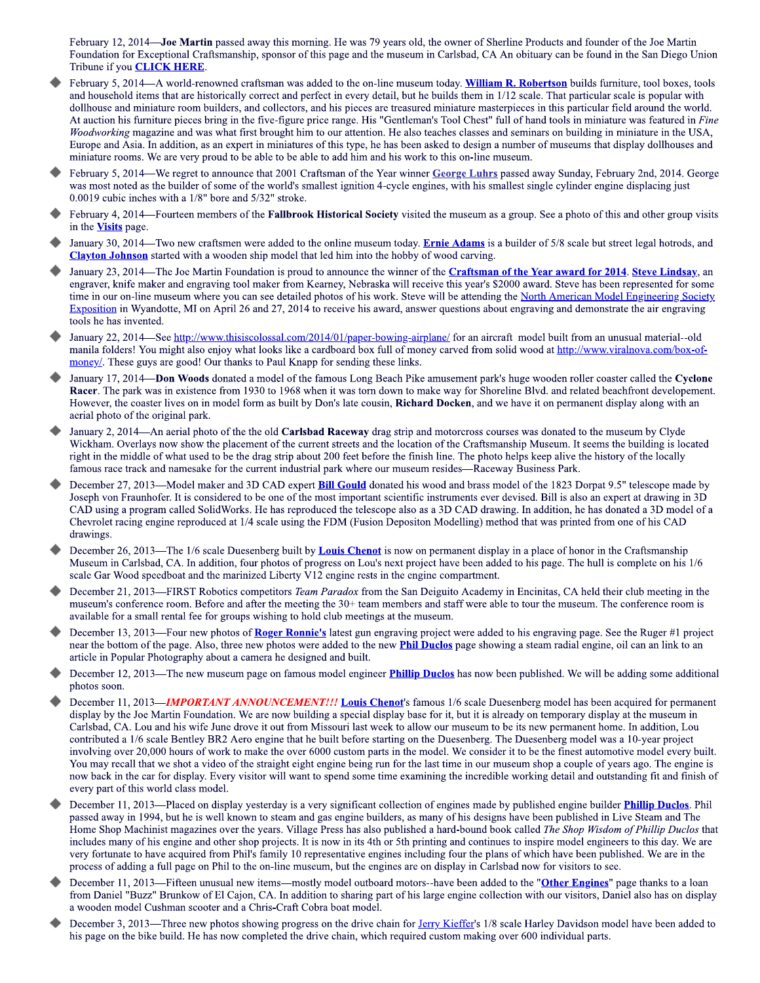February 12, 2014-Joe Martin passed away this morning. He was 79 years old, the owner of Sherline Products and founder of the Joe Martin Foundation for Exceptional Craftsmanship, sponsor of this page and the museum in Carlsbad, CA An obituary can be found in the San Diego Union Tribune if you **CLICK HERE**.

- February 5, 2014—A world-renowned craftsman was added to the on-line museum today. William R. Robertson builds furniture, tool boxes, tools and household items that are historically correct and perfect in every detail, but he builds them in 1/12 scale. That particular scale is popular with dollhouse and miniature room builders, and collectors, and his pieces are treasured miniature masterpieces in this particular field around the world. At auction his furniture pieces bring in the five-figure price range. His "Gentleman's Tool Chest" full of hand tools in miniature was featured in Fine Woodworking magazine and was what first brought him to our attention. He also teaches classes and seminars on building in miniature in the USA, Europe and Asia. In addition, as an expert in miniatures of this type, he has been asked to design a number of museums that display dollhouses and miniature rooms. We are very proud to be able to be able to add him and his work to this on-line museum.
- February 5, 2014—We regret to announce that 2001 Craftsman of the Year winner George Luhrs passed away Sunday, February 2nd, 2014. George was most noted as the builder of some of the world's smallest ignition 4-cycle engines, with his smallest single cylinder engine displacing just 0.0019 cubic inches with a 1/8" bore and 5/32" stroke.
- February 4, 2014—Fourteen members of the Fallbrook Historical Society visited the museum as a group. See a photo of this and other group visits in the **Visits** page.
- January 30, 2014—Two new craftsmen were added to the online museum today. Ernie Adams is a builder of 5/8 scale but street legal hotrods, and **Clayton Johnson** started with a wooden ship model that led him into the hobby of wood carving.
- January 23, 2014—The Joe Martin Foundation is proud to announce the winner of the Craftsman of the Year award for 2014. Steve Lindsay, an engraver, knife maker and engraving tool maker from Kearney, Nebraska will receive this year's \$2000 award. Steve has been represented for some time in our on-line museum where you can see detailed photos of his work. Steve will be attending the North American Model Engineering Society Exposition in Wyandotte, MI on April 26 and 27, 2014 to receive his award, answer questions about engraving and demonstrate the air engraving tools he has invented.
- January 22, 2014 See http://www.thisiscolossal.com/2014/01/paper-bowing-airplane/ for an aircraft model built from an unusual material--old manila folders! You might also enjoy what looks like a cardboard box full of money carved from solid wood at http://www.viralnova.com/box-ofmoney/. These guys are good! Our thanks to Paul Knapp for sending these links.
- January 17, 2014—Don Woods donated a model of the famous Long Beach Pike amusement park's huge wooden roller coaster called the Cyclone Racer. The park was in existence from 1930 to 1968 when it was torn down to make way for Shoreline Blvd. and related beachfront developement. However, the coaster lives on in model form as built by Don's late cousin, Richard Docken, and we have it on permanent display along with an aerial photo of the original park.
- January 2, 2014—An aerial photo of the the old Carlsbad Raceway drag strip and motorcross courses was donated to the museum by Clyde Wickham. Overlays now show the placement of the current streets and the location of the Craftsmanship Museum. It seems the building is located right in the middle of what used to be the drag strip about 200 feet before the finish line. The photo helps keep alive the history of the locally famous race track and namesake for the current industrial park where our museum resides—Raceway Business Park.
- December 27, 2013—Model maker and 3D CAD expert **Bill Gould** donated his wood and brass model of the 1823 Dorpat 9.5" telescope made by Joseph von Fraunhofer. It is considered to be one of the most important scientific instruments ever devised. Bill is also an expert at drawing in 3D CAD using a program called SolidWorks. He has reproduced the telescope also as a 3D CAD drawing. In addition, he has donated a 3D model of a Chevrolet racing engine reproduced at 1/4 scale using the FDM (Fusion Depositon Modelling) method that was printed from one of his CAD drawings.
- December 26, 2013—The 1/6 scale Duesenberg built by Louis Chenot is now on permanent display in a place of honor in the Craftsmanship Museum in Carlsbad, CA. In addition, four photos of progress on Lou's next project have been added to his page. The hull is complete on his 1/6 scale Gar Wood speedboat and the marinized Liberty V12 engine rests in the engine compartment.
- December 21, 2013-FIRST Robotics competitors Team Paradox from the San Deiguito Academy in Encinitas, CA held their club meeting in the museum's conference room. Before and after the meeting the 30+ team members and staff were able to tour the museum. The conference room is available for a small rental fee for groups wishing to hold club meetings at the museum.
- December 13, 2013—Four new photos of Roger Ronnie's latest gun engraving project were added to his engraving page. See the Ruger #1 project near the bottom of the page. Also, three new photos were added to the new **Phil Duclos** page showing a steam radial engine, oil can an link to an article in Popular Photography about a camera he designed and built.
- December 12, 2013—The new museum page on famous model engineer **Phillip Duclos** has now been published. We will be adding some additional photos soon.
- December 11, 2013—**IMPORTANT ANNOUNCEMENT!!! Louis Chenot'**s famous 1/6 scale Duesenberg model has been acquired for permanent display by the Joe Martin Foundation. We are now building a special display base for it, but it is already on temporary display at the museum in Carlsbad, CA. Lou and his wife June drove it out from Missouri last week to allow our museum to be its new permanent home. In addition, Lou contributed a 1/6 scale Bentley BR2 Aero engine that he built before starting on the Duesenberg. The Duesenberg model was a 10-year project involving over 20,000 hours of work to make the over 6000 custom parts in the model. We consider it to be the finest automotive model every built. You may recall that we shot a video of the straight eight engine being run for the last time in our museum shop a couple of years ago. The engine is now back in the car for display. Every visitor will want to spend some time examining the incredible working detail and outstanding fit and finish of every part of this world class model.
- December 11, 2013—Placed on display yesterday is a very significant collection of engines made by published engine builder *Phillip Duclos*. Phil passed away in 1994, but he is well known to steam and gas engine builders, as many of his designs have been published in Live Steam and The Home Shop Machinist magazines over the vears. Village Press has also published a hard-bound book called *The Shop Wisdom of Phillip Duclos* that includes many of his engine and other shop projects. It is now in its 4th or 5th printing and continues to inspire model engineers to this day. We are very fortunate to have acquired from Phil's family 10 representative engines including four the plans of which have been published. We are in the process of adding a full page on Phil to the on-line museum, but the engines are on display in Carlsbad now for visitors to see.
- December 11, 2013—Fifteen unusual new items—mostly model outboard motors--have been added to the "Other Engines" page thanks to a loan from Daniel "Buzz" Brunkow of El Cajon, CA. In addition to sharing part of his large engine collection with our visitors, Daniel also has on display a wooden model Cushman scooter and a Chris-Craft Cobra boat model.
- December 3, 2013—Three new photos showing progress on the drive chain for Jerry Kieffer's 1/8 scale Harley Davidson model have been added to his page on the bike build. He has now completed the drive chain, which required custom making over 600 individual parts.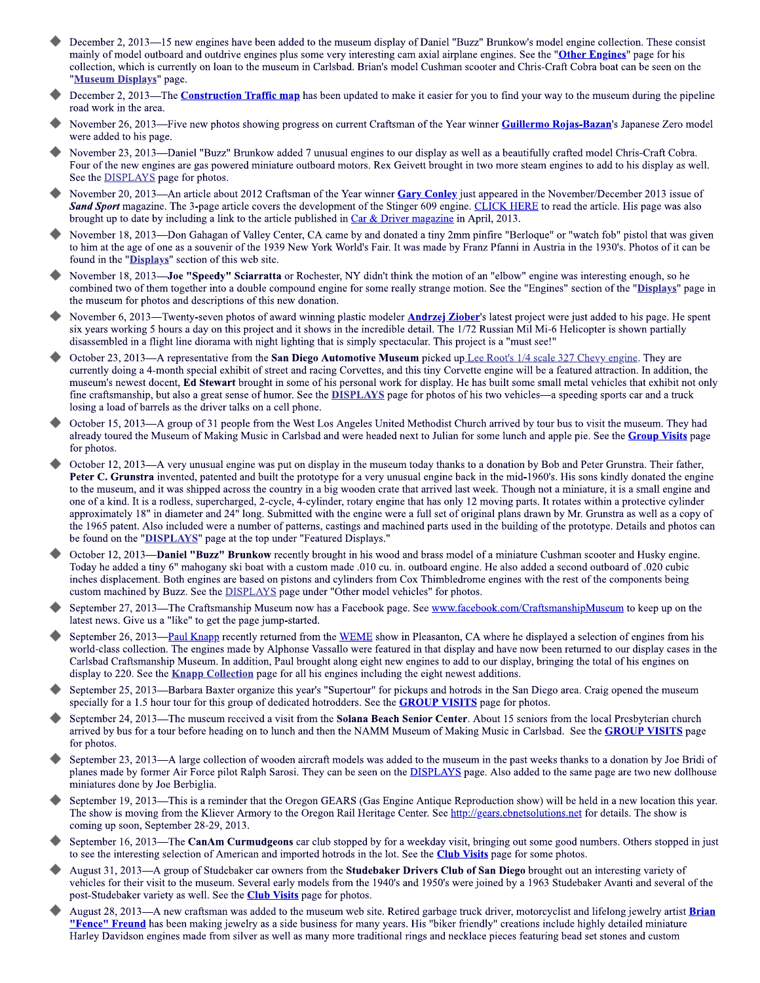- December 2, 2013—15 new engines have been added to the museum display of Daniel "Buzz" Brunkow's model engine collection. These consist mainly of model outboard and outdrive engines plus some very interesting cam axial airplane engines. See the "Other Engines" page for his collection, which is currently on loan to the museum in Carlsbad. Brian's model Cushman scooter and Chris-Craft Cobra boat can be seen on the "Museum Displays" page.
- December 2, 2013—The Construction Traffic map has been updated to make it easier for you to find your way to the museum during the pipeline road work in the area.
- November 26, 2013—Five new photos showing progress on current Craftsman of the Year winner Guillermo Rojas-Bazan's Japanese Zero model were added to his page.
- November 23, 2013—Daniel "Buzz" Brunkow added 7 unusual engines to our display as well as a beautifully crafted model Chris-Craft Cobra. Four of the new engines are gas powered miniature outboard motors. Rex Geivett brought in two more steam engines to add to his display as well. See the **DISPLAYS** page for photos.
- November 20, 2013—An article about 2012 Craftsman of the Year winner Gary Conley just appeared in the November/December 2013 issue of Sand Sport magazine. The 3-page article covers the development of the Stinger 609 engine. CLICK HERE to read the article. His page was also brought up to date by including a link to the article published in Car & Driver magazine in April, 2013.
- November 18, 2013—Don Gahagan of Valley Center, CA came by and donated a tiny 2mm pinfire "Berloque" or "watch fob" pistol that was given to him at the age of one as a souvenir of the 1939 New York World's Fair. It was made by Franz Pfanni in Austria in the 1930's. Photos of it can be found in the "Displays" section of this web site.
- November 18, 2013—**Joe "Speedy" Sciarratta** or Rochester, NY didn't think the motion of an "elbow" engine was interesting enough, so he combined two of them together into a double compound engine for some really strange motion. See the "Engines" section of the "Displays" page in the museum for photos and descriptions of this new donation.
- November 6, 2013—Twenty-seven photos of award winning plastic modeler **Andrzej Ziober'**s latest project were just added to his page. He spent six years working 5 hours a day on this project and it shows in the incredible detail. The 1/72 Russian Mil Mi-6 Helicopter is shown partially disassembled in a flight line diorama with night lighting that is simply spectacular. This project is a "must see!"
- October 23, 2013—A representative from the San Diego Automotive Museum picked up Lee Root's 1/4 scale 327 Chevy engine. They are currently doing a 4-month special exhibit of street and racing Corvettes, and this tiny Corvette engine will be a featured attraction. In addition, the museum's newest docent, Ed Stewart brought in some of his personal work for display. He has built some small metal vehicles that exhibit not only fine craftsmanship, but also a great sense of humor. See the **DISPLAYS** page for photos of his two vehicles—a speeding sports car and a truck losing a load of barrels as the driver talks on a cell phone.
- October 15, 2013—A group of 31 people from the West Los Angeles United Methodist Church arrived by tour bus to visit the museum. They had already toured the Museum of Making Music in Carlsbad and were headed next to Julian for some lunch and apple pie. See the Group Visits page for photos.
- October 12, 2013—A very unusual engine was put on display in the museum today thanks to a donation by Bob and Peter Grunstra. Their father, Peter C. Grunstra invented, patented and built the prototype for a very unusual engine back in the mid-1960's. His sons kindly donated the engine to the museum, and it was shipped across the country in a big wooden crate that arrived last week. Though not a miniature, it is a small engine and one of a kind. It is a rodless, supercharged, 2-cycle, 4-cylinder, rotary engine that has only 12 moving parts. It rotates within a protective cylinder approximately 18" in diameter and 24" long. Submitted with the engine were a full set of original plans drawn by Mr. Grunstra as well as a copy of the 1965 patent. Also included were a number of patterns, castings and machined parts used in the building of the prototype. Details and photos can be found on the "DISPLAYS" page at the top under "Featured Displays."
- October 12, 2013—Daniel "Buzz" Brunkow recently brought in his wood and brass model of a miniature Cushman scooter and Husky engine. Today he added a tiny 6" mahogany ski boat with a custom made .010 cu. in. outboard engine. He also added a second outboard of .020 cubic inches displacement. Both engines are based on pistons and cylinders from Cox Thimbledrome engines with the rest of the components being custom machined by Buzz. See the **DISPLAYS** page under "Other model vehicles" for photos.
- September 27, 2013-The Craftsmanship Museum now has a Facebook page. See www.facebook.com/CraftsmanshipMuseum</u> to keep up on the latest news. Give us a "like" to get the page jump-started.
- September 26, 2013—Paul Knapp recently returned from the WEME show in Pleasanton, CA where he displayed a selection of engines from his world-class collection. The engines made by Alphonse Vassallo were featured in that display and have now been returned to our display cases in the Carlsbad Craftsmanship Museum. In addition, Paul brought along eight new engines to add to our display, bringing the total of his engines on display to 220. See the **Knapp Collection** page for all his engines including the eight newest additions.
- September 25, 2013—Barbara Baxter organize this year's "Supertour" for pickups and hotrods in the San Diego area. Craig opened the museum specially for a 1.5 hour tour for this group of dedicated hotrodders. See the **GROUP VISITS** page for photos.
- September 24, 2013—The museum received a visit from the Solana Beach Senior Center. About 15 seniors from the local Presbyterian church arrived by bus for a tour before heading on to lunch and then the NAMM Museum of Making Music in Carlsbad. See the GROUP VISITS page for photos.
- September 23, 2013—A large collection of wooden aircraft models was added to the museum in the past weeks thanks to a donation by Joe Bridi of planes made by former Air Force pilot Ralph Sarosi. They can be seen on the **DISPLAYS** page. Also added to the same page are two new dollhouse miniatures done by Joe Berbiglia.
- September 19, 2013—This is a reminder that the Oregon GEARS (Gas Engine Antique Reproduction show) will be held in a new location this year. The show is moving from the Kliever Armory to the Oregon Rail Heritage Center. See http://gears.cbnetsolutions.net for details. The show is coming up soon, September 28-29, 2013.
- September 16, 2013—The CanAm Curmudgeons car club stopped by for a weekday visit, bringing out some good numbers. Others stopped in just to see the interesting selection of American and imported hotrods in the lot. See the **Club Visits** page for some photos.
- August 31, 2013—A group of Studebaker car owners from the Studebaker Drivers Club of San Diego brought out an interesting variety of vehicles for their visit to the museum. Several early models from the 1940's and 1950's were joined by a 1963 Studebaker Avanti and several of the post-Studebaker variety as well. See the **Club Visits** page for photos.
- August 28, 2013—A new craftsman was added to the museum web site. Retired garbage truck driver, motorcyclist and lifelong jewelry artist **Brian "Fence" Freund** has been making jewelry as a side business for many years. His "biker friendly" creations include highly detailed miniature Harley Davidson engines made from silver as well as many more traditional rings and necklace pieces featuring bead set stones and custom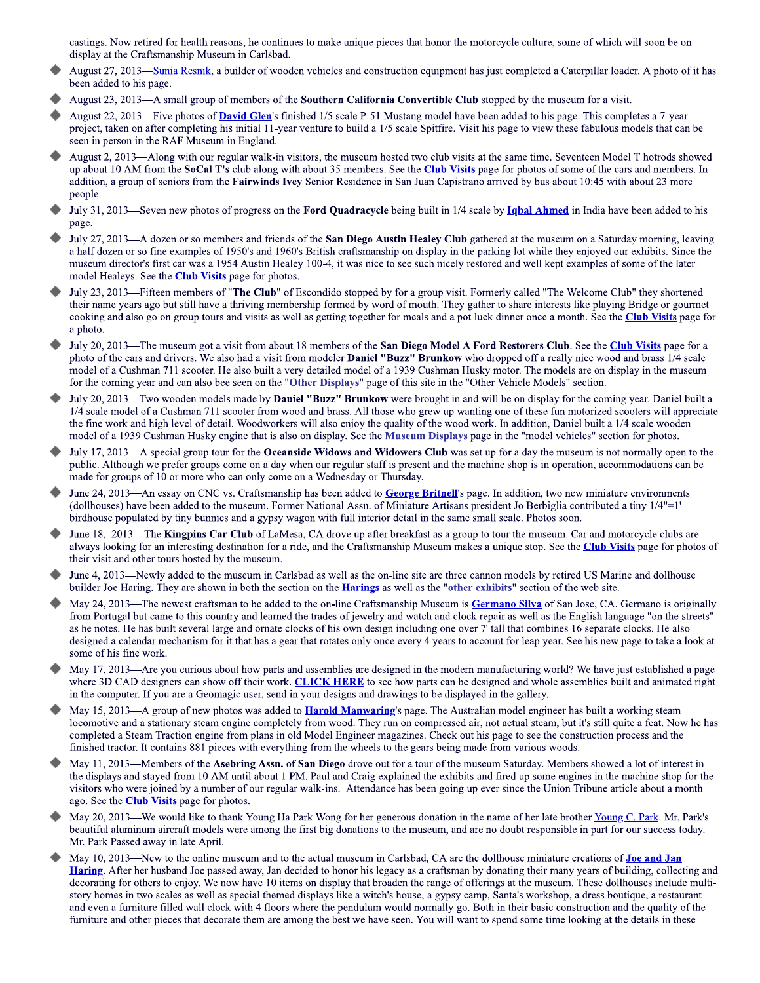castings. Now retired for health reasons, he continues to make unique pieces that honor the motorcycle culture, some of which will soon be on display at the Craftsmanship Museum in Carlsbad.

- August 27, 2013—Sunia Resnik, a builder of wooden vehicles and construction equipment has just completed a Caterpillar loader. A photo of it has been added to his page.
- August 23, 2013—A small group of members of the **Southern California Convertible Club** stopped by the museum for a visit.
- August 22, 2013—Five photos of David Glen's finished 1/5 scale P-51 Mustang model have been added to his page. This completes a 7-year project, taken on after completing his initial 11-year venture to build a 1/5 scale Spitfire. Visit his page to view these fabulous models that can be seen in person in the RAF Museum in England.
- August 2, 2013—Along with our regular walk-in visitors, the museum hosted two club visits at the same time. Seventeen Model T hotrods showed up about 10 AM from the SoCal T's club along with about 35 members. See the Club Visits page for photos of some of the cars and members. In addition, a group of seniors from the Fairwinds Ivey Senior Residence in San Juan Capistrano arrived by bus about 10:45 with about 23 more people.
- July 31, 2013—Seven new photos of progress on the Ford Quadracycle being built in 1/4 scale by Ighal Ahmed in India have been added to his page.
- July 27, 2013—A dozen or so members and friends of the San Diego Austin Healey Club gathered at the museum on a Saturday morning, leaving a half dozen or so fine examples of 1950's and 1960's British craftsmanship on display in the parking lot while they enjoyed our exhibits. Since the museum director's first car was a 1954 Austin Healey 100-4, it was nice to see such nicely restored and well kept examples of some of the later model Healeys. See the **Club Visits** page for photos.
- July 23, 2013—Fifteen members of "The Club" of Escondido stopped by for a group visit. Formerly called "The Welcome Club" they shortened their name years ago but still have a thriving membership formed by word of mouth. They gather to share interests like playing Bridge or gourmet cooking and also go on group tours and visits as well as getting together for meals and a pot luck dinner once a month. See the Club Visits page for a photo.
- July 20, 2013—The museum got a visit from about 18 members of the San Diego Model A Ford Restorers Club. See the Club Visits page for a photo of the cars and drivers. We also had a visit from modeler **Daniel "Buzz" Brunkow** who dropped off a really nice wood and brass 1/4 scale model of a Cushman 711 scooter. He also built a very detailed model of a 1939 Cushman Husky motor. The models are on display in the museum for the coming year and can also bee seen on the "Other Displays" page of this site in the "Other Vehicle Models" section.
- July 20, 2013—Two wooden models made by Daniel "Buzz" Brunkow were brought in and will be on display for the coming year. Daniel built a 1/4 scale model of a Cushman 711 scooter from wood and brass. All those who grew up wanting one of these fun motorized scooters will appreciate the fine work and high level of detail. Woodworkers will also enjoy the quality of the wood work. In addition, Daniel built a 1/4 scale wooden model of a 1939 Cushman Husky engine that is also on display. See the Museum Displays page in the "model vehicles" section for photos.
- July 17, 2013—A special group tour for the Oceanside Widows and Widowers Club was set up for a day the museum is not normally open to the public. Although we prefer groups come on a day when our regular staff is present and the machine shop is in operation, accommodations can be made for groups of 10 or more who can only come on a Wednesday or Thursday.
- June 24, 2013—An essay on CNC vs. Craftsmanship has been added to George Britnell's page. In addition, two new miniature environments (dollhouses) have been added to the museum. Former National Assn. of Miniature Artisans president Jo Berbiglia contributed a tiny 1/4"=1' birdhouse populated by tiny bunnies and a gypsy wagon with full interior detail in the same small scale. Photos soon.
- June 18, 2013—The Kingpins Car Club of LaMesa, CA drove up after breakfast as a group to tour the museum. Car and motorcycle clubs are always looking for an interesting destination for a ride, and the Craftsmanship Museum makes a unique stop. See the Club Visits page for photos of their visit and other tours hosted by the museum.
- June 4, 2013—Newly added to the museum in Carlsbad as well as the on-line site are three cannon models by retired US Marine and dollhouse builder Joe Haring. They are shown in both the section on the **Harings** as well as the "other exhibits" section of the web site.
- Mav 24. 2013—The newest craftsman to be added to the on-line Craftsmanship Museum is Germano Silva of San Jose, CA. Germano is originally from Portugal but came to this country and learned the trades of jewelry and watch and clock repair as well as the English language "on the streets" as he notes. He has built several large and ornate clocks of his own design including one over 7' tall that combines 16 separate clocks. He also designed a calendar mechanism for it that has a gear that rotates only once every 4 years to account for leap year. See his new page to take a look at some of his fine work.
- May 17, 2013—Are you curious about how parts and assemblies are designed in the modern manufacturing world? We have just established a page where 3D CAD designers can show off their work. CLICK HERE to see how parts can be designed and whole assemblies built and animated right in the computer. If you are a Geomagic user, send in your designs and drawings to be displayed in the gallery.
- May 15, 2013—A group of new photos was added to **Harold Manwaring's** page. The Australian model engineer has built a working steam locomotive and a stationary steam engine completely from wood. They run on compressed air, not actual steam, but it's still quite a feat. Now he has completed a Steam Traction engine from plans in old Model Engineer magazines. Check out his page to see the construction process and the finished tractor. It contains 881 pieces with everything from the wheels to the gears being made from various woods.
- May 11, 2013—Members of the Asebring Assn. of San Diego drove out for a tour of the museum Saturday. Members showed a lot of interest in the displays and stayed from 10 AM until about 1 PM. Paul and Craig explained the exhibits and fired up some engines in the machine shop for the visitors who were joined by a number of our regular walk-ins. Attendance has been going up ever since the Union Tribune article about a month ago. See the **Club Visits** page for photos.
- May 20, 2013—We would like to thank Young Ha Park Wong for her generous donation in the name of her late brother Young C. Park. Mr. Park's beautiful aluminum aircraft models were among the first big donations to the museum, and are no doubt responsible in part for our success today. Mr. Park Passed away in late April.
- May 10, 2013—New to the online museum and to the actual museum in Carlsbad, CA are the dollhouse miniature creations of **Joe and Jan** Haring. After her husband Joe passed away, Jan decided to honor his legacy as a craftsman by donating their many years of building, collecting and decorating for others to enjoy. We now have 10 items on display that broaden the range of offerings at the museum. These dollhouses include multistory homes in two scales as well as special themed displays like a witch's house, a gypsy camp, Santa's workshop, a dress boutique, a restaurant and even a furniture filled wall clock with 4 floors where the pendulum would normally go. Both in their basic construction and the quality of the furniture and other pieces that decorate them are among the best we have seen. You will want to spend some time looking at the details in these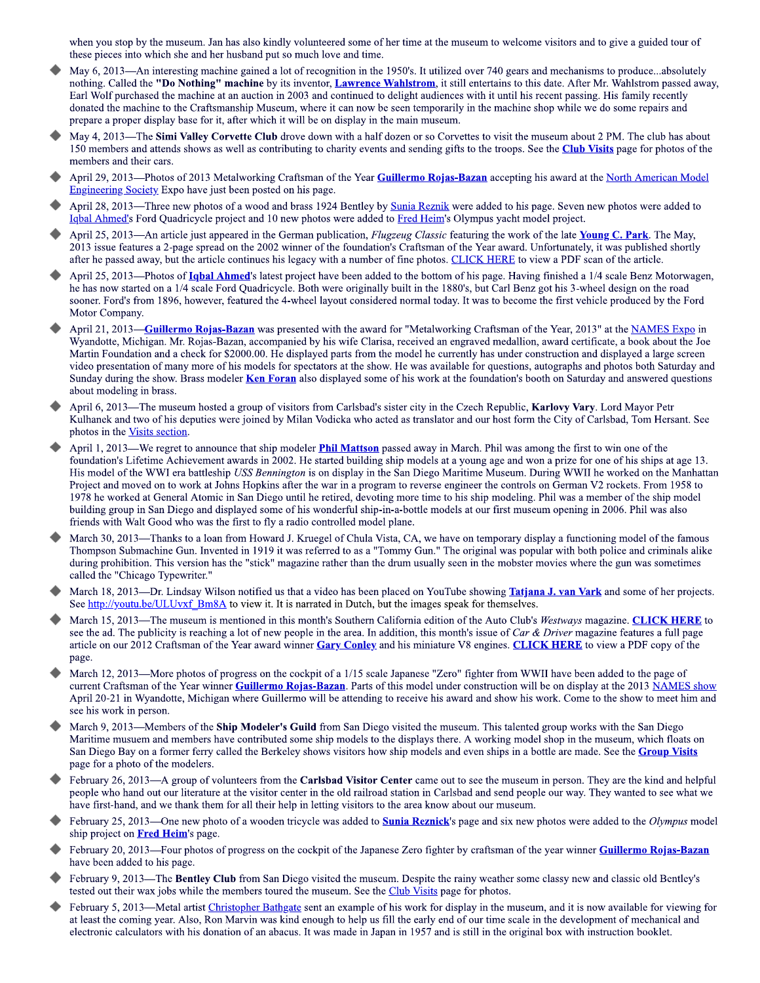when you stop by the museum. Jan has also kindly volunteered some of her time at the museum to welcome visitors and to give a guided tour of these pieces into which she and her husband put so much love and time.

- May 6, 2013—An interesting machine gained a lot of recognition in the 1950's. It utilized over 740 gears and mechanisms to produce...absolutely nothing. Called the "Do Nothing" machine by its inventor, Lawrence Wahlstrom, it still entertains to this date. After Mr. Wahlstrom passed away, Earl Wolf purchased the machine at an auction in 2003 and continued to delight audiences with it until his recent passing. His family recently donated the machine to the Craftsmanship Museum, where it can now be seen temporarily in the machine shop while we do some repairs and prepare a proper display base for it, after which it will be on display in the main museum.
- May 4, 2013—The Simi Valley Corvette Club drove down with a half dozen or so Corvettes to visit the museum about 2 PM. The club has about 150 members and attends shows as well as contributing to charity events and sending gifts to the troops. See the Club Visits page for photos of the members and their cars.
- April 29, 2013—Photos of 2013 Metalworking Craftsman of the Year Guillermo Rojas-Bazan accepting his award at the North American Model Engineering Society Expo have just been posted on his page.
- April 28, 2013—Three new photos of a wood and brass 1924 Bentley by Sunia Reznik were added to his page. Seven new photos were added to Igbal Ahmed's Ford Quadricycle project and 10 new photos were added to Fred Heim's Olympus yacht model project.
- April 25, 2013—An article just appeared in the German publication, *Flugzeug Classic* featuring the work of the late **Young C. Park**. The May, 2013 issue features a 2-page spread on the 2002 winner of the foundation's Craftsman of the Year award. Unfortunately, it was published shortly after he passed away, but the article continues his legacy with a number of fine photos. CLICK HERE to view a PDF scan of the article.
- April 25, 2013—Photos of **Igbal Ahmed'**s latest project have been added to the bottom of his page. Having finished a 1/4 scale Benz Motorwagen. he has now started on a 1/4 scale Ford Quadricycle. Both were originally built in the 1880's, but Carl Benz got his 3-wheel design on the road sooner. Ford's from 1896, however, featured the 4-wheel layout considered normal today. It was to become the first vehicle produced by the Ford Motor Company.
- April 21, 2013—Guillermo Rojas-Bazan was presented with the award for "Metalworking Craftsman of the Year, 2013" at the NAMES Expo in Wyandotte, Michigan. Mr. Rojas-Bazan, accompanied by his wife Clarisa, received an engraved medallion, award certificate, a book about the Joe Martin Foundation and a check for \$2000.00. He displayed parts from the model he currently has under construction and displayed a large screen video presentation of many more of his models for spectators at the show. He was available for questions, autographs and photos both Saturday and Sunday during the show. Brass modeler Ken Foran also displayed some of his work at the foundation's booth on Saturday and answered questions about modeling in brass.
- April 6, 2013—The museum hosted a group of visitors from Carlsbad's sister city in the Czech Republic, Karlovy Vary, Lord Mayor Petr Kulhanek and two of his deputies were joined by Milan Vodicka who acted as translator and our host form the City of Carlsbad, Tom Hersant. See photos in the Visits section.
- April 1, 2013—We regret to announce that ship modeler *Phil Mattson* passed away in March. Phil was among the first to win one of the foundation's Lifetime Achievement awards in 2002. He started building ship models at a young age and won a prize for one of his ships at age 13. His model of the WWI era battleship USS Bennington is on display in the San Diego Maritime Museum. During WWII he worked on the Manhattan Project and moved on to work at Johns Hopkins after the war in a program to reverse engineer the controls on German V2 rockets. From 1958 to 1978 he worked at General Atomic in San Diego until he retired, devoting more time to his ship modeling. Phil was a member of the ship model building group in San Diego and displayed some of his wonderful ship-in-a-bottle models at our first museum opening in 2006. Phil was also friends with Walt Good who was the first to fly a radio controlled model plane.
- March 30, 2013—Thanks to a loan from Howard J. Kruegel of Chula Vista, CA, we have on temporary display a functioning model of the famous Thompson Submachine Gun. Invented in 1919 it was referred to as a "Tommy Gun." The original was popular with both police and criminals alike during prohibition. This version has the "stick" magazine rather than the drum usually seen in the mobster movies where the gun was sometimes called the "Chicago Typewriter."
- March 18, 2013—Dr. Lindsay Wilson notified us that a video has been placed on YouTube showing **Tatjana J. van Vark** and some of her projects. See http://youtu.be/ULUvxf Bm8A to view it. It is narrated in Dutch, but the images speak for themselves.
- March 15, 2013—The museum is mentioned in this month's Southern California edition of the Auto Club's Westways magazine. CLICK HERE to see the ad. The publicity is reaching a lot of new people in the area. In addition, this month's issue of Car & Driver magazine features a full page article on our 2012 Craftsman of the Year award winner Gary Conley and his miniature V8 engines. CLICK HERE to view a PDF copy of the page.
- March 12, 2013—More photos of progress on the cockpit of a 1/15 scale Japanese "Zero" fighter from WWII have been added to the page of current Craftsman of the Year winner Guillermo Rojas-Bazan. Parts of this model under construction will be on display at the 2013 NAMES show April 20-21 in Wyandotte, Michigan where Guillermo will be attending to receive his award and show his work. Come to the show to meet him and see his work in person.
- March 9, 2013—Members of the Ship Modeler's Guild from San Diego visited the museum. This talented group works with the San Diego Maritime musuem and members have contributed some ship models to the displays there. A working model shop in the museum, which floats on San Diego Bay on a former ferry called the Berkeley shows visitors how ship models and even ships in a bottle are made. See the Group Visits page for a photo of the modelers.
- February 26, 2013—A group of volunteers from the Carlsbad Visitor Center came out to see the museum in person. They are the kind and helpful people who hand out our literature at the visitor center in the old railroad station in Carlsbad and send people our way. They wanted to see what we have first-hand, and we thank them for all their help in letting visitors to the area know about our museum.
- February 25, 2013—One new photo of a wooden tricycle was added to **Sunia Reznick's** page and six new photos were added to the *Olympus* model ship project on Fred Heim's page.
- February 20, 2013—Four photos of progress on the cockpit of the Japanese Zero fighter by craftsman of the year winner Guillermo Rojas-Bazan have been added to his page.
- February 9, 2013—The Bentley Club from San Diego visited the museum. Despite the rainy weather some classy new and classic old Bentley's tested out their wax jobs while the members toured the museum. See the Club Visits page for photos.
- February 5, 2013—Metal artist Christopher Bathgate sent an example of his work for display in the museum, and it is now available for viewing for at least the coming year. Also, Ron Marvin was kind enough to help us fill the early end of our time scale in the development of mechanical and electronic calculators with his donation of an abacus. It was made in Japan in 1957 and is still in the original box with instruction booklet.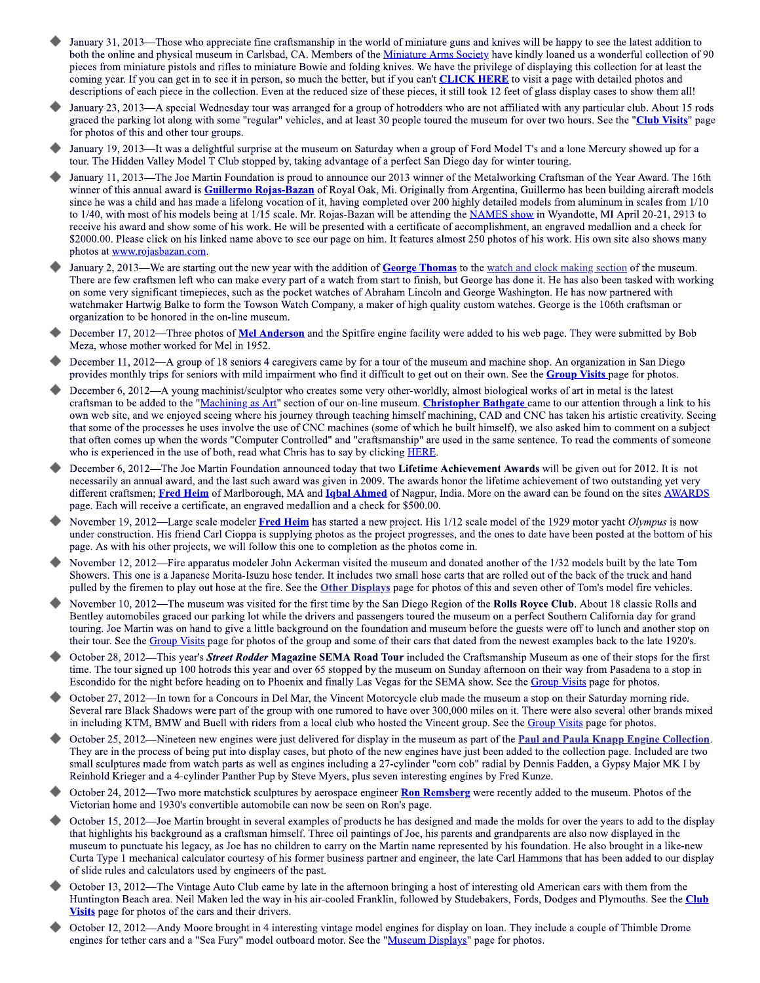- January 31, 2013—Those who appreciate fine craftsmanship in the world of miniature guns and knives will be happy to see the latest addition to both the online and physical museum in Carlsbad, CA. Members of the Miniature Arms Society have kindly loaned us a wonderful collection of 90 pieces from miniature pistols and rifles to miniature Bowie and folding knives. We have the privilege of displaying this collection for at least the coming year. If you can get in to see it in person, so much the better, but if you can't CLICK HERE to visit a page with detailed photos and descriptions of each piece in the collection. Even at the reduced size of these pieces, it still took 12 feet of glass display cases to show them all!
- January 23, 2013—A special Wednesday tour was arranged for a group of hotrodders who are not affiliated with any particular club. About 15 rods graced the parking lot along with some "regular" vehicles, and at least 30 people toured the museum for over two hours. See the "Club Visits" page for photos of this and other tour groups.
- January 19, 2013—It was a delightful surprise at the museum on Saturday when a group of Ford Model T's and a lone Mercury showed up for a tour. The Hidden Valley Model T Club stopped by, taking advantage of a perfect San Diego day for winter touring.
- January 11, 2013—The Joe Martin Foundation is proud to announce our 2013 winner of the Metalworking Craftsman of the Year Award. The 16th winner of this annual award is **Guillermo Rojas-Bazan** of Royal Oak, Mi. Originally from Argentina, Guillermo has been building aircraft models since he was a child and has made a lifelong vocation of it, having completed over 200 highly detailed models from aluminum in scales from 1/10 to 1/40, with most of his models being at 1/15 scale. Mr. Rojas-Bazan will be attending the NAMES show in Wyandotte, MI April 20-21, 2913 to receive his award and show some of his work. He will be presented with a certificate of accomplishment, an engraved medallion and a check for \$2000.00. Please click on his linked name above to see our page on him. It features almost 250 photos of his work. His own site also shows many photos at www.rojasbazan.com.
- January 2, 2013—We are starting out the new year with the addition of George Thomas to the watch and clock making section of the museum. There are few craftsmen left who can make every part of a watch from start to finish, but George has done it. He has also been tasked with working on some very significant timepieces, such as the pocket watches of Abraham Lincoln and George Washington. He has now partnered with watchmaker Hartwig Balke to form the Towson Watch Company, a maker of high quality custom watches. George is the 106th craftsman or organization to be honored in the on-line museum.
- December 17, 2012—Three photos of Mel Anderson and the Spitfire engine facility were added to his web page. They were submitted by Bob Meza, whose mother worked for Mel in 1952.
- December 11, 2012—A group of 18 seniors 4 caregivers came by for a tour of the museum and machine shop. An organization in San Diego provides monthly trips for seniors with mild impairment who find it difficult to get out on their own. See the **Group Visits** page for photos.
- December 6, 2012—A young machinist/sculptor who creates some very other-worldly, almost biological works of art in metal is the latest craftsman to be added to the "Machining as Art" section of our on-line museum. Christopher Bathgate came to our attention through a link to his own web site, and we enjoyed seeing where his journey through teaching himself machining, CAD and CNC has taken his artistic creativity. Seeing that some of the processes he uses involve the use of CNC machines (some of which he built himself), we also asked him to comment on a subject that often comes up when the words "Computer Controlled" and "craftsmanship" are used in the same sentence. To read the comments of someone who is experienced in the use of both, read what Chris has to say by clicking HERE.
- December 6, 2012—The Joe Martin Foundation announced today that two Lifetime Achievement Awards will be given out for 2012. It is not necessarily an annual award, and the last such award was given in 2009. The awards honor the lifetime achievement of two outstanding yet very different craftsmen; Fred Heim of Marlborough, MA and Igbal Ahmed of Nagpur, India. More on the award can be found on the sites AWARDS page. Each will receive a certificate, an engraved medallion and a check for \$500.00.
- November 19, 2012—Large scale modeler Fred Heim has started a new project. His 1/12 scale model of the 1929 motor yacht Olympus is now under construction. His friend Carl Cioppa is supplying photos as the project progresses, and the ones to date have been posted at the bottom of his page. As with his other projects, we will follow this one to completion as the photos come in.
- November 12, 2012—Fire apparatus modeler John Ackerman visited the museum and donated another of the 1/32 models built by the late Tom Showers. This one is a Japanese Morita-Isuzu hose tender. It includes two small hose carts that are rolled out of the back of the truck and hand pulled by the firemen to play out hose at the fire. See the Other Displays page for photos of this and seven other of Tom's model fire vehicles.
- November 10, 2012—The museum was visited for the first time by the San Diego Region of the Rolls Royce Club. About 18 classic Rolls and Bentley automobiles graced our parking lot while the drivers and passengers toured the museum on a perfect Southern California day for grand touring. Joe Martin was on hand to give a little background on the foundation and museum before the guests were off to lunch and another stop on their tour. See the Group Visits page for photos of the group and some of their cars that dated from the newest examples back to the late 1920's.
- October 28, 2012—This year's Street Rodder Magazine SEMA Road Tour included the Craftsmanship Museum as one of their stops for the first time. The tour signed up 100 hotrods this year and over 65 stopped by the museum on Sunday afternoon on their way from Pasadena to a stop in Escondido for the night before heading on to Phoenix and finally Las Vegas for the SEMA show. See the Group Visits page for photos.
- October 27, 2012—In town for a Concours in Del Mar, the Vincent Motorcycle club made the museum a stop on their Saturday morning ride. Several rare Black Shadows were part of the group with one rumored to have over 300,000 miles on it. There were also several other brands mixed in including KTM, BMW and Buell with riders from a local club who hosted the Vincent group. See the Group Visits page for photos.
- October 25, 2012—Nineteen new engines were just delivered for display in the museum as part of the Paul and Paula Knapp Engine Collection. They are in the process of being put into display cases, but photo of the new engines have just been added to the collection page. Included are two small sculptures made from watch parts as well as engines including a 27-cylinder "corn cob" radial by Dennis Fadden, a Gypsy Major MK I by Reinhold Krieger and a 4-cylinder Panther Pup by Steve Myers, plus seven interesting engines by Fred Kunze.
- October 24, 2012—Two more matchstick sculptures by aerospace engineer Ron Remsberg were recently added to the museum. Photos of the Victorian home and 1930's convertible automobile can now be seen on Ron's page.
- October 15, 2012—Joe Martin brought in several examples of products he has designed and made the molds for over the years to add to the display that highlights his background as a craftsman himself. Three oil paintings of Joe, his parents and grandparents are also now displayed in the museum to punctuate his legacy, as Joe has no children to carry on the Martin name represented by his foundation. He also brought in a like-new Curta Type 1 mechanical calculator courtesy of his former business partner and engineer, the late Carl Hammons that has been added to our display of slide rules and calculators used by engineers of the past.
- October 13, 2012—The Vintage Auto Club came by late in the afternoon bringing a host of interesting old American cars with them from the Huntington Beach area. Neil Maken led the way in his air-cooled Franklin, followed by Studebakers, Fords, Dodges and Plymouths. See the Club Visits page for photos of the cars and their drivers.
- October 12, 2012—Andy Moore brought in 4 interesting vintage model engines for display on loan. They include a couple of Thimble Drome engines for tether cars and a "Sea Fury" model outboard motor. See the "Museum Displays" page for photos.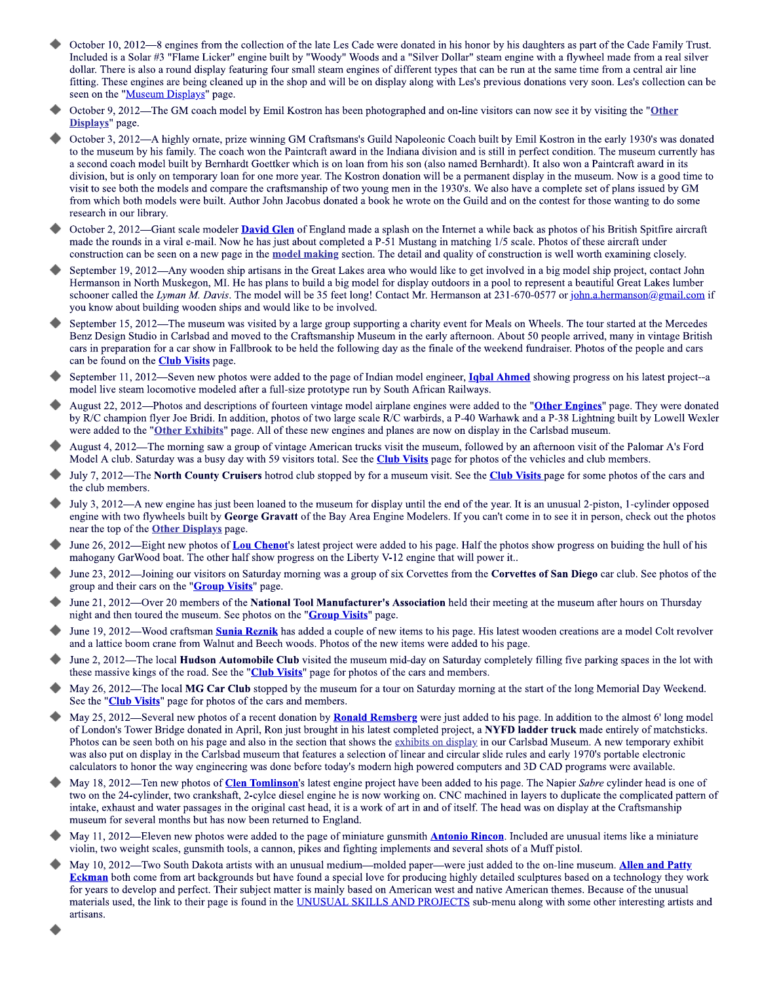- October  $10, 2012$ —8 engines from the collection of the late Les Cade were donated in his honor by his daughters as part of the Cade Family Trust. October 10, 2012—8 engines from the collection of the late Les Cade were donated in his honor by his daughters as part of the Cade Family Trust.<br>Included is a Solar #3 "Flame Licker" engine built by "Woody" Woods and a "Si from the collection of the late Les Cade were donated in his honor<br>Licker" engine built by "Woody" Woods and a "Silver Dollar" stea<br>isplay featuring four small steam engines of different types that car<br>g cleaned up in the dollar. There is also a round display featuring four small steam engines of different types that can be run at the same time from a central air line fitting. These engines are being cleaned up in the shop and will be on display along with Les's previous donations very soon. Les's collection can be seen on the "Museum Displays" page.
- seen on the "<u>Museum Displays</u>" page.<br>October 9, 2012—The GM coach model by Emil Kostron has been photographed and on-line visitors can now see it by visiting the "<mark>Other</mark>
- Displays" page.<br>October 3, 2012—A highly ornate, prize winning GM Craftsmans's Guild Napoleonic Coach built by Emil Kostron in the early 1930's was donated to the museum by his family. The coach won the Paintcraft award in the Indiana division and is still in perfect condition. The museum currently has a second coach model built by Bernhardt Goettker which is on Ioan from his son (also named Bernhardt). It also won a Paintcraft award in its  $S_{\perp}$ division, but is only on temporary loan for one more year. The Kostron donation will be a permanent display in the museum. Now is a good time to visit to see both the models and compare the craftsmanship of two young men in the  $1930$ s. We also have a complete set of plans issued by  $GM$ photographed and on-line visitors can now see it b<br>
Guild Napoleonic Coach built by Emil Kostron in<br>
the Indiana division and is still in perfect condition<br>
from his son (also named Bernhardt). It also won<br>
ron donation wi from which both models were built. Author John Jacobus donated a book he wrote on the Guild and on the contest for those wanting to do some
- research in our library.<br>October 2, 2012—Giant scale modeler <mark>David Glen</mark> of England made a splash on the Internet a while back as photos of his British Spitfire aircraft made the rounds in a viral e-mail. Now he has just about completed a  $P-51$  Mustang in matching  $1/5$  scale. Photos of these aircraft under construction can be seen on a new page in the model making section. The detail and quality of construction is well worth
- construction can be seen on a new page in the **model making** section. The detail and quality of construction is well worth examining closely.<br>September 19, 2012—Any wooden ship artisans in the Great Lakes area who would li Hermanson in North Muskegon, M1. He has plans to build a big model for display outdoors in a pool to represent a beautiful Great Lakes lumber schooner called the Lyman M. Davis. The model will be 35 feet long! Contact Mr. Hermanson at 231-6/0-05// or <u>john.a.hermanson@gmail.com</u> if you know about building wooden ships and would like to be involved. n the Internet a while back as photos of his British<br>tang in matching 1/5 scale. Photos of these aircraft<br>1 and quality of construction is well worth examin<br>buld like to get involved in a big model ship projee<br>ay outdoors
- September 15, 2012—1 he museum was visited by a large group supporting a charity event for Meals on Wheels. The tour started at the Mercedes Benz Design Studio in Carlsbad and moved to the Craftsmanship Museum in the early afternoon. About 50 people arrived, many in vintage British cars in preparation for a car show in Fallbrook to be held the following day as the finale of the weekend fundraiser. Photos of the people and cars can be found on the **Club Visits** page. porting a charity event for Meals on Wheels. The tour<br>useum in the early afternoon. About 50 people arrived<br>mg day as the finale of the weekend fundraiser. Photos<br>ndian model engineer, **Ighal Ahmed** showing progres<br>by Sout September 15, 2012—The museum was visited by a large group supporting a charity event for Meals on Wheels. The tour started at the Mercedes<br>Beptember 15, 2012—The museum was visited by a large group supporting a charity ev
- can be found on the Club Visits page.<br>September 11, 2012—Seven new photos were added to the page of Indian model engineer, Iqbal Ahmed showing progress on his latest project--a model live steam locomotive modeled after a full-size prototype run by South
- model live steam locomotive modeled after a full-size prototype run by South African Railways.<br>August 22, 2012—Photos and descriptions of fourteen vintage model airplane engines were added to the "<mark>Other Engines</mark>" page. Th by R/C champion flyer Joe Bridi. In addition, photos of two large scale R/C warbirds, a P-40 Warhawk and a P-38 Lightning built b o the "**<u>Other Exhibits</u>**" page. All of these new engines and planes are now on display in the
- were added to the "**Other Exhibits**" page. All of these new engines and planes are now on display in the Carlsbad museum.<br>August 4, 2012—The morning saw a group of vintage American trucks visit the museum, followed by an a Model A club. Saturday was a busy day with 59 visitors total. See the <mark>Club Visits</mark> page for photos of the
- Model A club. Saturday was a busy day with 59 visitors total. See the <mark>Club Visits</mark> page for photos of the vehicles and club members.<br>July 7, 2012—The **North County Cruisers** hotrod club stopped by for a museum visit. See the club members.
- the club members.<br>July 3, 2012—A new engine has just been loaned to the museum for display until the end of the year. It is an unusual 2-piston, 1-cylinder opposed engine with two flywheels built by **George Gravatt** of the Bay Area Engine Modelers. If you can't come in to see it in person, check out the photos near the top of the Model A club. Saturday was a busy day with 59 visitors total. See the **Club Visits** page for photos of the vehicles and club members.<br> **July 7, 2012—The North County Cruisers** hotrod club stopped by for a museum visit. Se
	- near the top of the <u>Other Displays</u> page.<br>June 26, 2012—Eight new photos of <mark>Lou Chenot</mark>'s latest project were added to his page. Half the photos show progress on buiding the . The other half show progress on the Liberty V-12 engine that will power it..
	- mahogany Garwood boat. The other half show progress on the Liberty V-12 engine that will power it..<br>June 23, 2012—Joining our visitors on Saturday morning was a group of six Corvettes from the **Corvettes of San Diego** car group and their cars on the
	- group and their cars on the "<mark>Group Visits</mark>" page.<br>June 21, 2012—Over 20 members of the **National Tool Manufacturer's Association** held their meeting at the museum after hours on Thursday night and then toured the museum. See photos on the
	- night and then toured the museum. See photos on the "<mark>Group Visits</mark>" page.<br>June 19, 2012—Wood craftsman Sunia Reznik has added a couple of new items to his page. His latest wooden creations are a model Colt revolver and a lattice boom crane from Walnut and Beech woods. Photos of the new items were added to
	- and a lattice boom crane from Walnut and Beech woods. Photos of the new items were added to his page.<br>June 2, 2012—The local **Hudson Automobile Club** visited the museum mid-day on Saturday completely filling five parking s these massive kings of the road. See the "<mark>Club Visits</mark>" page for photos of the
	- these massive kings of the road. See the "**Club Visits**" page for photos of the cars and members.<br>May 26, 2012—The local **MG Car Club** stopped by the museum for a tour on Saturday morning at the start of the he "<mark>Club Visits</mark>" page for photos of the
- mear the top of the **Other Displays** page.<br>
June 26, 2012—Eight new photos of **Lou**<br>
mahogany GarWood boat. The other half<br>
June 23, 2012—Joining our visitors on Sa<br>
group and their cars on the "**Group Visits**<br>
June 21, 2 26, 2012—Eight new photos of **Lou Chenot's** late<br>gany GarWood boat. The other half show progress<br>23, 2012—Joining our visitors on Saturday mornin<br>and their cars on the "**Group Visits**" page.<br>21, 2012—Over 20 members of th group and their cars on the "**Group Visits**" page.<br>
June 21, 2012—Over 20 members of the National Tool Manufacturer's Association held their meeting at the museum after hours on Thursday<br>
June 11, 2012—Over 20 members of t See the "Club Visits" page for photos of the cars and members.<br>May 25, 2012—Several new photos of a recent donation by <mark>Ronald Remsberg</mark> were just added to his page. In addition to the almost 6' long model of London's Tower Bridge donated in April, Kon just brought in his latest completed project, a **NYFD ladder truck** made entirely of matchstic of London's Tower Bridge donated in April, Kon just brought in his latest completed project, a NYF**D ladder truck** made entirely of matchsticks.<br>Photos can be seen both on his page and also in the section that shows the ex was also put on display in the Carlsbad museum that features a selection of linear and circular slide rules and early 1970's portable electronic calculators to honor the way engineering was done before today's modern high powered computer
	- calculators to honor the way engineering was done before today's modern high powered computers and 3D CAD programs were available.<br>May 18, 2012—Ten new photos of <mark>Clen Tomlinson</mark>'s latest engine project have been added to two on the 24-cylinder, two crankshaft, 2-cylce diesel engine he is now working on. CNC machined in layers to duplicate the complicated pattern of intake, exhaust and water passages in the original cast head, it is a work of art in and of itself. The head was on display at the Craftsmanship museum for several months but has now been returned to
	- museum for several months but has now been returned to England.<br>May 11, 2012—Eleven new photos were added to the page of miniature gunsmith <mark>Antonio Rincon</mark>. Included are unusual items like a miniature violin, two weight scales, gunsmith tools, a cannon, pikes and fighting implements and several shots of a Muff pistol
	- violin, two weight scales, gunsmith tools, a cannon, pikes and fighting implements and several shots of a Muff pistol.<br>May 10, 2012—Two South Dakota artists with an unusual medium—molded paper—were just added to the on-lin **Eckman** both come from art backgrounds but have found a special love for producing highly detailed sculptures based on a technology they work for years to develop and perfect. Their subject matter is mainly based on American west and native American themes. Because of the unusual materials used, the link to their page is found in the <u>UNUSUAL SKILLS AND PROJECTS</u> sub-menu along with some other interesting artists and artisans.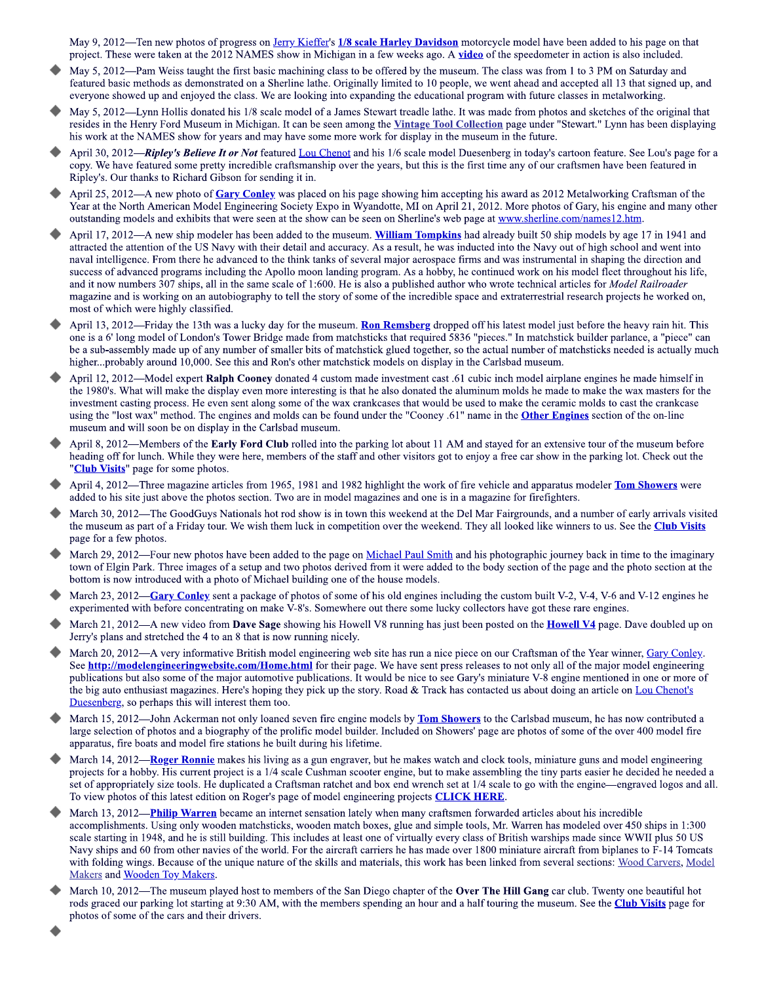May 9, 2012—Ten new photos of progress on Jerry Kieffer's 1/8 scale Harley Davidson motorcycle model have been added to his page on that project. These were taken at the 2012 NAMES show in Michigan in a few weeks ago. A video of the speedometer in action is also included.

- May 5, 2012—Pam Weiss taught the first basic machining class to be offered by the museum. The class was from 1 to 3 PM on Saturday and featured basic methods as demonstrated on a Sherline lathe. Originally limited to 10 people, we went ahead and accepted all 13 that signed up, and everyone showed up and enjoyed the class. We are looking into expanding the educational program with future classes in metalworking.
- May 5, 2012—Lynn Hollis donated his 1/8 scale model of a James Stewart treadle lathe. It was made from photos and sketches of the original that resides in the Henry Ford Museum in Michigan. It can be seen among the Vintage Tool Collection page under "Stewart." Lynn has been displaying his work at the NAMES show for years and may have some more work for display in the museum in the future.
- April 30, 2012-Ripley's Believe It or Not featured Lou Chenot and his 1/6 scale model Duesenberg in today's cartoon feature. See Lou's page for a copy. We have featured some pretty incredible craftsmanship over the years, but this is the first time any of our craftsmen have been featured in Ripley's. Our thanks to Richard Gibson for sending it in.
- April 25, 2012—A new photo of Gary Conley was placed on his page showing him accepting his award as 2012 Metalworking Craftsman of the Year at the North American Model Engineering Society Expo in Wyandotte, MI on April 21, 2012. More photos of Gary, his engine and many other outstanding models and exhibits that were seen at the show can be seen on Sherline's web page at www.sherline.com/names12.htm.
- April 17, 2012—A new ship modeler has been added to the museum. William Tompkins had already built 50 ship models by age 17 in 1941 and attracted the attention of the US Navy with their detail and accuracy. As a result, he was inducted into the Navy out of high school and went into naval intelligence. From there he advanced to the think tanks of several major aerospace firms and was instrumental in shaping the direction and success of advanced programs including the Apollo moon landing program. As a hobby, he continued work on his model fleet throughout his life, and it now numbers 307 ships, all in the same scale of 1:600. He is also a published author who wrote technical articles for *Model Railroader* magazine and is working on an autobiography to tell the story of some of the incredible space and extraterrestrial research projects he worked on, most of which were highly classified.
- April 13, 2012—Friday the 13th was a lucky day for the museum. Ron Remsberg dropped off his latest model just before the heavy rain hit. This one is a 6' long model of London's Tower Bridge made from matchsticks that required 5836 "pieces." In matchstick builder parlance, a "piece" can be a sub-assembly made up of any number of smaller bits of matchstick glued together, so the actual number of matchsticks needed is actually much higher...probably around 10,000. See this and Ron's other matchstick models on display in the Carlsbad museum.
- April 12, 2012—Model expert Ralph Cooney donated 4 custom made investment cast .61 cubic inch model airplane engines he made himself in the 1980's. What will make the display even more interesting is that he also donated the aluminum molds he made to make the wax masters for the investment casting process. He even sent along some of the wax crankcases that would be used to make the ceramic molds to cast the crankcase using the "lost wax" method. The engines and molds can be found under the "Cooney .61" name in the **Other Engines** section of the on-line museum and will soon be on display in the Carlsbad museum.
- April 8, 2012—Members of the Early Ford Club rolled into the parking lot about 11 AM and stayed for an extensive tour of the museum before heading off for lunch. While they were here, members of the staff and other visitors got to enjoy a free car show in the parking lot. Check out the "Club Visits" page for some photos.
- April 4, 2012—Three magazine articles from 1965, 1981 and 1982 highlight the work of fire vehicle and apparatus modeler Tom Showers were added to his site just above the photos section. Two are in model magazines and one is in a magazine for firefighters.
- March 30, 2012—The GoodGuys Nationals hot rod show is in town this weekend at the Del Mar Fairgrounds, and a number of early arrivals visited the museum as part of a Friday tour. We wish them luck in competition over the weekend. They all looked like winners to us. See the Club Visits page for a few photos.
- March 29, 2012—Four new photos have been added to the page on Michael Paul Smith and his photographic journey back in time to the imaginary town of Elgin Park. Three images of a setup and two photos derived from it were added to the body section of the page and the photo section at the bottom is now introduced with a photo of Michael building one of the house models.
- March 23, 2012—Gary Conley sent a package of photos of some of his old engines including the custom built V-2, V-4, V-6 and V-12 engines he experimented with before concentrating on make V-8's. Somewhere out there some lucky collectors have got these rare engines.
- March 21, 2012—A new video from Dave Sage showing his Howell V8 running has just been posted on the **Howell V4** page. Dave doubled up on Jerry's plans and stretched the 4 to an 8 that is now running nicely.
- March 20, 2012—A very informative British model engineering web site has run a nice piece on our Craftsman of the Year winner, Gary Conley. See http://modelengineeringwebsite.com/Home.html for their page. We have sent press releases to not only all of the major model engineering publications but also some of the major automotive publications. It would be nice to see Gary's miniature V-8 engine mentioned in one or more of the big auto enthusiast magazines. Here's hoping they pick up the story. Road & Track has contacted us about doing an article on Lou Chenot's Duesenberg, so perhaps this will interest them too.
- March 15, 2012—John Ackerman not only loaned seven fire engine models by **Tom Showers** to the Carlsbad museum, he has now contributed a large selection of photos and a biography of the prolific model builder. Included on Showers' page are photos of some of the over 400 model fire apparatus, fire boats and model fire stations he built during his lifetime.
- March 14, 2012—Roger Ronnie makes his living as a gun engraver, but he makes watch and clock tools, miniature guns and model engineering projects for a hobby. His current project is a 1/4 scale Cushman scooter engine, but to make assembling the tiny parts easier he decided he needed a set of appropriately size tools. He duplicated a Craftsman ratchet and box end wrench set at 1/4 scale to go with the engine—engraved logos and all. To view photos of this latest edition on Roger's page of model engineering projects **CLICK HERE**.
- March 13, 2012—Philip Warren became an internet sensation lately when many craftsmen forwarded articles about his incredible accomplishments. Using only wooden matchsticks, wooden match boxes, glue and simple tools, Mr. Warren has modeled over 450 ships in 1:300 scale starting in 1948, and he is still building. This includes at least one of virtually every class of British warships made since WWII plus 50 US Navy ships and 60 from other navies of the world. For the aircraft carriers he has made over 1800 miniature aircraft from biplanes to F-14 Tomcats with folding wings. Because of the unique nature of the skills and materials, this work has been linked from several sections: Wood Carvers, Model Makers and Wooden Toy Makers.
- March 10, 2012—The museum played host to members of the San Diego chapter of the Over The Hill Gang car club. Twenty one beautiful hot rods graced our parking lot starting at 9:30 AM, with the members spending an hour and a half touring the museum. See the Club Visits page for photos of some of the cars and their drivers.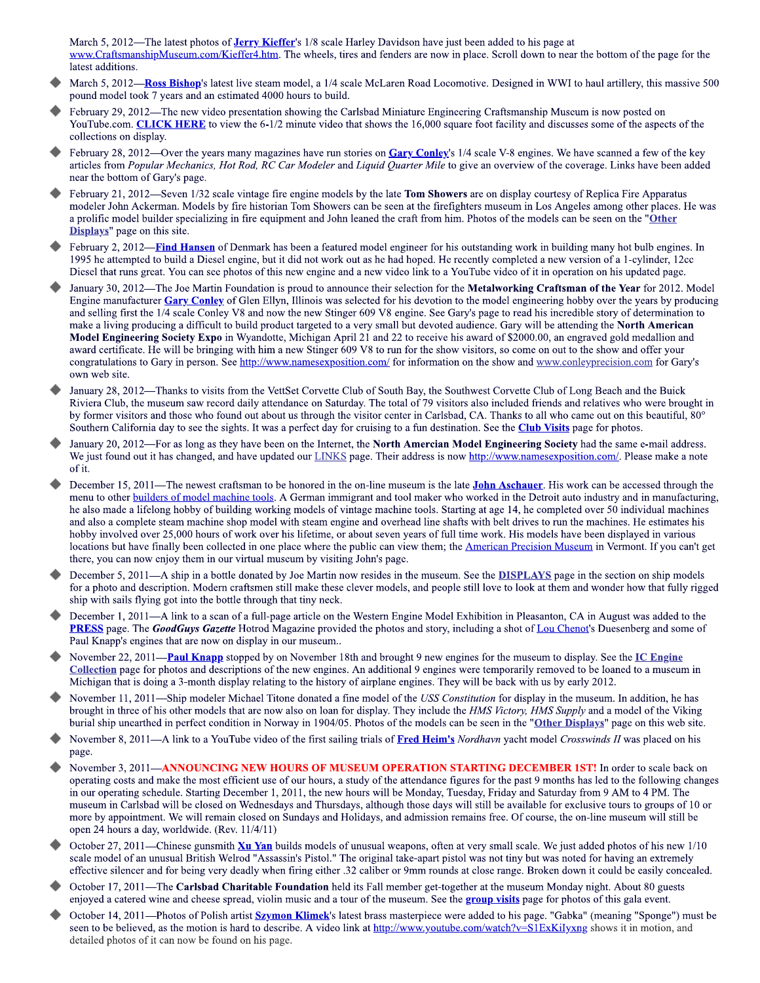March 5, 2012—The latest photos of **Jerry Kieffer's** 1/8 scale Harley Davidson have just been added to his page at www.CraftsmanshipMuseum.com/Kieffer4.htm. The wheels, tires and fenders are now in place. Scroll down to near the bottom of the page for the latest additions.

- March 5, 2012-Ross Bishop's latest live steam model, a 1/4 scale McLaren Road Locomotive. Designed in WWI to haul artillery, this massive 500 pound model took 7 years and an estimated 4000 hours to build.
- February 29, 2012—The new video presentation showing the Carlsbad Miniature Engineering Craftsmanship Museum is now posted on YouTube.com. CLICK HERE to view the 6-1/2 minute video that shows the 16,000 square foot facility and discusses some of the aspects of the collections on display.
- February 28, 2012—Over the years many magazines have run stories on Gary Conley's 1/4 scale V-8 engines. We have scanned a few of the key articles from Popular Mechanics, Hot Rod, RC Car Modeler and Liquid Quarter Mile to give an overview of the coverage. Links have been added near the bottom of Gary's page.
- February 21, 2012—Seven 1/32 scale vintage fire engine models by the late Tom Showers are on display courtesy of Replica Fire Apparatus modeler John Ackerman. Models by fire historian Tom Showers can be seen at the firefighters museum in Los Angeles among other places. He was a prolific model builder specializing in fire equipment and John leaned the craft from him. Photos of the models can be seen on the "Other Displays" page on this site.
- February 2, 2012—Find Hansen of Denmark has been a featured model engineer for his outstanding work in building many hot bulb engines. In 1995 he attempted to build a Diesel engine, but it did not work out as he had hoped. He recently completed a new version of a 1-cylinder, 12cc Diesel that runs great. You can see photos of this new engine and a new video link to a YouTube video of it in operation on his updated page.
- January 30, 2012—The Joe Martin Foundation is proud to announce their selection for the Metalworking Craftsman of the Year for 2012. Model Engine manufacturer Gary Conley of Glen Ellyn, Illinois was selected for his devotion to the model engineering hobby over the years by producing and selling first the 1/4 scale Conley V8 and now the new Stinger 609 V8 engine. See Gary's page to read his incredible story of determination to make a living producing a difficult to build product targeted to a very small but devoted audience. Gary will be attending the North American Model Engineering Society Expo in Wyandotte, Michigan April 21 and 22 to receive his award of \$2000.00, an engraved gold medallion and award certificate. He will be bringing with him a new Stinger 609 V8 to run for the show visitors, so come on out to the show and offer your congratulations to Gary in person. See http://www.namesexposition.com/ for information on the show and www.conleyprecision.com for Gary's own web site.
- January 28, 2012—Thanks to visits from the VettSet Corvette Club of South Bay, the Southwest Corvette Club of Long Beach and the Buick Riviera Club, the museum saw record daily attendance on Saturday. The total of 79 visitors also included friends and relatives who were brought in by former visitors and those who found out about us through the visitor center in Carlsbad, CA. Thanks to all who came out on this beautiful, 80° Southern California day to see the sights. It was a perfect day for cruising to a fun destination. See the Club Visits page for photos.
- January 20, 2012—For as long as they have been on the Internet, the North Amercian Model Engineering Society had the same e-mail address. We just found out it has changed, and have updated our LINKS page. Their address is now http://www.namesexposition.com/. Please make a note of it.
- December 15, 2011—The newest craftsman to be honored in the on-line museum is the late **John Aschauer**. His work can be accessed through the menu to other **builders** of model machine tools. A German immigrant and tool maker who worked in the Detroit auto industry and in manufacturing, he also made a lifelong hobby of building working models of vintage machine tools. Starting at age 14, he completed over 50 individual machines and also a complete steam machine shop model with steam engine and overhead line shafts with belt drives to run the machines. He estimates his hobby involved over 25,000 hours of work over his lifetime, or about seven years of full time work. His models have been displayed in various locations but have finally been collected in one place where the public can view them; the American Precision Museum in Vermont. If you can't get there, you can now enjoy them in our virtual museum by visiting John's page.
- December 5, 2011—A ship in a bottle donated by Joe Martin now resides in the museum. See the **DISPLAYS** page in the section on ship models for a photo and description. Modern craftsmen still make these clever models, and people still love to look at them and wonder how that fully rigged ship with sails flying got into the bottle through that tiny neck.
- December 1, 2011—A link to a scan of a full-page article on the Western Engine Model Exhibition in Pleasanton, CA in August was added to the PRESS page. The GoodGuys Gazette Hotrod Magazine provided the photos and story, including a shot of Lou Chenot's Duesenberg and some of Paul Knapp's engines that are now on display in our museum..
- November 22, 2011—Paul Knapp stopped by on November 18th and brought 9 new engines for the museum to display. See the IC Engine Collection page for photos and descriptions of the new engines. An additional 9 engines were temporarily removed to be loaned to a museum in Michigan that is doing a 3-month display relating to the history of airplane engines. They will be back with us by early 2012.
- November 11, 2011—Ship modeler Michael Titone donated a fine model of the USS Constitution for display in the museum. In addition, he has brought in three of his other models that are now also on loan for display. They include the HMS Victory, HMS Supply and a model of the Viking burial ship unearthed in perfect condition in Norway in 1904/05. Photos of the models can be seen in the "Other Displays" page on this web site.
- November 8, 2011—A link to a YouTube video of the first sailing trials of Fred Heim's Nordhavn yacht model Crosswinds II was placed on his page.
- November 3, 2011-ANNOUNCING NEW HOURS OF MUSEUM OPERATION STARTING DECEMBER 1ST! In order to scale back on operating costs and make the most efficient use of our hours, a study of the attendance figures for the past 9 months has led to the following changes in our operating schedule. Starting December 1, 2011, the new hours will be Monday, Tuesday, Friday and Saturday from 9 AM to 4 PM. The museum in Carlsbad will be closed on Wednesdays and Thursdays, although those days will still be available for exclusive tours to groups of 10 or more by appointment. We will remain closed on Sundays and Holidays, and admission remains free. Of course, the on-line museum will still be open 24 hours a day, worldwide. (Rev. 11/4/11)
- October 27, 2011—Chinese gunsmith Xu Yan builds models of unusual weapons, often at very small scale. We just added photos of his new 1/10 scale model of an unusual British Welrod "Assassin's Pistol." The original take-apart pistol was not tiny but was noted for having an extremely effective silencer and for being very deadly when firing either .32 caliber or 9mm rounds at close range. Broken down it could be easily concealed.
- October 17, 2011—The Carlsbad Charitable Foundation held its Fall member get-together at the museum Monday night. About 80 guests enjoyed a catered wine and cheese spread, violin music and a tour of the museum. See the group visits page for photos of this gala event.
- October 14, 2011—Photos of Polish artist **Szymon Klimek**'s latest brass masterpiece were added to his page. "Gabka" (meaning "Sponge") must be seen to be believed, as the motion is hard to describe. A video link at http://www.youtube.com/watch?v=SIExKilyxng shows it in motion, and detailed photos of it can now be found on his page.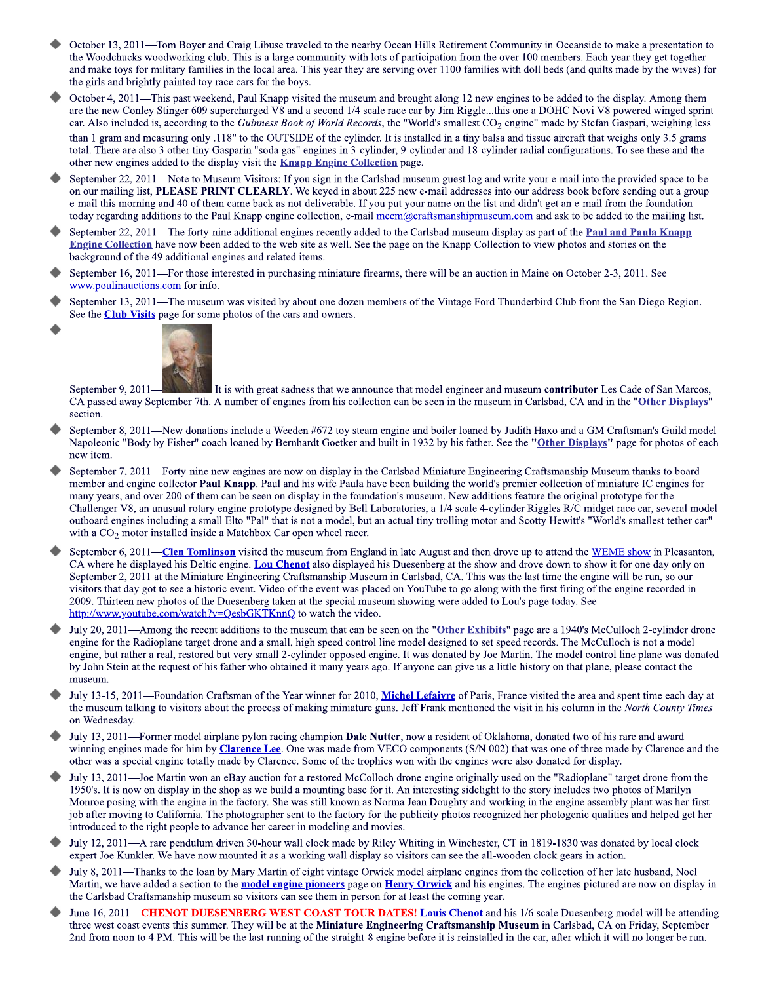- October 13, 2011—Tom Boyer and Craig Libuse traveled to the nearby Ocean Hills Retirement Community in Oceanside to make a presentation to the Woodchucks woodworking club. This is a large community with lots of participation from the over 100 members. Each year they get together and make toys for military families in the local area. This year they are serving over 1100 families with doll beds (and quilts made by the wives) for the girls and brightly painted toy race cars for the boys.
- October 4, 2011—This past weekend, Paul Knapp visited the museum and brought along 12 new engines to be added to the display. Among them are the new Conley Stinger 609 supercharged V8 and a second 1/4 scale race car by Jim Riggle...this one a DOHC Novi V8 powered winged sprint car. Also included is, according to the Guinness Book of World Records, the "World's smallest  $CO_2$  engine" made by Stefan Gaspari, weighing less than 1 gram and measuring only .118" to the OUTSIDE of the cylinder. It is installed in a tiny balsa and tissue aircraft that weighs only 3.5 grams total. There are also 3 other tiny Gasparin "soda gas" engines in 3-cylinder, 9-cylinder and 18-cylinder radial configurations. To see these and the other new engines added to the display visit the **Knapp Engine Collection** page.
- September 22, 2011—Note to Museum Visitors: If you sign in the Carlsbad museum guest log and write your e-mail into the provided space to be on our mailing list, PLEASE PRINT CLEARLY. We keyed in about 225 new e-mail addresses into our address book before sending out a group e-mail this morning and 40 of them came back as not deliverable. If you put your name on the list and didn't get an e-mail from the foundation today regarding additions to the Paul Knapp engine collection, e-mail mecm@craftsmanshipmuseum.com and ask to be added to the mailing list.
- September 22, 2011—The forty-nine additional engines recently added to the Carlsbad museum display as part of the **Paul and Paula Knapp** Engine Collection have now been added to the web site as well. See the page on the Knapp Collection to view photos and stories on the background of the 49 additional engines and related items.
- September 16, 2011—For those interested in purchasing miniature firearms, there will be an auction in Maine on October 2-3, 2011. See www.poulinauctions.com for info.
- September 13, 2011—The museum was visited by about one dozen members of the Vintage Ford Thunderbird Club from the San Diego Region. See the **Club Visits** page for some photos of the cars and owners.



September 9, 2011-It is with great sadness that we announce that model engineer and museum contributor Les Cade of San Marcos, CA passed away September 7th. A number of engines from his collection can be seen in the museum in Carlsbad, CA and in the "Other Displays" section.

- September 8, 2011—New donations include a Weeden #672 toy steam engine and boiler loaned by Judith Haxo and a GM Craftsman's Guild model Napoleonic "Body by Fisher" coach loaned by Bernhardt Goetker and built in 1932 by his father. See the "Other Displays" page for photos of each new item.
- September 7, 2011—Forty-nine new engines are now on display in the Carlsbad Miniature Engineering Craftsmanship Museum thanks to board member and engine collector Paul Knapp. Paul and his wife Paula have been building the world's premier collection of miniature IC engines for many years, and over 200 of them can be seen on display in the foundation's museum. New additions feature the original prototype for the Challenger V8, an unusual rotary engine prototype designed by Bell Laboratories, a 1/4 scale 4-cylinder Riggles R/C midget race car, several model outboard engines including a small Elto "Pal" that is not a model, but an actual tiny trolling motor and Scotty Hewitt's "World's smallest tether car" with a CO<sub>2</sub> motor installed inside a Matchbox Car open wheel racer.
- September 6, 2011—Clen Tomlinson visited the museum from England in late August and then drove up to attend the WEME show in Pleasanton, CA where he displayed his Deltic engine. Lou Chenot also displayed his Duesenberg at the show and drove down to show it for one day only on September 2, 2011 at the Miniature Engineering Craftsmanship Museum in Carlsbad, CA. This was the last time the engine will be run, so our visitors that day got to see a historic event. Video of the event was placed on YouTube to go along with the first firing of the engine recorded in 2009. Thirteen new photos of the Duesenberg taken at the special museum showing were added to Lou's page today. See http://www.youtube.com/watch?v=OesbGKTKnnO to watch the video.
- July 20, 2011—Among the recent additions to the museum that can be seen on the "Other Exhibits" page are a 1940's McCulloch 2-cylinder drone engine for the Radioplane target drone and a small, high speed control line model designed to set speed records. The McCulloch is not a model engine, but rather a real, restored but very small 2-cylinder opposed engine. It was donated by Joe Martin. The model control line plane was donated by John Stein at the request of his father who obtained it many years ago. If anyone can give us a little history on that plane, please contact the museum.
- July 13-15, 2011—Foundation Craftsman of the Year winner for 2010, Michel Lefaivre of Paris, France visited the area and spent time each day at the museum talking to visitors about the process of making miniature guns. Jeff Frank mentioned the visit in his column in the *North County Times* on Wednesday.
- July 13, 2011-Former model airplane pylon racing champion Dale Nutter, now a resident of Oklahoma, donated two of his rare and award winning engines made for him by **Clarence Lee**. One was made from VECO components (S/N 002) that was one of three made by Clarence and the other was a special engine totally made by Clarence. Some of the trophies won with the engines were also donated for display.
- July 13, 2011—Joe Martin won an eBay auction for a restored McColloch drone engine originally used on the "Radioplane" target drone from the 1950's. It is now on display in the shop as we build a mounting base for it. An interesting sidelight to the story includes two photos of Marilyn Monroe posing with the engine in the factory. She was still known as Norma Jean Doughty and working in the engine assembly plant was her first job after moving to California. The photographer sent to the factory for the publicity photos recognized her photogenic qualities and helped get her introduced to the right people to advance her career in modeling and movies.
- July 12, 2011—A rare pendulum driven 30-hour wall clock made by Riley Whiting in Winchester, CT in 1819-1830 was donated by local clock expert Joe Kunkler. We have now mounted it as a working wall display so visitors can see the all-wooden clock gears in action.
- July 8, 2011—Thanks to the loan by Mary Martin of eight vintage Orwick model airplane engines from the collection of her late husband, Noel Martin, we have added a section to the **model engine pioneers** page on **Henry Orwick** and his engines. The engines pictured are now on display in the Carlsbad Craftsmanship museum so visitors can see them in person for at least the coming year.
- June 16, 2011—CHENOT DUESENBERG WEST COAST TOUR DATES! Louis Chenot and his 1/6 scale Duesenberg model will be attending three west coast events this summer. They will be at the Miniature Engineering Craftsmanship Museum in Carlsbad, CA on Friday, September 2nd from noon to 4 PM. This will be the last running of the straight-8 engine before it is reinstalled in the car, after which it will no longer be run.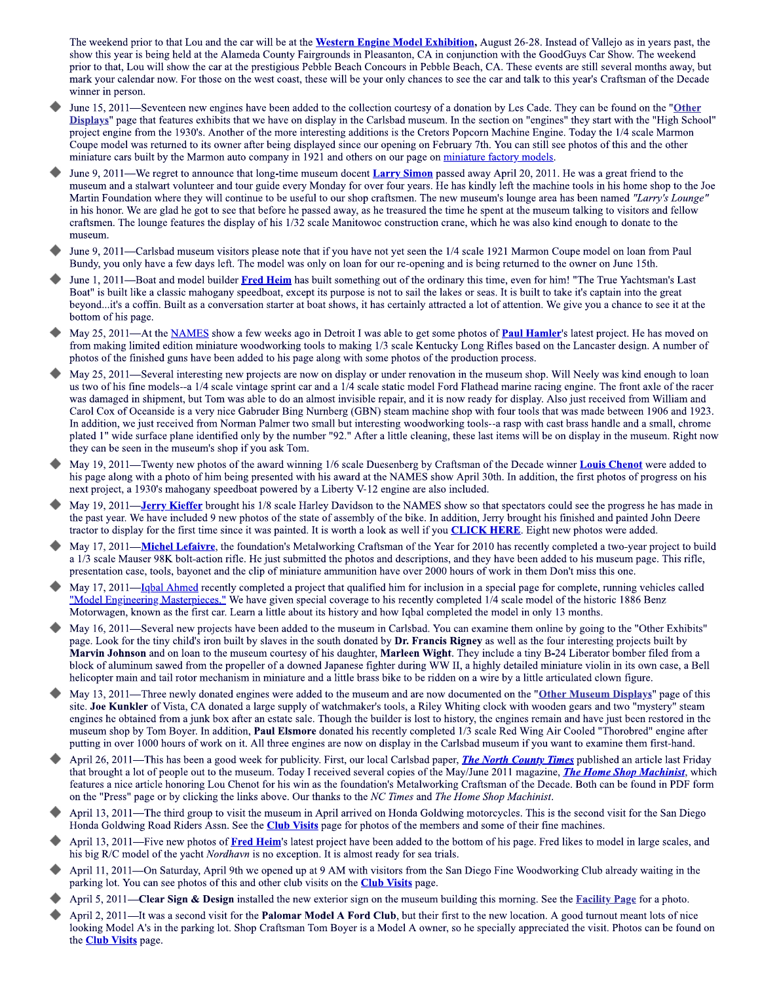The weekend prior to that Lou and the car will be at the Western Engine Model Exhibition, August 26-28. Instead of Vallejo as in years past, the show this year is being held at the Alameda County Fairgrounds in Pleasanton, CA in conjunction with the GoodGuys Car Show. The weekend prior to that, Lou will show the car at the prestigious Pebble Beach Concours in Pebble Beach, CA. These events are still several months away, but mark your calendar now. For those on the west coast, these will be your only chances to see the car and talk to this year's Craftsman of the Decade winner in person.

- June 15, 2011—Seventeen new engines have been added to the collection courtesy of a donation by Les Cade. They can be found on the "Other Displays" page that features exhibits that we have on display in the Carlsbad museum. In the section on "engines" they start with the "High School" project engine from the 1930's. Another of the more interesting additions is the Cretors Popcorn Machine Engine. Today the 1/4 scale Marmon Coupe model was returned to its owner after being displayed since our opening on February 7th. You can still see photos of this and the other miniature cars built by the Marmon auto company in 1921 and others on our page on miniature factory models.
- June 9, 2011—We regret to announce that long-time museum docent Larry Simon passed away April 20, 2011. He was a great friend to the museum and a stalwart volunteer and tour guide every Monday for over four years. He has kindly left the machine tools in his home shop to the Joe Martin Foundation where they will continue to be useful to our shop craftsmen. The new museum's lounge area has been named "Larry's Lounge' in his honor. We are glad he got to see that before he passed away, as he treasured the time he spent at the museum talking to visitors and fellow craftsmen. The lounge features the display of his 1/32 scale Manitowoc construction crane, which he was also kind enough to donate to the museum.
- June 9, 2011—Carlsbad museum visitors please note that if you have not yet seen the 1/4 scale 1921 Marmon Coupe model on loan from Paul Bundy, you only have a few days left. The model was only on loan for our re-opening and is being returned to the owner on June 15th.
- June 1, 2011-Boat and model builder Fred Heim has built something out of the ordinary this time, even for him! "The True Yachtsman's Last Boat" is built like a classic mahogany speedboat, except its purpose is not to sail the lakes or seas. It is built to take it's captain into the great beyond...it's a coffin. Built as a conversation starter at boat shows, it has certainly attracted a lot of attention. We give you a chance to see it at the bottom of his page.
- May 25, 2011—At the NAMES show a few weeks ago in Detroit I was able to get some photos of Paul Hamler's latest project. He has moved on from making limited edition miniature woodworking tools to making 1/3 scale Kentucky Long Rifles based on the Lancaster design. A number of photos of the finished guns have been added to his page along with some photos of the production process.
- May 25, 2011—Several interesting new projects are now on display or under renovation in the museum shop. Will Neely was kind enough to loan us two of his fine models--a 1/4 scale vintage sprint car and a 1/4 scale static model Ford Flathead marine racing engine. The front axle of the racer was damaged in shipment, but Tom was able to do an almost invisible repair, and it is now ready for display. Also just received from William and Carol Cox of Oceanside is a very nice Gabruder Bing Nurnberg (GBN) steam machine shop with four tools that was made between 1906 and 1923. In addition, we just received from Norman Palmer two small but interesting woodworking tools--a rasp with cast brass handle and a small, chrome plated 1" wide surface plane identified only by the number "92." After a little cleaning, these last items will be on display in the museum. Right now they can be seen in the museum's shop if you ask Tom.
- May 19, 2011—Twenty new photos of the award winning 1/6 scale Duesenberg by Craftsman of the Decade winner Louis Chenot were added to his page along with a photo of him being presented with his award at the NAMES show April 30th. In addition, the first photos of progress on his next project, a 1930's mahogany speedboat powered by a Liberty V-12 engine are also included.
- May 19, 2011—**Jerry Kieffer** brought his 1/8 scale Harley Davidson to the NAMES show so that spectators could see the progress he has made in the past year. We have included 9 new photos of the state of assembly of the bike. In addition, Jerry brought his finished and painted John Deere tractor to display for the first time since it was painted. It is worth a look as well if you **CLICK HERE**. Eight new photos were added.
- May 17, 2011—Michel Lefaivre, the foundation's Metalworking Craftsman of the Year for 2010 has recently completed a two-year project to build a 1/3 scale Mauser 98K bolt-action rifle. He just submitted the photos and descriptions, and they have been added to his museum page. This rifle, presentation case, tools, bayonet and the clip of miniature ammunition have over 2000 hours of work in them Don't miss this one.
- May 17, 2011—Ighal Ahmed recently completed a project that qualified him for inclusion in a special page for complete, running vehicles called "Model Engineering Masterpieces." We have given special coverage to his recently completed 1/4 scale model of the historic 1886 Benz Motorwagen, known as the first car. Learn a little about its history and how Iqbal completed the model in only 13 months.
- May 16, 2011—Several new projects have been added to the museum in Carlsbad. You can examine them online by going to the "Other Exhibits" page. Look for the tiny child's iron built by slaves in the south donated by Dr. Francis Rigney as well as the four interesting projects built by Marvin Johnson and on loan to the museum courtesy of his daughter, Marleen Wight. They include a tiny B-24 Liberator bomber filed from a block of aluminum sawed from the propeller of a downed Japanese fighter during WW II, a highly detailed miniature violin in its own case, a Bell helicopter main and tail rotor mechanism in miniature and a little brass bike to be ridden on a wire by a little articulated clown figure.
- May 13, 2011—Three newly donated engines were added to the museum and are now documented on the "Other Museum Displays" page of this site. Joe Kunkler of Vista, CA donated a large supply of watchmaker's tools, a Riley Whiting clock with wooden gears and two "mystery" steam engines he obtained from a junk box after an estate sale. Though the builder is lost to history, the engines remain and have just been restored in the museum shop by Tom Boyer. In addition, Paul Elsmore donated his recently completed 1/3 scale Red Wing Air Cooled "Thorobred" engine after putting in over 1000 hours of work on it. All three engines are now on display in the Carlsbad museum if you want to examine them first-hand.
- April 26, 2011—This has been a good week for publicity. First, our local Carlsbad paper, *The North County Times* published an article last Friday that brought a lot of people out to the museum. Today I received several copies of the May/June 2011 magazine, *The Home Shop Machinist*, which features a nice article honoring Lou Chenot for his win as the foundation's Metalworking Craftsman of the Decade. Both can be found in PDF form on the "Press" page or by clicking the links above. Our thanks to the NC Times and The Home Shop Machinist.
- April 13, 2011—The third group to visit the museum in April arrived on Honda Goldwing motorcycles. This is the second visit for the San Diego Honda Goldwing Road Riders Assn. See the Club Visits page for photos of the members and some of their fine machines.
- April 13, 2011—Five new photos of Fred Heim's latest project have been added to the bottom of his page. Fred likes to model in large scales, and his big R/C model of the yacht *Nordhavn* is no exception. It is almost ready for sea trials.
- April 11, 2011—On Saturday, April 9th we opened up at 9 AM with visitors from the San Diego Fine Woodworking Club already waiting in the parking lot. You can see photos of this and other club visits on the **Club Visits** page.
- April 5, 2011—Clear Sign & Design installed the new exterior sign on the museum building this morning. See the **Facility Page** for a photo.
- April 2, 2011—It was a second visit for the Palomar Model A Ford Club, but their first to the new location. A good turnout meant lots of nice looking Model A's in the parking lot. Shop Craftsman Tom Boyer is a Model A owner, so he specially appreciated the visit. Photos can be found on the **Club Visits** page.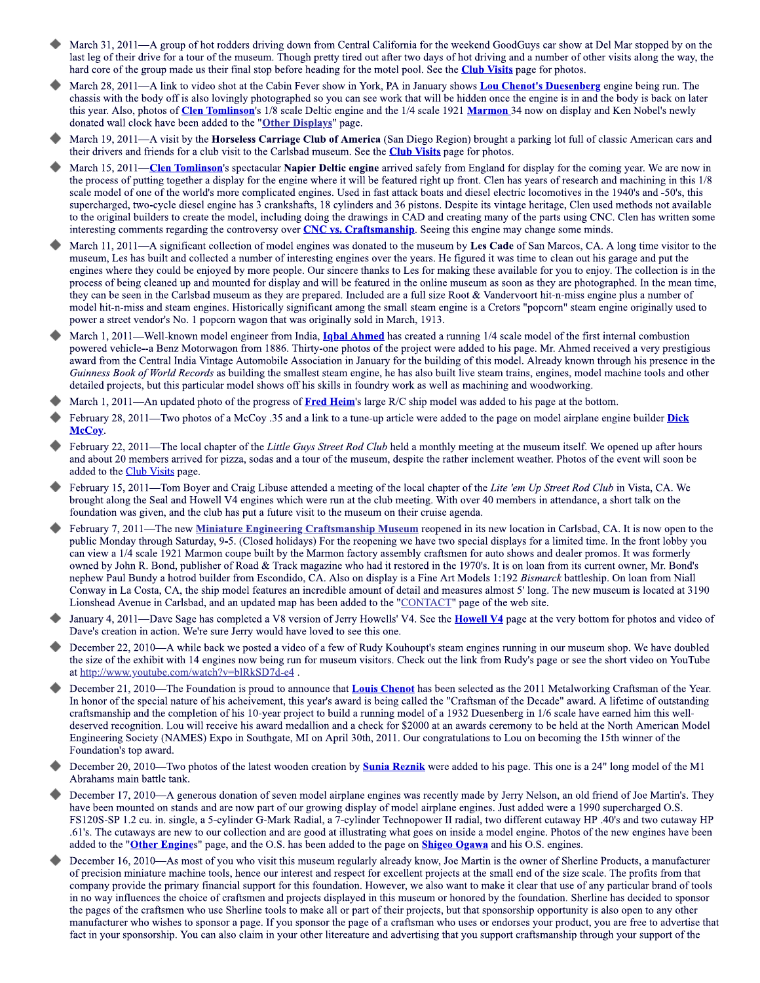- March 31, 2011—A group of hot rodders driving down from Central California for the weekend GoodGuys car show at Del Mar stopped by on the last leg of their drive for a tour of the museum. Though pretty tired out after two days of hot driving and a number of other visits along the way, the hard core of the group made us their final stop before heading for the motel pool. See the Club Visits page for photos.
- March 28, 2011—A link to video shot at the Cabin Fever show in York, PA in January shows Lou Chenot's Duesenberg engine being run. The chassis with the body off is also lovingly photographed so you can see work that will be hidden once the engine is in and the body is back on later this year. Also, photos of Clen Tomlinson's 1/8 scale Deltic engine and the 1/4 scale 1921 Marmon 34 now on display and Ken Nobel's newly donated wall clock have been added to the "Other Displays" page.
- March 19, 2011-A visit by the Horseless Carriage Club of America (San Diego Region) brought a parking lot full of classic American cars and their drivers and friends for a club visit to the Carlsbad museum. See the Club Visits page for photos.
- March 15, 2011—Clen Tomlinson's spectacular Napier Deltic engine arrived safely from England for display for the coming year. We are now in the process of putting together a display for the engine where it will be featured right up front. Clen has years of research and machining in this 1/8 scale model of one of the world's more complicated engines. Used in fast attack boats and diesel electric locomotives in the 1940's and -50's, this supercharged, two-cycle diesel engine has 3 crankshafts, 18 cylinders and 36 pistons. Despite its vintage heritage, Clen used methods not available to the original builders to create the model, including doing the drawings in CAD and creating many of the parts using CNC. Clen has written some interesting comments regarding the controversy over CNC vs. Craftsmanship. Seeing this engine may change some minds.
- March 11, 2011—A significant collection of model engines was donated to the museum by Les Cade of San Marcos, CA. A long time visitor to the museum, Les has built and collected a number of interesting engines over the years. He figured it was time to clean out his garage and put the engines where they could be enjoyed by more people. Our sincere thanks to Les for making these available for you to enjoy. The collection is in the process of being cleaned up and mounted for display and will be featured in the online museum as soon as they are photographed. In the mean time, they can be seen in the Carlsbad museum as they are prepared. Included are a full size Root & Vandervoort hit-n-miss engine plus a number of model hit-n-miss and steam engines. Historically significant among the small steam engine is a Cretors "popcorn" steam engine originally used to power a street vendor's No. 1 popcorn wagon that was originally sold in March, 1913.
- March 1, 2011—Well-known model engineer from India, *Ighal Ahmed* has created a running 1/4 scale model of the first internal combustion powered vehicle--a Benz Motorwagon from 1886. Thirty-one photos of the project were added to his page. Mr. Ahmed received a very prestigious award from the Central India Vintage Automobile Association in January for the building of this model. Already known through his presence in the Guinness Book of World Records as building the smallest steam engine, he has also built live steam trains, engines, model machine tools and other detailed projects, but this particular model shows off his skills in foundry work as well as machining and woodworking.
- March 1, 2011—An updated photo of the progress of Fred Heim's large R/C ship model was added to his page at the bottom.
- February 28, 2011—Two photos of a McCoy .35 and a link to a tune-up article were added to the page on model airplane engine builder Dick McCoy.
- February 22, 2011—The local chapter of the Little Guys Street Rod Club held a monthly meeting at the museum itself. We opened up after hours and about 20 members arrived for pizza, sodas and a tour of the museum, despite the rather inclement weather. Photos of the event will soon be added to the Club Visits page.
- February 15, 2011—Tom Boyer and Craig Libuse attended a meeting of the local chapter of the Lite 'em Up Street Rod Club in Vista, CA. We brought along the Seal and Howell V4 engines which were run at the club meeting. With over 40 members in attendance, a short talk on the foundation was given, and the club has put a future visit to the museum on their cruise agenda.
- February 7, 2011—The new Miniature Engineering Craftsmanship Museum reopened in its new location in Carlsbad, CA. It is now open to the public Monday through Saturday, 9-5. (Closed holidays) For the reopening we have two special displays for a limited time. In the front lobby you can view a 1/4 scale 1921 Marmon coupe built by the Marmon factory assembly craftsmen for auto shows and dealer promos. It was formerly owned by John R. Bond, publisher of Road & Track magazine who had it restored in the 1970's. It is on loan from its current owner, Mr. Bond's nephew Paul Bundy a hotrod builder from Escondido, CA. Also on display is a Fine Art Models 1:192 Bismarck battleship. On loan from Niall Conway in La Costa, CA, the ship model features an incredible amount of detail and measures almost 5' long. The new museum is located at 3190 Lionshead Avenue in Carlsbad, and an updated map has been added to the "CONTACT" page of the web site.
- January 4, 2011—Dave Sage has completed a V8 version of Jerry Howells' V4. See the **Howell V4** page at the very bottom for photos and video of Dave's creation in action. We're sure Jerry would have loved to see this one.
- December 22, 2010—A while back we posted a video of a few of Rudy Kouhoupt's steam engines running in our museum shop. We have doubled the size of the exhibit with 14 engines now being run for museum visitors. Check out the link from Rudy's page or see the short video on YouTube at http://www.youtube.com/watch?v=blRkSD7d-e4.
- December 21, 2010—The Foundation is proud to announce that Louis Chenot has been selected as the 2011 Metalworking Craftsman of the Year. In honor of the special nature of his acheivement, this year's award is being called the "Craftsman of the Decade" award. A lifetime of outstanding craftsmanship and the completion of his 10-year project to build a running model of a 1932 Duesenberg in 1/6 scale have earned him this welldeserved recognition. Lou will receive his award medallion and a check for \$2000 at an awards ceremony to be held at the North American Model Engineering Society (NAMES) Expo in Southgate, MI on April 30th, 2011. Our congratulations to Lou on becoming the 15th winner of the Foundation's top award.
- December 20, 2010—Two photos of the latest wooden creation by **Sunia Reznik** were added to his page. This one is a 24" long model of the M1 Abrahams main battle tank.
- December 17, 2010—A generous donation of seven model airplane engines was recently made by Jerry Nelson, an old friend of Joe Martin's. They have been mounted on stands and are now part of our growing display of model airplane engines. Just added were a 1990 supercharged O.S. FS120S-SP 1.2 cu. in. single, a 5-cylinder G-Mark Radial, a 7-cylinder Technopower II radial, two different cutaway HP .40's and two cutaway HP .61's. The cutaways are new to our collection and are good at illustrating what goes on inside a model engine. Photos of the new engines have been added to the "Other Engines" page, and the O.S. has been added to the page on Shigeo Ogawa and his O.S. engines.
- December 16, 2010—As most of you who visit this museum regularly already know, Joe Martin is the owner of Sherline Products, a manufacturer of precision miniature machine tools, hence our interest and respect for excellent projects at the small end of the size scale. The profits from that company provide the primary financial support for this foundation. However, we also want to make it clear that use of any particular brand of tools in no way influences the choice of craftsmen and projects displayed in this museum or honored by the foundation. Sherline has decided to sponsor the pages of the craftsmen who use Sherline tools to make all or part of their projects, but that sponsorship opportunity is also open to any other manufacturer who wishes to sponsor a page. If you sponsor the page of a craftsman who uses or endorses your product, you are free to advertise that fact in your sponsorship. You can also claim in your other litereature and advertising that you support craftsmanship through your support of the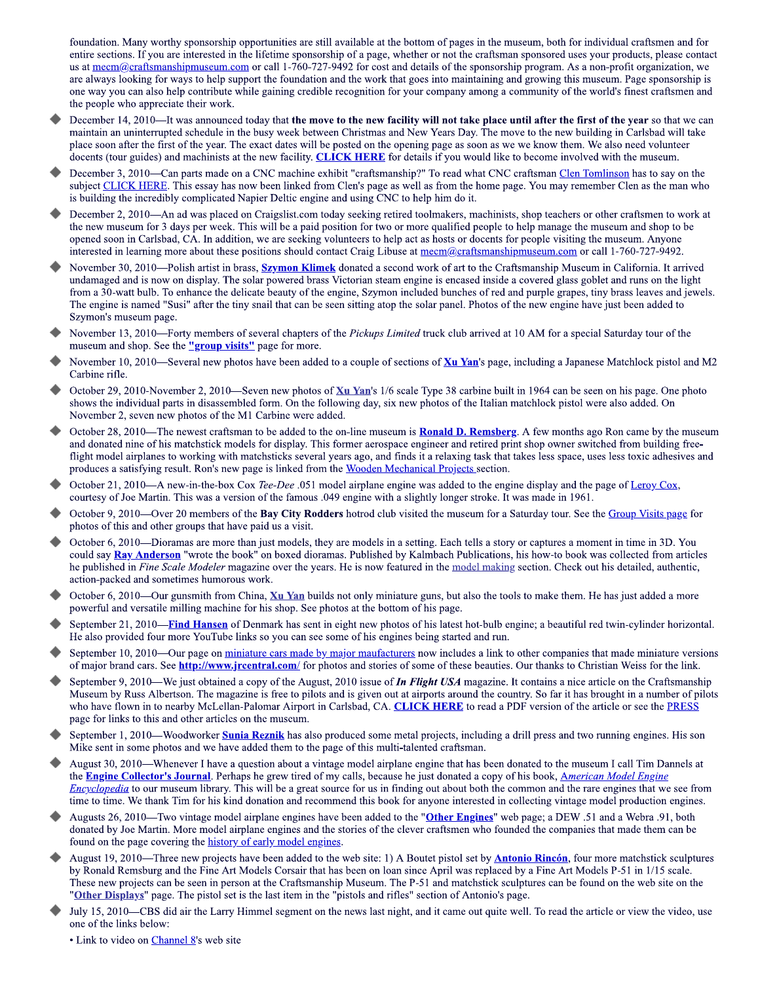foundation. Many worthy sponsorship opportunities are still available at the bottom of pages in the museum, both for individual craftsmen and for entire sections. If you are interested in the lifetime sponsorship of a page, whether or not the craftsman sponsored uses your products, please contact us at mecm@craftsmanshipmuseum.com or call 1-760-727-9492 for cost and details of the sponsorship program. As a non-profit organization, we are always looking for ways to help support the foundation and the work that goes into maintaining and growing this museum. Page sponsorship is one way you can also help contribute while gaining credible recognition for your company among a community of the world's finest craftsmen and the people who appreciate their work.

- December 14, 2010-It was announced today that the move to the new facility will not take place until after the first of the year so that we can maintain an uninterrupted schedule in the busy week between Christmas and New Years Day. The move to the new building in Carlsbad will take place soon after the first of the year. The exact dates will be posted on the opening page as soon as we we know them. We also need volunteer docents (tour guides) and machinists at the new facility. CLICK HERE for details if you would like to become involved with the museum.
- December 3, 2010—Can parts made on a CNC machine exhibit "craftsmanship?" To read what CNC craftsman Clen Tomlinson has to say on the subject CLICK HERE. This essay has now been linked from Clen's page as well as from the home page. You may remember Clen as the man who is building the incredibly complicated Napier Deltic engine and using CNC to help him do it.
- December 2, 2010—An ad was placed on Craigslist.com today seeking retired toolmakers, machinists, shop teachers or other craftsmen to work at the new museum for 3 days per week. This will be a paid position for two or more qualified people to help manage the museum and shop to be opened soon in Carlsbad, CA. In addition, we are seeking volunteers to help act as hosts or docents for people visiting the museum. Anyone interested in learning more about these positions should contact Craig Libuse at mecm@craftsmanshipmuseum.com or call 1-760-727-9492.
- November 30, 2010—Polish artist in brass, **Szymon Klimek** donated a second work of art to the Craftsmanship Museum in California. It arrived undamaged and is now on display. The solar powered brass Victorian steam engine is encased inside a covered glass goblet and runs on the light from a 30-watt bulb. To enhance the delicate beauty of the engine, Szymon included bunches of red and purple grapes, tiny brass leaves and jewels. The engine is named "Susi" after the tiny snail that can be seen sitting atop the solar panel. Photos of the new engine have just been added to Szymon's museum page.
- November 13, 2010—Forty members of several chapters of the Pickups Limited truck club arrived at 10 AM for a special Saturday tour of the museum and shop. See the "group visits" page for more.
- November 10, 2010—Several new photos have been added to a couple of sections of Xu Yan's page, including a Japanese Matchlock pistol and M2 Carbine rifle.
- October 29, 2010-November 2, 2010—Seven new photos of Xu Yan's 1/6 scale Type 38 carbine built in 1964 can be seen on his page. One photo shows the individual parts in disassembled form. On the following day, six new photos of the Italian matchlock pistol were also added. On November 2, seven new photos of the M1 Carbine were added.
- October 28, 2010—The newest craftsman to be added to the on-line museum is **Ronald D. Remsberg**. A few months ago Ron came by the museum and donated nine of his matchstick models for display. This former aerospace engineer and retired print shop owner switched from building freeflight model airplanes to working with matchsticks several years ago, and finds it a relaxing task that takes less space, uses less toxic adhesives and produces a satisfying result. Ron's new page is linked from the Wooden Mechanical Projects section.
- October 21, 2010—A new-in-the-box Cox Tee-Dee .051 model airplane engine was added to the engine display and the page of Leroy Cox, courtesy of Joe Martin. This was a version of the famous .049 engine with a slightly longer stroke. It was made in 1961.
- October 9, 2010—Over 20 members of the Bay City Rodders hotrod club visited the museum for a Saturday tour. See the Group Visits page for photos of this and other groups that have paid us a visit.
- October 6, 2010-Dioramas are more than just models, they are models in a setting. Each tells a story or captures a moment in time in 3D. You could say **Ray Anderson** "wrote the book" on boxed dioramas. Published by Kalmbach Publications, his how-to book was collected from articles he published in Fine Scale Modeler magazine over the years. He is now featured in the model making section. Check out his detailed, authentic, action-packed and sometimes humorous work.
- October 6, 2010—Our gunsmith from China, Xu Yan builds not only miniature guns, but also the tools to make them. He has just added a more powerful and versatile milling machine for his shop. See photos at the bottom of his page.
- September 21, 2010—Find Hansen of Denmark has sent in eight new photos of his latest hot-bulb engine; a beautiful red twin-cylinder horizontal. He also provided four more YouTube links so you can see some of his engines being started and run.
- September 10, 2010—Our page on miniature cars made by major maufacturers now includes a link to other companies that made miniature versions of major brand cars. See http://www.jrcentral.com/ for photos and stories of some of these beauties. Our thanks to Christian Weiss for the link.
- September 9, 2010—We just obtained a copy of the August, 2010 issue of *In Flight USA* magazine. It contains a nice article on the Craftsmanship Museum by Russ Albertson. The magazine is free to pilots and is given out at airports around the country. So far it has brought in a number of pilots who have flown in to nearby McLellan-Palomar Airport in Carlsbad, CA. CLICK HERE to read a PDF version of the article or see the PRESS page for links to this and other articles on the museum.
- September 1, 2010—Woodworker Sunia Reznik has also produced some metal projects, including a drill press and two running engines. His son Mike sent in some photos and we have added them to the page of this multi-talented craftsman.
- August 30, 2010—Whenever I have a question about a vintage model airplane engine that has been donated to the museum I call Tim Dannels at the **Engine Collector's Journal**. Perhaps he grew tired of my calls, because he just donated a copy of his book, *American Model Engine Encyclopedia* to our museum library. This will be a great source for us in finding out about both the common and the rare engines that we see from time to time. We thank Tim for his kind donation and recommend this book for anyone interested in collecting vintage model production engines.
- Augusts 26, 2010—Two vintage model airplane engines have been added to the "Other Engines" web page; a DEW .51 and a Webra .91, both donated by Joe Martin. More model airplane engines and the stories of the clever craftsmen who founded the companies that made them can be found on the page covering the history of early model engines.
- August 19, 2010—Three new projects have been added to the web site: 1) A Boutet pistol set by **Antonio Rincón**, four more matchstick sculptures by Ronald Remsburg and the Fine Art Models Corsair that has been on loan since April was replaced by a Fine Art Models P-51 in 1/15 scale. These new projects can be seen in person at the Craftsmanship Museum. The P-51 and matchstick sculptures can be found on the web site on the "Other Displays" page. The pistol set is the last item in the "pistols and rifles" section of Antonio's page.
- July 15, 2010—CBS did air the Larry Himmel segment on the news last night, and it came out quite well. To read the article or view the video, use one of the links below:

• Link to video on Channel 8's web site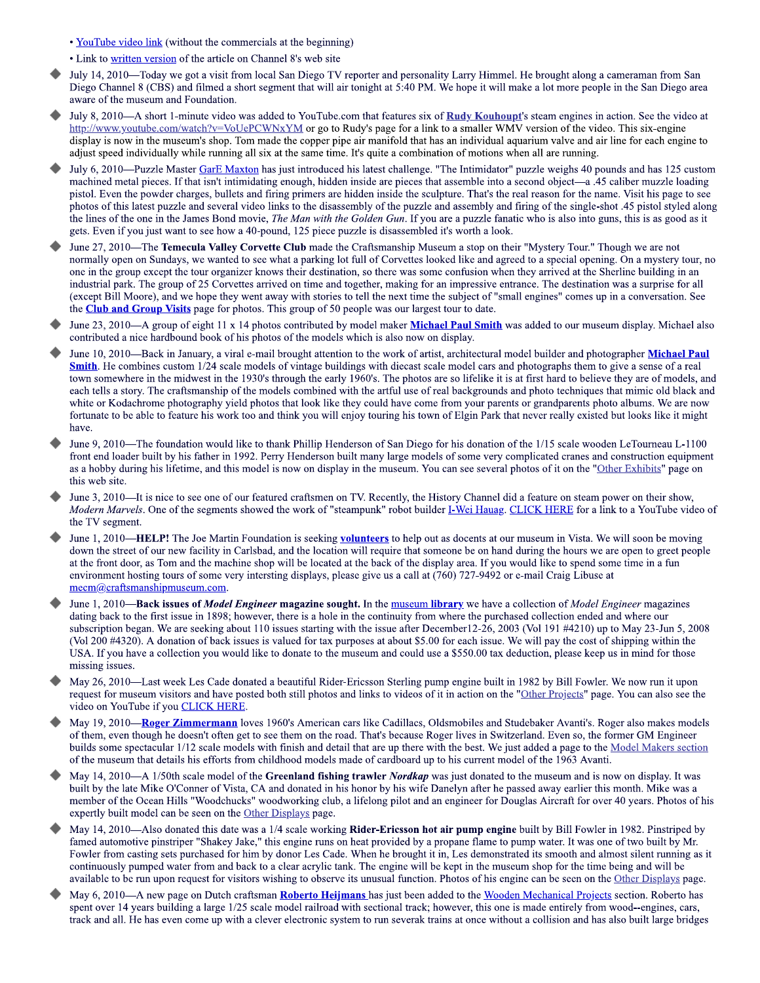• YouTube video link (without the commercials at the beginning)

- Link to written version of the article on Channel 8's web site
- July 14, 2010—Today we got a visit from local San Diego TV reporter and personality Larry Himmel. He brought along a cameraman from San Diego Channel 8 (CBS) and filmed a short segment that will air tonight at 5:40 PM. We hope it will make a lot more people in the San Diego area aware of the museum and Foundation.
- July 8, 2010—A short 1-minute video was added to YouTube.com that features six of Rudy Kouhoupt's steam engines in action. See the video at http://www.youtube.com/watch?v=VoUePCWNxYM or go to Rudy's page for a link to a smaller WMV version of the video. This six-engine display is now in the museum's shop. Tom made the copper pipe air manifold that has an individual aquarium valve and air line for each engine to adjust speed individually while running all six at the same time. It's quite a combination of motions when all are running.
- July 6, 2010—Puzzle Master GarE Maxton has just introduced his latest challenge. "The Intimidator" puzzle weighs 40 pounds and has 125 custom machined metal pieces. If that isn't intimidating enough, hidden inside are pieces that assemble into a second object—a .45 caliber muzzle loading pistol. Even the powder charges, bullets and firing primers are hidden inside the sculpture. That's the real reason for the name. Visit his page to see photos of this latest puzzle and several video links to the disassembly of the puzzle and assembly and firing of the single-shot .45 pistol styled along the lines of the one in the James Bond movie, *The Man with the Golden Gun*. If you are a puzzle fanatic who is also into guns, this is as good as it gets. Even if you just want to see how a 40-pound, 125 piece puzzle is disassembled it's worth a look.
- June 27, 2010—The Temecula Valley Corvette Club made the Craftsmanship Museum a stop on their "Mystery Tour." Though we are not normally open on Sundays, we wanted to see what a parking lot full of Corvettes looked like and agreed to a special opening. On a mystery tour, no one in the group except the tour organizer knows their destination, so there was some confusion when they arrived at the Sherline building in an industrial park. The group of 25 Corvettes arrived on time and together, making for an impressive entrance. The destination was a surprise for all (except Bill Moore), and we hope they went away with stories to tell the next time the subject of "small engines" comes up in a conversation. See the **Club and Group Visits** page for photos. This group of 50 people was our largest tour to date.
- June 23, 2010—A group of eight 11 x 14 photos contributed by model maker Michael Paul Smith was added to our museum display. Michael also contributed a nice hardbound book of his photos of the models which is also now on display.
- June 10, 2010—Back in January, a viral e-mail brought attention to the work of artist, architectural model builder and photographer Michael Paul **Smith**. He combines custom 1/24 scale models of vintage buildings with diecast scale model cars and photographs them to give a sense of a real town somewhere in the midwest in the 1930's through the early 1960's. The photos are so lifelike it is at first hard to believe they are of models, and each tells a story. The craftsmanship of the models combined with the artful use of real backgrounds and photo techniques that mimic old black and white or Kodachrome photography yield photos that look like they could have come from your parents or grandparents photo albums. We are now fortunate to be able to feature his work too and think you will enjoy touring his town of Elgin Park that never really existed but looks like it might have.
- June 9, 2010—The foundation would like to thank Phillip Henderson of San Diego for his donation of the 1/15 scale wooden LeTourneau L-1100 front end loader built by his father in 1992. Perry Henderson built many large models of some very complicated cranes and construction equipment as a hobby during his lifetime, and this model is now on display in the museum. You can see several photos of it on the "Other Exhibits" page on this web site.
- June 3, 2010—It is nice to see one of our featured craftsmen on TV. Recently, the History Channel did a feature on steam power on their show, Modern Marvels. One of the segments showed the work of "steampunk" robot builder I-Wei Hauag. CLICK HERE for a link to a YouTube video of the TV segment.
- June 1, 2010—HELP! The Joe Martin Foundation is seeking volunteers to help out as docents at our museum in Vista. We will soon be moving down the street of our new facility in Carlsbad, and the location will require that someone be on hand during the hours we are open to greet people at the front door, as Tom and the machine shop will be located at the back of the display area. If you would like to spend some time in a fun environment hosting tours of some very intersting displays, please give us a call at (760) 727-9492 or e-mail Craig Libuse at mecm@craftsmanshipmuseum.com.
- June 1, 2010—Back issues of *Model Engineer* magazine sought. In the museum library we have a collection of *Model Engineer* magazines dating back to the first issue in 1898; however, there is a hole in the continuity from where the purchased collection ended and where our subscription began. We are seeking about 110 issues starting with the issue after December12-26, 2003 (Vol 191 #4210) up to May 23-Jun 5, 2008 (Vol 200 #4320). A donation of back issues is valued for tax purposes at about \$5.00 for each issue. We will pay the cost of shipping within the USA. If you have a collection you would like to donate to the museum and could use a \$550.00 tax deduction, please keep us in mind for those missing issues.
- May 26, 2010—Last week Les Cade donated a beautiful Rider-Ericsson Sterling pump engine built in 1982 by Bill Fowler. We now run it upon request for museum visitors and have posted both still photos and links to videos of it in action on the "Other Projects" page. You can also see the video on YouTube if you CLICK HERE.
- May 19, 2010—Roger Zimmermann loves 1960's American cars like Cadillacs, Oldsmobiles and Studebaker Avanti's. Roger also makes models of them, even though he doesn't often get to see them on the road. That's because Roger lives in Switzerland. Even so, the former GM Engineer builds some spectacular 1/12 scale models with finish and detail that are up there with the best. We just added a page to the Model Makers section of the museum that details his efforts from childhood models made of cardboard up to his current model of the 1963 Avanti.
- May 14, 2010—A 1/50th scale model of the Greenland fishing trawler Nordkap was just donated to the museum and is now on display. It was built by the late Mike O'Conner of Vista, CA and donated in his honor by his wife Danelyn after he passed away earlier this month. Mike was a member of the Ocean Hills "Woodchucks" woodworking club, a lifelong pilot and an engineer for Douglas Aircraft for over 40 years. Photos of his expertly built model can be seen on the Other Displays page.
- May 14, 2010—Also donated this date was a 1/4 scale working Rider-Ericsson hot air pump engine built by Bill Fowler in 1982. Pinstriped by famed automotive pinstriper "Shakey Jake," this engine runs on heat provided by a propane flame to pump water. It was one of two built by Mr. Fowler from casting sets purchased for him by donor Les Cade. When he brought it in, Les demonstrated its smooth and almost silent running as it continuously pumped water from and back to a clear acrylic tank. The engine will be kept in the museum shop for the time being and will be available to be run upon request for visitors wishing to observe its unusual function. Photos of his engine can be seen on the Other Displays page.
- May 6, 2010—A new page on Dutch craftsman Roberto Heijmans has just been added to the Wooden Mechanical Projects section. Roberto has spent over 14 years building a large 1/25 scale model railroad with sectional track; however, this one is made entirely from wood--engines, cars, track and all. He has even come up with a clever electronic system to run severak trains at once without a collision and has also built large bridges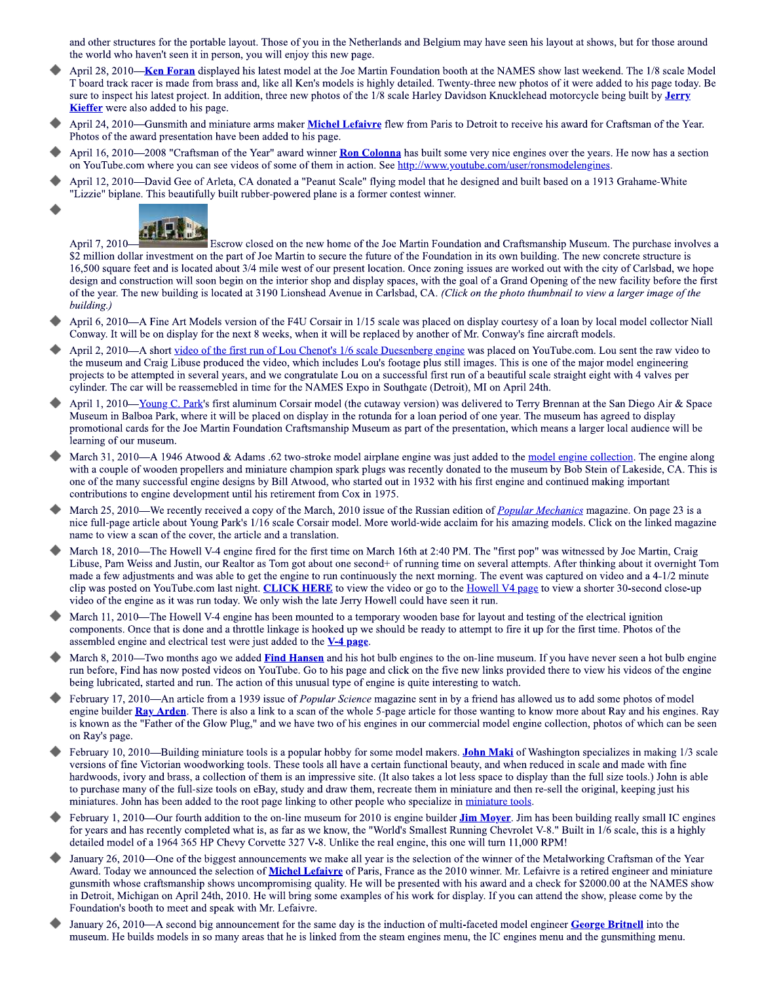and other structures for the portable layout. Those of you in the Netherlands and Belgium may have seen his layout at shows, but for those around the world who haven't seen it in person, you will enjoy this new page.

- April 28, 2010—Ken Foran displayed his latest model at the Joe Martin Foundation booth at the NAMES show last weekend. The 1/8 scale Model T board track racer is made from brass and, like all Ken's models is highly detailed. Twenty-three new photos of it were added to his page today. Be sure to inspect his latest project. In addition, three new photos of the 1/8 scale Harley Davidson Knucklehead motorcycle being built by Jerry **Kieffer** were also added to his page.
- April 24, 2010—Gunsmith and miniature arms maker Michel Lefaivre flew from Paris to Detroit to receive his award for Craftsman of the Year. Photos of the award presentation have been added to his page.
- April 16, 2010—2008 "Craftsman of the Year" award winner Ron Colonna has built some very nice engines over the years. He now has a section on YouTube.com where you can see videos of some of them in action. See http://www.youtube.com/user/ronsmodelengines.
- April 12, 2010—David Gee of Arleta, CA donated a "Peanut Scale" flying model that he designed and built based on a 1913 Grahame-White "Lizzie" biplane. This beautifully built rubber-powered plane is a former contest winner.



April 7, 2010-Escrow closed on the new home of the Joe Martin Foundation and Craftsmanship Museum. The purchase involves a \$2 million dollar investment on the part of Joe Martin to secure the future of the Foundation in its own building. The new concrete structure is 16,500 square feet and is located about 3/4 mile west of our present location. Once zoning issues are worked out with the city of Carlsbad, we hope design and construction will soon begin on the interior shop and display spaces, with the goal of a Grand Opening of the new facility before the first of the year. The new building is located at 3190 Lionshead Avenue in Carlsbad, CA. (Click on the photo thumbnail to view a larger image of the building.)

- April 6, 2010—A Fine Art Models version of the F4U Corsair in 1/15 scale was placed on display courtesy of a loan by local model collector Niall Conway. It will be on display for the next 8 weeks, when it will be replaced by another of Mr. Conway's fine aircraft models.
- April 2, 2010—A short video of the first run of Lou Chenot's 1/6 scale Duesenberg engine was placed on YouTube.com. Lou sent the raw video to the museum and Craig Libuse produced the video, which includes Lou's footage plus still images. This is one of the major model engineering projects to be attempted in several years, and we congratulate Lou on a successful first run of a beautiful scale straight eight with 4 valves per cylinder. The car will be reassemebled in time for the NAMES Expo in Southgate (Detroit), MI on April 24th.
- April 1, 2010—Young C. Park's first aluminum Corsair model (the cutaway version) was delivered to Terry Brennan at the San Diego Air & Space Museum in Balboa Park, where it will be placed on display in the rotunda for a loan period of one year. The museum has agreed to display promotional cards for the Joe Martin Foundation Craftsmanship Museum as part of the presentation, which means a larger local audience will be learning of our museum.
- March 31, 2010—A 1946 Atwood & Adams .62 two-stroke model airplane engine was just added to the model engine collection. The engine along with a couple of wooden propellers and miniature champion spark plugs was recently donated to the museum by Bob Stein of Lakeside, CA. This is one of the many successful engine designs by Bill Atwood, who started out in 1932 with his first engine and continued making important contributions to engine development until his retirement from Cox in 1975.
- March 25, 2010—We recently received a copy of the March, 2010 issue of the Russian edition of *Popular Mechanics* magazine. On page 23 is a nice full-page article about Young Park's 1/16 scale Corsair model. More world-wide acclaim for his amazing models. Click on the linked magazine name to view a scan of the cover, the article and a translation.
- March 18, 2010—The Howell V-4 engine fired for the first time on March 16th at 2:40 PM. The "first pop" was witnessed by Joe Martin, Craig Libuse, Pam Weiss and Justin, our Realtor as Tom got about one second+ of running time on several attempts. After thinking about it overnight Tom made a few adjustments and was able to get the engine to run continuously the next morning. The event was captured on video and a 4-1/2 minute clip was posted on YouTube.com last night. CLICK HERE to view the video or go to the Howell V4 page to view a shorter 30-second close-up video of the engine as it was run today. We only wish the late Jerry Howell could have seen it run.
- March 11, 2010—The Howell V-4 engine has been mounted to a temporary wooden base for layout and testing of the electrical ignition components. Once that is done and a throttle linkage is hooked up we should be ready to attempt to fire it up for the first time. Photos of the assembled engine and electrical test were just added to the **V-4 page**.
- March 8, 2010—Two months ago we added Find Hansen and his hot bulb engines to the on-line museum. If you have never seen a hot bulb engine run before, Find has now posted videos on YouTube. Go to his page and click on the five new links provided there to view his videos of the engine being lubricated, started and run. The action of this unusual type of engine is quite interesting to watch.
- February 17, 2010—An article from a 1939 issue of *Popular Science* magazine sent in by a friend has allowed us to add some photos of model engine builder Ray Arden. There is also a link to a scan of the whole 5-page article for those wanting to know more about Ray and his engines. Ray is known as the "Father of the Glow Plug," and we have two of his engines in our commercial model engine collection, photos of which can be seen on Ray's page.
- February 10, 2010—Building miniature tools is a popular hobby for some model makers. John Maki of Washington specializes in making 1/3 scale versions of fine Victorian woodworking tools. These tools all have a certain functional beauty, and when reduced in scale and made with fine hardwoods, ivory and brass, a collection of them is an impressive site. (It also takes a lot less space to display than the full size tools.) John is able to purchase many of the full-size tools on eBay, study and draw them, recreate them in miniature and then re-sell the original, keeping just his miniatures. John has been added to the root page linking to other people who specialize in miniature tools.
- February 1, 2010—Our fourth addition to the on-line museum for 2010 is engine builder **Jim Moyer**. Jim has been building really small IC engines for years and has recently completed what is, as far as we know, the "World's Smallest Running Chevrolet V-8." Built in 1/6 scale, this is a highly detailed model of a 1964 365 HP Chevy Corvette 327 V-8. Unlike the real engine, this one will turn 11,000 RPM!
- January 26, 2010—One of the biggest announcements we make all year is the selection of the winner of the Metalworking Craftsman of the Year Award. Today we announced the selection of Michel Lefaivre of Paris, France as the 2010 winner. Mr. Lefaivre is a retired engineer and miniature gunsmith whose craftsmanship shows uncompromising quality. He will be presented with his award and a check for \$2000.00 at the NAMES show in Detroit, Michigan on April 24th, 2010. He will bring some examples of his work for display. If you can attend the show, please come by the Foundation's booth to meet and speak with Mr. Lefaivre.
- January 26, 2010—A second big announcement for the same day is the induction of multi-faceted model engineer George Britnell into the museum. He builds models in so many areas that he is linked from the steam engines menu, the IC engines menu and the gunsmithing menu.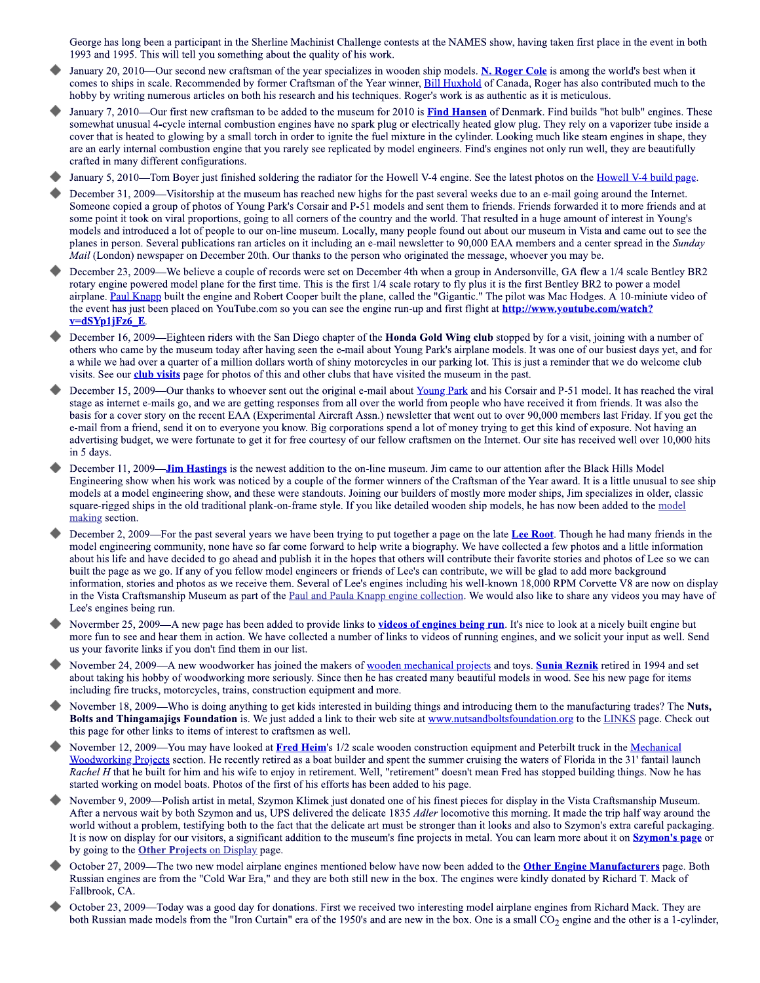George has long been a participant in the Sherline Machinist Challenge contests at the NAMES show, having taken first place in the event in both 1993 and 1995. This will tell you something about the quality of his work.

- January 20, 2010—Our second new craftsman of the year specializes in wooden ship models. N. Roger Cole is among the world's best when it comes to ships in scale. Recommended by former Craftsman of the Year winner, Bill Huxhold of Canada, Roger has also contributed much to the hobby by writing numerous articles on both his research and his techniques. Roger's work is as authentic as it is meticulous.
- January 7, 2010—Our first new craftsman to be added to the museum for 2010 is Find Hansen of Denmark. Find builds "hot bulb" engines. These somewhat unusual 4-cycle internal combustion engines have no spark plug or electrically heated glow plug. They rely on a vaporizer tube inside a cover that is heated to glowing by a small torch in order to ignite the fuel mixture in the cylinder. Looking much like steam engines in shape, they are an early internal combustion engine that you rarely see replicated by model engineers. Find's engines not only run well, they are beautifully crafted in many different configurations.
- January 5, 2010—Tom Boyer just finished soldering the radiator for the Howell V-4 engine. See the latest photos on the Howell V-4 build page.
- December 31, 2009—Visitorship at the museum has reached new highs for the past several weeks due to an e-mail going around the Internet. Someone copied a group of photos of Young Park's Corsair and P-51 models and sent them to friends. Friends forwarded it to more friends and at some point it took on viral proportions, going to all corners of the country and the world. That resulted in a huge amount of interest in Young's models and introduced a lot of people to our on-line museum. Locally, many people found out about our museum in Vista and came out to see the planes in person. Several publications ran articles on it including an e-mail newsletter to 90,000 EAA members and a center spread in the Sunday *Mail* (London) newspaper on December 20th. Our thanks to the person who originated the message, whoever you may be.
- December 23, 2009—We believe a couple of records were set on December 4th when a group in Andersonville, GA flew a 1/4 scale Bentley BR2 rotary engine powered model plane for the first time. This is the first 1/4 scale rotary to fly plus it is the first Bentley BR2 to power a model airplane. Paul Knapp built the engine and Robert Cooper built the plane, called the "Gigantic." The pilot was Mac Hodges. A 10-miniute video of the event has just been placed on YouTube.com so you can see the engine run-up and first flight at http://www.youtube.com/watch?  $v= dSYp1jFz6 E$
- December 16, 2009—Eighteen riders with the San Diego chapter of the Honda Gold Wing club stopped by for a visit, joining with a number of others who came by the museum today after having seen the e-mail about Young Park's airplane models. It was one of our busiest days yet, and for a while we had over a quarter of a million dollars worth of shiny motorcycles in our parking lot. This is just a reminder that we do welcome club visits. See our **club visits** page for photos of this and other clubs that have visited the museum in the past.
- December 15, 2009—Our thanks to whoever sent out the original e-mail about Young Park and his Corsair and P-51 model. It has reached the viral stage as internet e-mails go, and we are getting responses from all over the world from people who have received it from friends. It was also the basis for a cover story on the recent EAA (Experimental Aircraft Assn.) newsletter that went out to over 90,000 members last Friday. If you get the e-mail from a friend, send it on to everyone you know. Big corporations spend a lot of money trying to get this kind of exposure. Not having an advertising budget, we were fortunate to get it for free courtesy of our fellow craftsmen on the Internet. Our site has received well over 10,000 hits in 5 days.
- December 11, 2009—**Jim Hastings** is the newest addition to the on-line museum. Jim came to our attention after the Black Hills Model Engineering show when his work was noticed by a couple of the former winners of the Craftsman of the Year award. It is a little unusual to see ship models at a model engineering show, and these were standouts. Joining our builders of mostly more moder ships, Jim specializes in older, classic square-rigged ships in the old traditional plank-on-frame style. If you like detailed wooden ship models, he has now been added to the model making section.
- December 2, 2009—For the past several years we have been trying to put together a page on the late Lee Root. Though he had many friends in the model engineering community, none have so far come forward to help write a biography. We have collected a few photos and a little information about his life and have decided to go ahead and publish it in the hopes that others will contribute their favorite stories and photos of Lee so we can built the page as we go. If any of you fellow model engineers or friends of Lee's can contribute, we will be glad to add more background information, stories and photos as we receive them. Several of Lee's engines including his well-known 18,000 RPM Corvette V8 are now on display in the Vista Craftsmanship Museum as part of the Paul and Paula Knapp engine collection. We would also like to share any videos you may have of Lee's engines being run.
- Novermber 25, 2009—A new page has been added to provide links to videos of engines being run. It's nice to look at a nicely built engine but more fun to see and hear them in action. We have collected a number of links to videos of running engines, and we solicit your input as well. Send us your favorite links if you don't find them in our list.
- November 24, 2009—A new woodworker has joined the makers of wooden mechanical projects and toys. Sunia Reznik retired in 1994 and set about taking his hobby of woodworking more seriously. Since then he has created many beautiful models in wood. See his new page for items including fire trucks, motorcycles, trains, construction equipment and more.
- November 18, 2009—Who is doing anything to get kids interested in building things and introducing them to the manufacturing trades? The Nuts, Bolts and Thingamajigs Foundation is. We just added a link to their web site at www.nutsandboltsfoundation.org to the LINKS page. Check out this page for other links to items of interest to craftsmen as well.
- November 12, 2009—You may have looked at Fred Heim's 1/2 scale wooden construction equipment and Peterbilt truck in the Mechanical Woodworking Projects section. He recently retired as a boat builder and spent the summer cruising the waters of Florida in the 31' fantail launch Rachel H that he built for him and his wife to enjoy in retirement. Well, "retirement" doesn't mean Fred has stopped building things. Now he has started working on model boats. Photos of the first of his efforts has been added to his page.
- November 9, 2009—Polish artist in metal, Szymon Klimek just donated one of his finest pieces for display in the Vista Craftsmanship Museum. After a nervous wait by both Szymon and us, UPS delivered the delicate 1835 *Adler* locomotive this morning. It made the trip half way around the world without a problem, testifying both to the fact that the delicate art must be stronger than it looks and also to Szymon's extra careful packaging. It is now on display for our visitors, a significant addition to the museum's fine projects in metal. You can learn more about it on **Szymon's page** or by going to the **Other Projects** on Display page.
- October 27, 2009—The two new model airplane engines mentioned below have now been added to the Other Engine Manufacturers page. Both Russian engines are from the "Cold War Era," and they are both still new in the box. The engines were kindly donated by Richard T. Mack of Fallbrook, CA.
- October 23, 2009—Today was a good day for donations. First we received two interesting model airplane engines from Richard Mack. They are both Russian made models from the "Iron Curtain" era of the 1950's and are new in the box. One is a small CO<sub>2</sub> engine and the other is a 1-cylinder,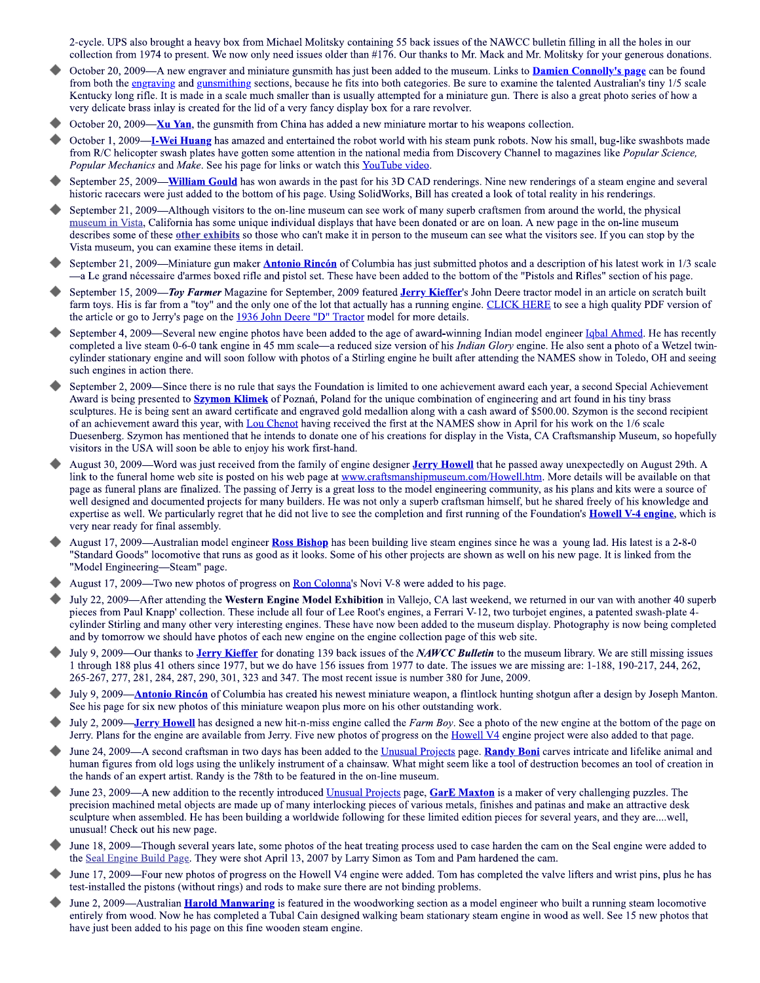2-cycle. UPS also brought a heavy box from Michael Molitsky containing 55 back issues of the NAWCC bulletin filling in all the holes in our collection from 1974 to present. We now only need issues older than #176. Our thanks to Mr. Mack and Mr. Molitsky for your generous donations.

- October 20, 2009—A new engraver and miniature gunsmith has just been added to the museum. Links to **Damien Connolly's page** can be found from both the engraving and gunsmithing sections, because he fits into both categories. Be sure to examine the talented Australian's tiny 1/5 scale Kentucky long rifle. It is made in a scale much smaller than is usually attempted for a miniature gun. There is also a great photo series of how a very delicate brass inlay is created for the lid of a very fancy display box for a rare revolver.
- October 20, 2009— $Xu$  Yan, the gunsmith from China has added a new miniature mortar to his weapons collection.
- October 1, 2009—**I-Wei Huang** has amazed and entertained the robot world with his steam punk robots. Now his small, bug-like swashbots made from R/C helicopter swash plates have gotten some attention in the national media from Discovery Channel to magazines like *Popular Science*, Popular Mechanics and Make. See his page for links or watch this YouTube video.
- September 25, 2009—**William Gould** has won awards in the past for his 3D CAD renderings. Nine new renderings of a steam engine and several historic racecars were just added to the bottom of his page. Using SolidWorks, Bill has created a look of total reality in his renderings.
- September 21, 2009—Although visitors to the on-line museum can see work of many superb craftsmen from around the world, the physical museum in Vista, California has some unique individual displays that have been donated or are on loan. A new page in the on-line museum describes some of these other exhibits so those who can't make it in person to the museum can see what the visitors see. If you can stop by the Vista museum, you can examine these items in detail.
- September 21, 2009—Miniature gun maker **Antonio Rincón** of Columbia has just submitted photos and a description of his latest work in 1/3 scale -a Le grand nécessaire d'armes boxed rifle and pistol set. These have been added to the bottom of the "Pistols and Rifles" section of his page.
- September 15, 2009—Toy Farmer Magazine for September, 2009 featured Jerry Kieffer's John Deere tractor model in an article on scratch built farm toys. His is far from a "toy" and the only one of the lot that actually has a running engine. CLICK HERE to see a high quality PDF version of the article or go to Jerry's page on the 1936 John Deere "D" Tractor model for more details.
- September 4, 2009—Several new engine photos have been added to the age of award-winning Indian model engineer Igbal Ahmed. He has recently completed a live steam 0-6-0 tank engine in 45 mm scale—a reduced size version of his Indian Glory engine. He also sent a photo of a Wetzel twincylinder stationary engine and will soon follow with photos of a Stirling engine he built after attending the NAMES show in Toledo, OH and seeing such engines in action there.
- September 2, 2009—Since there is no rule that says the Foundation is limited to one achievement award each year, a second Special Achievement Award is being presented to **Szymon Klimek** of Poznań, Poland for the unique combination of engineering and art found in his tiny brass sculptures. He is being sent an award certificate and engraved gold medallion along with a cash award of \$500.00. Szymon is the second recipient of an achievement award this year, with Lou Chenot having received the first at the NAMES show in April for his work on the 1/6 scale Duesenberg. Szymon has mentioned that he intends to donate one of his creations for display in the Vista, CA Craftsmanship Museum, so hopefully visitors in the USA will soon be able to enjoy his work first-hand.
- August 30, 2009-Word was just received from the family of engine designer Jerry Howell that he passed away unexpectedly on August 29th. A link to the funeral home web site is posted on his web page at www.craftsmanshipmuseum.com/Howell.htm. More details will be available on that page as funeral plans are finalized. The passing of Jerry is a great loss to the model engineering community, as his plans and kits were a source of well designed and documented projects for many builders. He was not only a superb craftsman himself, but he shared freely of his knowledge and expertise as well. We particularly regret that he did not live to see the completion and first running of the Foundation's **Howell V-4 engine**, which is very near ready for final assembly.
- August 17, 2009—Australian model engineer Ross Bishop has been building live steam engines since he was a young lad. His latest is a 2-8-0 "Standard Goods" locomotive that runs as good as it looks. Some of his other projects are shown as well on his new page. It is linked from the "Model Engineering—Steam" page.
- August 17, 2009—Two new photos of progress on Ron Colonna's Novi V-8 were added to his page.
- July 22, 2009—After attending the Western Engine Model Exhibition in Vallejo, CA last weekend, we returned in our van with another 40 superb pieces from Paul Knapp' collection. These include all four of Lee Root's engines, a Ferrari V-12, two turbojet engines, a patented swash-plate 4cylinder Stirling and many other very interesting engines. These have now been added to the museum display. Photography is now being completed and by tomorrow we should have photos of each new engine on the engine collection page of this web site.
- July 9, 2009—Our thanks to **Jerry Kieffer** for donating 139 back issues of the *NAWCC Bulletin* to the museum library. We are still missing issues 1 through 188 plus 41 others since 1977, but we do have 156 issues from 1977 to date. The issues we are missing are: 1-188, 190-217, 244, 262, 265-267, 277, 281, 284, 287, 290, 301, 323 and 347. The most recent issue is number 380 for June, 2009.
- July 9, 2009—**Antonio Rincón** of Columbia has created his newest miniature weapon, a flintlock hunting shotgun after a design by Joseph Manton. See his page for six new photos of this miniature weapon plus more on his other outstanding work.
- July 2, 2009—**Jerry Howell** has designed a new hit-n-miss engine called the Farm Boy. See a photo of the new engine at the bottom of the page on Jerry. Plans for the engine are available from Jerry. Five new photos of progress on the Howell V4 engine project were also added to that page.
- June 24, 2009—A second craftsman in two days has been added to the Unusual Projects page. Randy Boni carves intricate and lifelike animal and human figures from old logs using the unlikely instrument of a chainsaw. What might seem like a tool of destruction becomes an tool of creation in the hands of an expert artist. Randy is the 78th to be featured in the on-line museum.
- June 23, 2009—A new addition to the recently introduced Unusual Projects page, GarE Maxton is a maker of very challenging puzzles. The precision machined metal objects are made up of many interlocking pieces of various metals, finishes and patinas and make an attractive desk sculpture when assembled. He has been building a worldwide following for these limited edition pieces for several years, and they are....well, unusual! Check out his new page.
- June 18, 2009—Though several years late, some photos of the heat treating process used to case harden the cam on the Seal engine were added to the Seal Engine Build Page. They were shot April 13, 2007 by Larry Simon as Tom and Pam hardened the cam.
- June 17, 2009—Four new photos of progress on the Howell V4 engine were added. Tom has completed the valve lifters and wrist pins, plus he has test-installed the pistons (without rings) and rods to make sure there are not binding problems.
- June 2, 2009—Australian **Harold Manwaring** is featured in the woodworking section as a model engineer who built a running steam locomotive entirely from wood. Now he has completed a Tubal Cain designed walking beam stationary steam engine in wood as well. See 15 new photos that have just been added to his page on this fine wooden steam engine.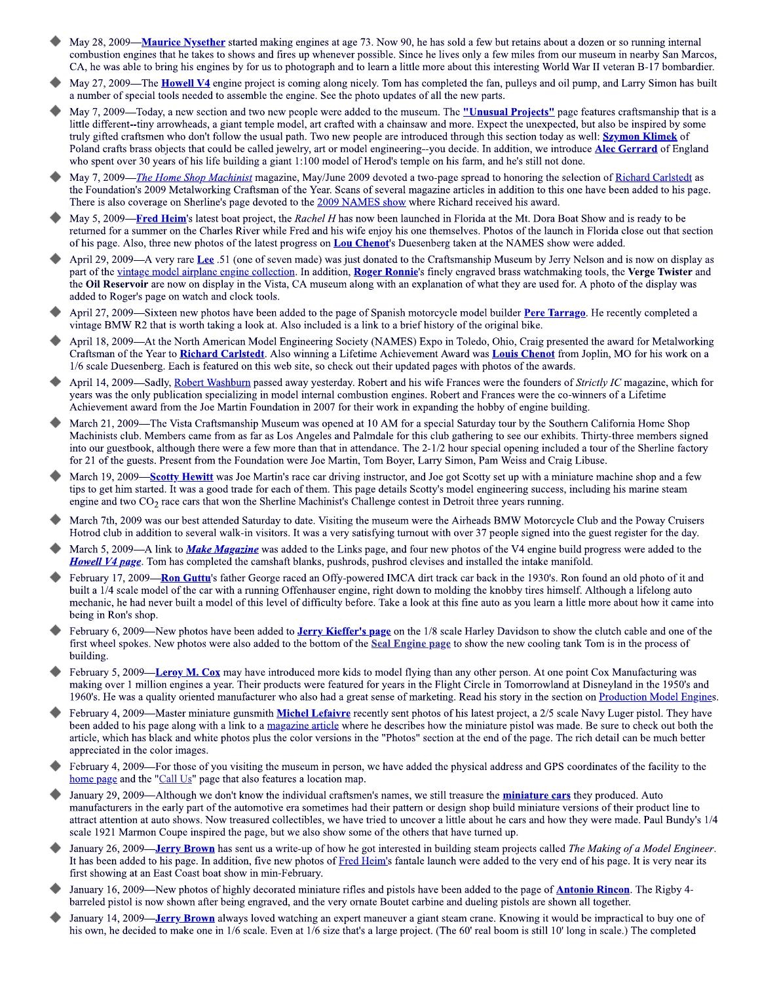- May 28, 2009—Maurice Nysether started making engines at age 73. Now 90, he has sold a few but retains about a dozen or so running internal combustion engines that he takes to shows and fires up whenever possible. Since he lives only a few miles from our museum in nearby San Marcos, CA, he was able to bring his engines by for us to photograph and to learn a little more about this interesting World War II veteran B-17 bombardier.
- May 27, 2009—The **Howell V4** engine project is coming along nicely. Tom has completed the fan, pulleys and oil pump, and Larry Simon has built a number of special tools needed to assemble the engine. See the photo updates of all the new parts.
- May 7, 2009—Today, a new section and two new people were added to the museum. The "Unusual Projects" page features craftsmanship that is a little different--tiny arrowheads, a giant temple model, art crafted with a chainsaw and more. Expect the unexpected, but also be inspired by some truly gifted craftsmen who don't follow the usual path. Two new people are introduced through this section today as well: **Szymon Klimek** of Poland crafts brass objects that could be called jewelry, art or model engineering-you decide. In addition, we introduce Alec Gerrard of England who spent over 30 years of his life building a giant 1:100 model of Herod's temple on his farm, and he's still not done.
- May 7, 2009—The Home Shop Machinist magazine, May/June 2009 devoted a two-page spread to honoring the selection of Richard Carlstedt as the Foundation's 2009 Metalworking Craftsman of the Year. Scans of several magazine articles in addition to this one have been added to his page. There is also coverage on Sherline's page devoted to the 2009 NAMES show where Richard received his award.
- May 5, 2009—Fred Heim's latest boat project, the Rachel H has now been launched in Florida at the Mt. Dora Boat Show and is ready to be returned for a summer on the Charles River while Fred and his wife enjoy his one themselves. Photos of the launch in Florida close out that section of his page. Also, three new photos of the latest progress on **Lou Chenot's** Duesenberg taken at the NAMES show were added.
- April 29, 2009—A very rare Lee .51 (one of seven made) was just donated to the Craftsmanship Museum by Jerry Nelson and is now on display as part of the vintage model airplane engine collection. In addition, Roger Ronnie's finely engraved brass watchmaking tools, the Verge Twister and the Oil Reservoir are now on display in the Vista, CA museum along with an explanation of what they are used for. A photo of the display was added to Roger's page on watch and clock tools.
- April 27, 2009—Sixteen new photos have been added to the page of Spanish motorcycle model builder Pere Tarrago. He recently completed a vintage BMW R2 that is worth taking a look at. Also included is a link to a brief history of the original bike.
- April 18, 2009—At the North American Model Engineering Society (NAMES) Expo in Toledo, Ohio, Craig presented the award for Metalworking Craftsman of the Year to Richard Carlstedt. Also winning a Lifetime Achievement Award was Louis Chenot from Joplin, MO for his work on a 1/6 scale Duesenberg. Each is featured on this web site, so check out their updated pages with photos of the awards.
- April 14, 2009-Sadly, Robert Washburn passed away yesterday. Robert and his wife Frances were the founders of Strictly IC magazine, which for years was the only publication specializing in model internal combustion engines. Robert and Frances were the co-winners of a Lifetime Achievement award from the Joe Martin Foundation in 2007 for their work in expanding the hobby of engine building.
- March 21, 2009—The Vista Craftsmanship Museum was opened at 10 AM for a special Saturday tour by the Southern California Home Shop Machinists club. Members came from as far as Los Angeles and Palmdale for this club gathering to see our exhibits. Thirty-three members signed into our guestbook, although there were a few more than that in attendance. The 2-1/2 hour special opening included a tour of the Sherline factory for 21 of the guests. Present from the Foundation were Joe Martin, Tom Boyer, Larry Simon, Pam Weiss and Craig Libuse.
- March 19, 2009—Scotty Hewitt was Joe Martin's race car driving instructor, and Joe got Scotty set up with a miniature machine shop and a few tips to get him started. It was a good trade for each of them. This page details Scotty's model engineering success, including his marine steam engine and two  $CO<sub>2</sub>$  race cars that won the Sherline Machinist's Challenge contest in Detroit three years running.
- March 7th, 2009 was our best attended Saturday to date. Visiting the museum were the Airheads BMW Motorcycle Club and the Poway Cruisers Hotrod club in addition to several walk-in visitors. It was a very satisfying turnout with over 37 people signed into the guest register for the day.
- March 5, 2009—A link to *Make Magazine* was added to the Links page, and four new photos of the V4 engine build progress were added to the **Howell V4 page**. Tom has completed the camshaft blanks, pushrods, pushrod clevises and installed the intake manifold.
- February 17, 2009—Ron Guttu's father George raced an Offy-powered IMCA dirt track car back in the 1930's. Ron found an old photo of it and built a 1/4 scale model of the car with a running Offenhauser engine, right down to molding the knobby tires himself. Although a lifelong auto mechanic, he had never built a model of this level of difficulty before. Take a look at this fine auto as you learn a little more about how it came into being in Ron's shop.
- February 6, 2009—New photos have been added to Jerry Kieffer's page on the 1/8 scale Harley Davidson to show the clutch cable and one of the first wheel spokes. New photos were also added to the bottom of the Seal Engine page to show the new cooling tank Tom is in the process of building.
- February 5, 2009—Leroy M. Cox may have introduced more kids to model flying than any other person. At one point Cox Manufacturing was making over 1 million engines a year. Their products were featured for years in the Flight Circle in Tomorrowland at Disneyland in the 1950's and 1960's. He was a quality oriented manufacturer who also had a great sense of marketing. Read his story in the section on Production Model Engines.
- February 4, 2009—Master miniature gunsmith Michel Lefaivre recently sent photos of his latest project, a 2/5 scale Navy Luger pistol. They have been added to his page along with a link to a magazine article where he describes how the miniature pistol was made. Be sure to check out both the article, which has black and white photos plus the color versions in the "Photos" section at the end of the page. The rich detail can be much better appreciated in the color images.
- February 4, 2009—For those of you visiting the museum in person, we have added the physical address and GPS coordinates of the facility to the home page and the "Call Us" page that also features a location map.
- January 29, 2009—Although we don't know the individual craftsmen's names, we still treasure the **miniature cars** they produced. Auto manufacturers in the early part of the automotive era sometimes had their pattern or design shop build miniature versions of their product line to attract attention at auto shows. Now treasured collectibles, we have tried to uncover a little about he cars and how they were made. Paul Bundy's 1/4 scale 1921 Marmon Coupe inspired the page, but we also show some of the others that have turned up.
- January 26, 2009—**Jerry Brown** has sent us a write-up of how he got interested in building steam projects called *The Making of a Model Engineer*. It has been added to his page. In addition, five new photos of Fred Heim's fantale launch were added to the very end of his page. It is very near its first showing at an East Coast boat show in min-February.
- January 16, 2009—New photos of highly decorated miniature rifles and pistols have been added to the page of **Antonio Rincon**. The Rigby 4barreled pistol is now shown after being engraved, and the very ornate Boutet carbine and dueling pistols are shown all together.
- January 14, 2009—**Jerry Brown** always loved watching an expert maneuver a giant steam crane. Knowing it would be impractical to buy one of his own, he decided to make one in 1/6 scale. Even at 1/6 size that's a large project. (The 60' real boom is still 10' long in scale.) The completed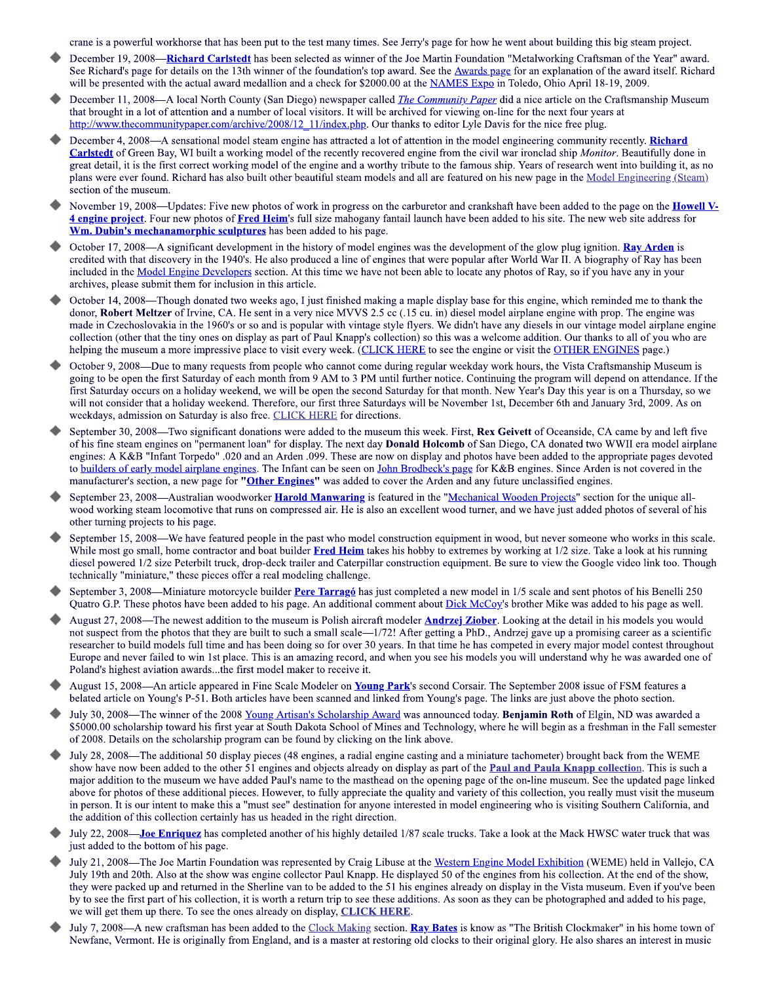crane is a powerful workhorse that has been put to the test many times. See Jerry's page for how he went about building this big steam project.

- December 19, 2008—Richard Carlstedt has been selected as winner of the Joe Martin Foundation "Metalworking Craftsman of the Year" award. See Richard's page for details on the 13th winner of the foundation's top award. See the Awards page for an explanation of the award itself. Richard will be presented with the actual award medallion and a check for \$2000.00 at the NAMES Expo in Toledo, Ohio April 18-19, 2009.
- December 11, 2008—A local North County (San Diego) newspaper called *The Community Paper* did a nice article on the Craftsmanship Museum that brought in a lot of attention and a number of local visitors. It will be archived for viewing on-line for the next four vears at http://www.thecommunitypaper.com/archive/2008/12 11/index.php. Our thanks to editor Lyle Davis for the nice free plug.
- December 4, 2008—A sensational model steam engine has attracted a lot of attention in the model engineering community recently. Richard **Carlstedt** of Green Bay, WI built a working model of the recently recovered engine from the civil war ironclad ship *Monitor*. Beautifully done in great detail, it is the first correct working model of the engine and a worthy tribute to the famous ship. Years of research went into building it, as no plans were ever found. Richard has also built other beautiful steam models and all are featured on his new page in the Model Engineering (Steam) section of the museum.
- November 19, 2008—Updates: Five new photos of work in progress on the carburetor and crankshaft have been added to the page on the **Howell V**-4 engine project. Four new photos of Fred Heim's full size mahogany fantail launch have been added to his site. The new web site address for Wm. Dubin's mechanamorphic sculptures has been added to his page.
- October 17, 2008—A significant development in the history of model engines was the development of the glow plug ignition. Ray Arden is credited with that discovery in the 1940's. He also produced a line of engines that were popular after World War II. A biography of Ray has been included in the <u>Model Engine Developers</u> section. At this time we have not been able to locate any photos of Ray, so if you have any in your archives, please submit them for inclusion in this article.
- October 14, 2008—Though donated two weeks ago, I just finished making a maple display base for this engine, which reminded me to thank the donor, Robert Meltzer of Irvine, CA. He sent in a very nice MVVS 2.5 cc (.15 cu. in) diesel model airplane engine with prop. The engine was made in Czechoslovakia in the 1960's or so and is popular with vintage style flyers. We didn't have any diesels in our vintage model airplane engine collection (other that the tiny ones on display as part of Paul Knapp's collection) so this was a welcome addition. Our thanks to all of you who are helping the museum a more impressive place to visit every week. (CLICK HERE to see the engine or visit the OTHER ENGINES page.)
- October 9, 2008—Due to many requests from people who cannot come during regular weekday work hours, the Vista Craftsmanship Museum is going to be open the first Saturday of each month from 9 AM to 3 PM until further notice. Continuing the program will depend on attendance. If the first Saturday occurs on a holiday weekend, we will be open the second Saturday for that month. New Year's Day this year is on a Thursday, so we will not consider that a holiday weekend. Therefore, our first three Saturdays will be November 1st, December 6th and January 3rd, 2009. As on weekdays, admission on Saturday is also free. CLICK HERE for directions.
- September 30, 2008—Two significant donations were added to the museum this week. First, Rex Geivett of Oceanside, CA came by and left five of his fine steam engines on "permanent loan" for display. The next day **Donald Holcomb** of San Diego, CA donated two WWII era model airplane engines: A K&B "Infant Torpedo" .020 and an Arden .099. These are now on display and photos have been added to the appropriate pages devoted to builders of early model airplane engines. The Infant can be seen on John Brodbeck's page for K&B engines. Since Arden is not covered in the manufacturer's section, a new page for "Other Engines" was added to cover the Arden and any future unclassified engines.
- September 23, 2008—Australian woodworker Harold Manwaring is featured in the "Mechanical Wooden Projects" section for the unique allwood working steam locomotive that runs on compressed air. He is also an excellent wood turner, and we have just added photos of several of his other turning projects to his page.
- September 15, 2008—We have featured people in the past who model construction equipment in wood, but never someone who works in this scale. While most go small, home contractor and boat builder Fred Heim takes his hobby to extremes by working at 1/2 size. Take a look at his running diesel powered 1/2 size Peterbilt truck, drop-deck trailer and Caterpillar construction equipment. Be sure to view the Google video link too. Though technically "miniature," these pieces offer a real modeling challenge.
- September 3, 2008—Miniature motorcycle builder Pere Tarragó has just completed a new model in 1/5 scale and sent photos of his Benelli 250 Quatro G.P. These photos have been added to his page. An additional comment about Dick McCoy's brother Mike was added to his page as well.
- August 27, 2008—The newest addition to the museum is Polish aircraft modeler **Andrzej Ziober**. Looking at the detail in his models you would not suspect from the photos that they are built to such a small scale—1/72! After getting a PhD., Andrzej gave up a promising career as a scientific researcher to build models full time and has been doing so for over 30 years. In that time he has competed in every major model contest throughout Europe and never failed to win 1st place. This is an amazing record, and when you see his models you will understand why he was awarded one of Poland's highest aviation awards...the first model maker to receive it.
- August 15, 2008—An article appeared in Fine Scale Modeler on Young Park's second Corsair. The September 2008 issue of FSM features a belated article on Young's P-51. Both articles have been scanned and linked from Young's page. The links are just above the photo section.
- July 30, 2008—The winner of the 2008 Young Artisan's Scholarship Award was announced today. Benjamin Roth of Elgin, ND was awarded a \$5000.00 scholarship toward his first year at South Dakota School of Mines and Technology, where he will begin as a freshman in the Fall semester of 2008. Details on the scholarship program can be found by clicking on the link above.
- July 28, 2008—The additional 50 display pieces (48 engines, a radial engine casting and a miniature tachometer) brought back from the WEME show have now been added to the other 51 engines and objects already on display as part of the Paul and Paula Knapp collection. This is such a major addition to the museum we have added Paul's name to the masthead on the opening page of the on-line museum. See the updated page linked above for photos of these additional pieces. However, to fully appreciate the quality and variety of this collection, you really must visit the museum in person. It is our intent to make this a "must see" destination for anyone interested in model engineering who is visiting Southern California, and the addition of this collection certainly has us headed in the right direction.
- July 22, 2008—Joe Enriquez has completed another of his highly detailed 1/87 scale trucks. Take a look at the Mack HWSC water truck that was just added to the bottom of his page.
- July 21, 2008—The Joe Martin Foundation was represented by Craig Libuse at the Western Engine Model Exhibition (WEME) held in Vallejo, CA July 19th and 20th. Also at the show was engine collector Paul Knapp. He displayed 50 of the engines from his collection. At the end of the show, they were packed up and returned in the Sherline van to be added to the 51 his engines already on display in the Vista museum. Even if you've been by to see the first part of his collection, it is worth a return trip to see these additions. As soon as they can be photographed and added to his page, we will get them up there. To see the ones already on display, CLICK HERE.
- July 7, 2008—A new craftsman has been added to the Clock Making section. Ray Bates is know as "The British Clockmaker" in his home town of Newfane, Vermont. He is originally from England, and is a master at restoring old clocks to their original glory. He also shares an interest in music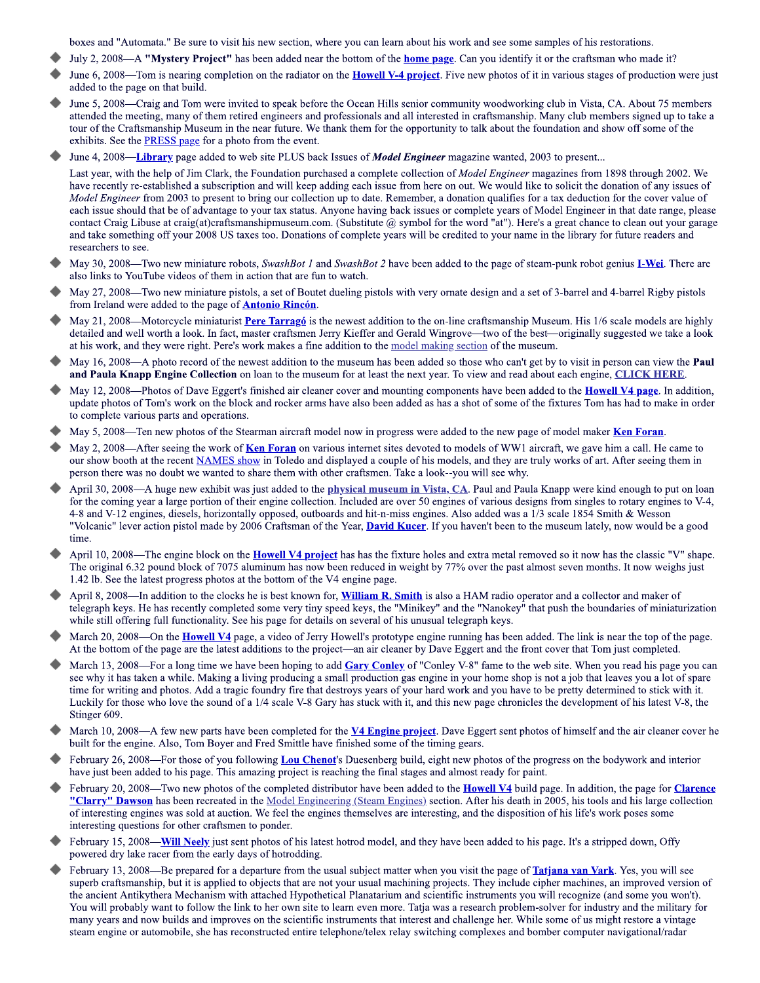boxes and "Automata." Be sure to visit his new section, where you can learn about his work and see some samples of his restorations.

- July 2, 2008—A "Mystery Project" has been added near the bottom of the home page. Can you identify it or the craftsman who made it?
- June 6, 2008—Tom is nearing completion on the radiator on the **Howell V-4 project**. Five new photos of it in various stages of production were just added to the page on that build.
- June 5, 2008—Craig and Tom were invited to speak before the Ocean Hills senior community woodworking club in Vista, CA. About 75 members attended the meeting, many of them retired engineers and professionals and all interested in craftsmanship. Many club members signed up to take a tour of the Craftsmanship Museum in the near future. We thank them for the opportunity to talk about the foundation and show off some of the exhibits. See the **PRESS** page for a photo from the event.
- June 4, 2008—Library page added to web site PLUS back Issues of Model Engineer magazine wanted, 2003 to present...

Last year, with the help of Jim Clark, the Foundation purchased a complete collection of *Model Engineer* magazines from 1898 through 2002. We have recently re-established a subscription and will keep adding each issue from here on out. We would like to solicit the donation of any issues of Model Engineer from 2003 to present to bring our collection up to date. Remember, a donation qualifies for a tax deduction for the cover value of each issue should that be of advantage to your tax status. Anyone having back issues or complete years of Model Engineer in that date range, please contact Craig Libuse at craig(at)craftsmanshipmuseum.com. (Substitute @ symbol for the word "at"). Here's a great chance to clean out your garage and take something off your 2008 US taxes too. Donations of complete years will be credited to your name in the library for future readers and researchers to see.

- May 30, 2008—Two new miniature robots, SwashBot 1 and SwashBot 2 have been added to the page of steam-punk robot genius I-Wei. There are also links to YouTube videos of them in action that are fun to watch.
- May 27, 2008—Two new miniature pistols, a set of Boutet dueling pistols with very ornate design and a set of 3-barrel and 4-barrel Rigby pistols from Ireland were added to the page of **Antonio Rincón**.
- May 21, 2008—Motorcycle miniaturist Pere Tarragó is the newest addition to the on-line craftsmanship Museum. His 1/6 scale models are highly detailed and well worth a look. In fact, master craftsmen Jerry Kieffer and Gerald Wingrove—two of the best—originally suggested we take a look at his work, and they were right. Pere's work makes a fine addition to the model making section of the museum.
- May 16, 2008—A photo record of the newest addition to the museum has been added so those who can't get by to visit in person can view the Paul and Paula Knapp Engine Collection on loan to the museum for at least the next year. To view and read about each engine, CLICK HERE.
- May 12, 2008—Photos of Dave Eggert's finished air cleaner cover and mounting components have been added to the **Howell V4 page**. In addition, update photos of Tom's work on the block and rocker arms have also been added as has a shot of some of the fixtures Tom has had to make in order to complete various parts and operations.
- May 5, 2008—Ten new photos of the Stearman aircraft model now in progress were added to the new page of model maker Ken Foran.
- May 2, 2008—After seeing the work of Ken Foran on various internet sites devoted to models of WW1 aircraft, we gave him a call. He came to our show booth at the recent NAMES show in Toledo and displayed a couple of his models, and they are truly works of art. After seeing them in person there was no doubt we wanted to share them with other craftsmen. Take a look--you will see why.
- April 30, 2008—A huge new exhibit was just added to the physical museum in Vista, CA. Paul and Paula Knapp were kind enough to put on loan for the coming year a large portion of their engine collection. Included are over 50 engines of various designs from singles to rotary engines to V-4, 4-8 and V-12 engines, diesels, horizontally opposed, outboards and hit-n-miss engines. Also added was a 1/3 scale 1854 Smith & Wesson "Volcanic" lever action pistol made by 2006 Craftsman of the Year, **David Kucer**. If you haven't been to the museum lately, now would be a good time.
- April 10, 2008—The engine block on the **Howell V4 project** has has the fixture holes and extra metal removed so it now has the classic "V" shape. The original 6.32 pound block of 7075 aluminum has now been reduced in weight by 77% over the past almost seven months. It now weighs just 1.42 lb. See the latest progress photos at the bottom of the V4 engine page.
- April 8, 2008—In addition to the clocks he is best known for, William R. Smith is also a HAM radio operator and a collector and maker of telegraph keys. He has recently completed some very tiny speed keys, the "Minikey" and the "Nanokey" that push the boundaries of miniaturization while still offering full functionality. See his page for details on several of his unusual telegraph keys.
- March 20, 2008—On the **Howell V4** page, a video of Jerry Howell's prototype engine running has been added. The link is near the top of the page. At the bottom of the page are the latest additions to the project—an air cleaner by Dave Eggert and the front cover that Tom just completed.
- March 13, 2008—For a long time we have been hoping to add Gary Conley of "Conley V-8" fame to the web site. When you read his page you can see why it has taken a while. Making a living producing a small production gas engine in your home shop is not a job that leaves you a lot of spare time for writing and photos. Add a tragic foundry fire that destroys years of your hard work and you have to be pretty determined to stick with it. Luckily for those who love the sound of a 1/4 scale V-8 Gary has stuck with it, and this new page chronicles the development of his latest V-8, the Stinger 609.
- March 10, 2008—A few new parts have been completed for the **V4 Engine project**. Dave Eggert sent photos of himself and the air cleaner cover he built for the engine. Also, Tom Boyer and Fred Smittle have finished some of the timing gears.
- February 26, 2008—For those of you following Lou Chenot's Duesenberg build, eight new photos of the progress on the bodywork and interior have just been added to his page. This amazing project is reaching the final stages and almost ready for paint.
- February 20, 2008—Two new photos of the completed distributor have been added to the **Howell V4** build page. In addition, the page for **Clarence** "Clarry" Dawson has been recreated in the Model Engineering (Steam Engines) section. After his death in 2005, his tools and his large collection of interesting engines was sold at auction. We feel the engines themselves are interesting, and the disposition of his life's work poses some interesting questions for other craftsmen to ponder.
- February 15, 2008—Will Neely just sent photos of his latest hotrod model, and they have been added to his page. It's a stripped down, Offy powered dry lake racer from the early days of hotrodding.
- February 13, 2008—Be prepared for a departure from the usual subject matter when you visit the page of **Tatjana van Vark**. Yes, you will see superb craftsmanship, but it is applied to objects that are not your usual machining projects. They include cipher machines, an improved version of the ancient Antikythera Mechanism with attached Hypothetical Planatarium and scientific instruments you will recognize (and some you won't). You will probably want to follow the link to her own site to learn even more. Tatja was a research problem-solver for industry and the military for many years and now builds and improves on the scientific instruments that interest and challenge her. While some of us might restore a vintage steam engine or automobile, she has reconstructed entire telephone/telex relay switching complexes and bomber computer navigational/radar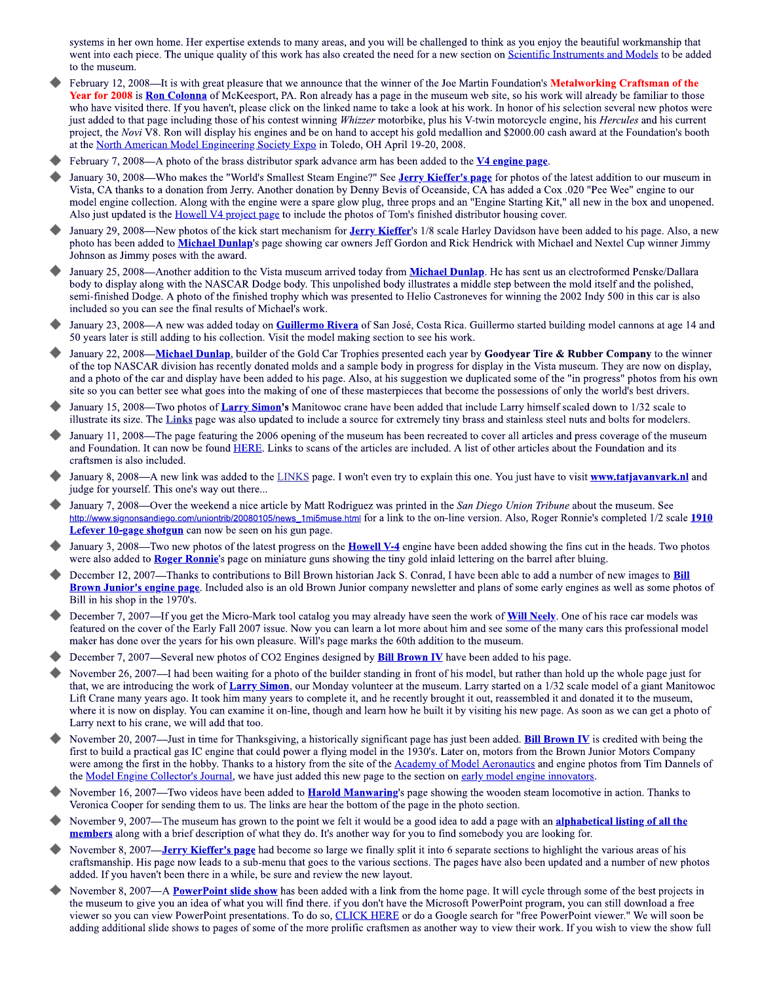systems in her own home. Her expertise extends to many areas, and you will be challenged to think as you enjoy the beautiful workmanship that went into each piece. The unique quality of this work has also created the need for a new section on Scientific Instruments and Models to be added to the museum.

- February 12, 2008—It is with great pleasure that we announce that the winner of the Joe Martin Foundation's Metalworking Craftsman of the Year for 2008 is Ron Colonna of McKeesport, PA. Ron already has a page in the museum web site, so his work will already be familiar to those who have visited there. If you haven't, please click on the linked name to take a look at his work. In honor of his selection several new photos were just added to that page including those of his contest winning Whizzer motorbike, plus his V-twin motorcycle engine, his Hercules and his current project, the Novi V8. Ron will display his engines and be on hand to accept his gold medallion and \$2000.00 cash award at the Foundation's booth at the North American Model Engineering Society Expo in Toledo, OH April 19-20, 2008.
- February 7, 2008—A photo of the brass distributor spark advance arm has been added to the  $V4$  engine page.
- January 30, 2008—Who makes the "World's Smallest Steam Engine?" See Jerry Kieffer's page for photos of the latest addition to our museum in Vista, CA thanks to a donation from Jerry. Another donation by Denny Bevis of Oceanside, CA has added a Cox .020 "Pee Wee" engine to our model engine collection. Along with the engine were a spare glow plug, three props and an "Engine Starting Kit," all new in the box and unopened. Also just updated is the Howell V4 project page to include the photos of Tom's finished distributor housing cover.
- January 29, 2008—New photos of the kick start mechanism for *Jerry Kieffer's* 1/8 scale Harley Davidson have been added to his page. Also, a new photo has been added to Michael Dunlap's page showing car owners Jeff Gordon and Rick Hendrick with Michael and Nextel Cup winner Jimmy Johnson as Jimmy poses with the award.
- January 25, 2008—Another addition to the Vista museum arrived today from Michael Dunlap. He has sent us an electroformed Penske/Dallara body to display along with the NASCAR Dodge body. This unpolished body illustrates a middle step between the mold itself and the polished, semi-finished Dodge. A photo of the finished trophy which was presented to Helio Castroneves for winning the 2002 Indy 500 in this car is also included so you can see the final results of Michael's work.
- January 23, 2008—A new was added today on Guillermo Rivera of San José, Costa Rica. Guillermo started building model cannons at age 14 and 50 years later is still adding to his collection. Visit the model making section to see his work.
- January 22, 2008—Michael Dunlap, builder of the Gold Car Trophies presented each year by Goodyear Tire & Rubber Company to the winner of the top NASCAR division has recently donated molds and a sample body in progress for display in the Vista museum. They are now on display, and a photo of the car and display have been added to his page. Also, at his suggestion we duplicated some of the "in progress" photos from his own site so you can better see what goes into the making of one of these masterpieces that become the possessions of only the world's best drivers.
- January 15, 2008—Two photos of Larry Simon's Manitowoc crane have been added that include Larry himself scaled down to 1/32 scale to illustrate its size. The Links page was also updated to include a source for extremely tiny brass and stainless steel nuts and bolts for modelers.
- January 11, 2008—The page featuring the 2006 opening of the museum has been recreated to cover all articles and press coverage of the museum and Foundation. It can now be found HERE. Links to scans of the articles are included. A list of other articles about the Foundation and its craftsmen is also included.
- January 8, 2008—A new link was added to the LINKS page. I won't even try to explain this one. You just have to visit www.tatjavanvark.nl and judge for yourself. This one's way out there...
- January 7, 2008—Over the weekend a nice article by Matt Rodriguez was printed in the San Diego Union Tribune about the museum. See http://www.signonsandiego.com/uniontrib/20080105/news 1mi5muse.html for a link to the on-line version. Also, Roger Ronnie's completed 1/2 scale 1910 Lefever 10-gage shotgun can now be seen on his gun page.
- January 3, 2008—Two new photos of the latest progress on the **Howell V-4** engine have been added showing the fins cut in the heads. Two photos were also added to Roger Ronnie's page on miniature guns showing the tiny gold inlaid lettering on the barrel after bluing.
- December 12, 2007—Thanks to contributions to Bill Brown historian Jack S. Conrad, I have been able to add a number of new images to **Bill** Brown Junior's engine page. Included also is an old Brown Junior company newsletter and plans of some early engines as well as some photos of Bill in his shop in the 1970's.
- December 7, 2007—If you get the Micro-Mark tool catalog you may already have seen the work of **Will Neely**. One of his race car models was featured on the cover of the Early Fall 2007 issue. Now you can learn a lot more about him and see some of the many cars this professional model maker has done over the years for his own pleasure. Will's page marks the 60th addition to the museum.
- December 7, 2007—Several new photos of CO2 Engines designed by **Bill Brown IV** have been added to his page.
- November 26, 2007—I had been waiting for a photo of the builder standing in front of his model, but rather than hold up the whole page just for that, we are introducing the work of Larry Simon, our Monday volunteer at the museum. Larry started on a 1/32 scale model of a giant Manitowoc Lift Crane many years ago. It took him many years to complete it, and he recently brought it out, reassembled it and donated it to the museum, where it is now on display. You can examine it on-line, though and learn how he built it by visiting his new page. As soon as we can get a photo of Larry next to his crane, we will add that too.
- November 20, 2007—Just in time for Thanksgiving, a historically significant page has just been added. **Bill Brown IV** is credited with being the first to build a practical gas IC engine that could power a flying model in the 1930's. Later on, motors from the Brown Junior Motors Company were among the first in the hobby. Thanks to a history from the site of the Academy of Model Aeronautics and engine photos from Tim Dannels of the <u>Model Engine Collector's Journal</u>, we have just added this new page to the section on early model engine innovators.
- November 16, 2007—Two videos have been added to **Harold Manwaring**'s page showing the wooden steam locomotive in action. Thanks to Veronica Cooper for sending them to us. The links are hear the bottom of the page in the photo section.
- November 9, 2007—The museum has grown to the point we felt it would be a good idea to add a page with an alphabetical listing of all the members along with a brief description of what they do. It's another way for you to find somebody you are looking for.
- November 8, 2007—**Jerry Kieffer's page** had become so large we finally split it into 6 separate sections to highlight the various areas of his craftsmanship. His page now leads to a sub-menu that goes to the various sections. The pages have also been updated and a number of new photos added. If you haven't been there in a while, be sure and review the new layout.
- November 8, 2007—A **PowerPoint slide show** has been added with a link from the home page. It will cycle through some of the best projects in the museum to give you an idea of what you will find there, if you don't have the Microsoft PowerPoint program, you can still download a free viewer so you can view PowerPoint presentations. To do so, CLICK HERE or do a Google search for "free PowerPoint viewer." We will soon be adding additional slide shows to pages of some of the more prolific craftsmen as another way to view their work. If you wish to view the show full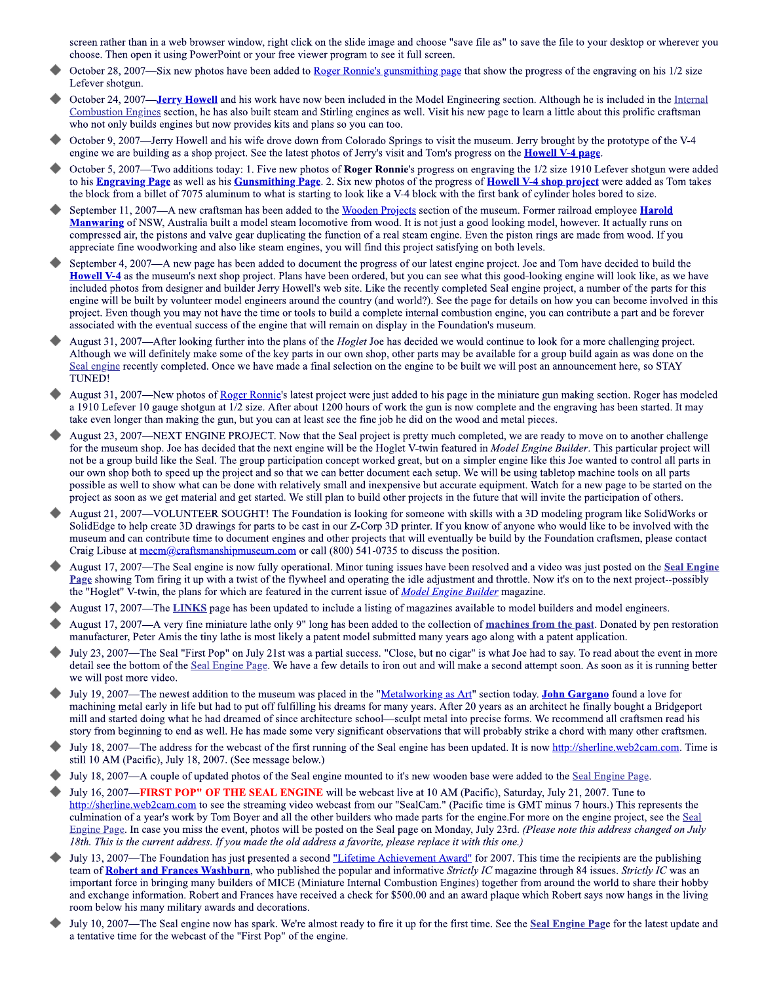screen rather than in a web browser window, right click on the slide image and choose "save file as" to save the file to your desktop or wherever you choose. Then open it using PowerPoint or your free viewer program to see it full screen.

- October 28, 2007—Six new photos have been added to Roger Ronnie's gunsmithing page that show the progress of the engraving on his 1/2 size Lefever shotgun.
- October 24, 2007—**Jerry Howell** and his work have now been included in the Model Engineering section. Although he is included in the Internal Combustion Engines section, he has also built steam and Stirling engines as well. Visit his new page to learn a little about this prolific craftsman who not only builds engines but now provides kits and plans so you can too.
- October 9, 2007—Jerry Howell and his wife drove down from Colorado Springs to visit the museum. Jerry brought by the prototype of the V-4 engine we are building as a shop project. See the latest photos of Jerry's visit and Tom's progress on the **Howell V-4 page**.
- October 5, 2007—Two additions today: 1. Five new photos of Roger Ronnie's progress on engraving the 1/2 size 1910 Lefever shotgun were added to his Engraving Page as well as his Gunsmithing Page. 2. Six new photos of the progress of Howell V-4 shop project were added as Tom takes the block from a billet of 7075 aluminum to what is starting to look like a V-4 block with the first bank of cylinder holes bored to size.
- September 11, 2007—A new craftsman has been added to the Wooden Projects section of the museum. Former railroad employee Harold Manwaring of NSW, Australia built a model steam locomotive from wood. It is not just a good looking model, however. It actually runs on compressed air, the pistons and valve gear duplicating the function of a real steam engine. Even the piston rings are made from wood. If you appreciate fine woodworking and also like steam engines, you will find this project satisfying on both levels.
- September 4, 2007—A new page has been added to document the progress of our latest engine project. Joe and Tom have decided to build the **Howell V-4** as the museum's next shop project. Plans have been ordered, but you can see what this good-looking engine will look like, as we have included photos from designer and builder Jerry Howell's web site. Like the recently completed Seal engine project, a number of the parts for this engine will be built by volunteer model engineers around the country (and world?). See the page for details on how you can become involved in this project. Even though you may not have the time or tools to build a complete internal combustion engine, you can contribute a part and be forever associated with the eventual success of the engine that will remain on display in the Foundation's museum.
- August 31, 2007—After looking further into the plans of the *Hoglet* Joe has decided we would continue to look for a more challenging project. Although we will definitely make some of the key parts in our own shop, other parts may be available for a group build again as was done on the Seal engine recently completed. Once we have made a final selection on the engine to be built we will post an announcement here, so STAY **TUNED!**
- August 31, 2007—New photos of Roger Ronnie's latest project were just added to his page in the miniature gun making section. Roger has modeled a 1910 Lefever 10 gauge shotgun at 1/2 size. After about 1200 hours of work the gun is now complete and the engraving has been started. It may take even longer than making the gun, but you can at least see the fine job he did on the wood and metal pieces.
- August 23, 2007—NEXT ENGINE PROJECT. Now that the Seal project is pretty much completed, we are ready to move on to another challenge for the museum shop. Joe has decided that the next engine will be the Hoglet V-twin featured in Model Engine Builder. This particular project will not be a group build like the Seal. The group participation concept worked great, but on a simpler engine like this Joe wanted to control all parts in our own shop both to speed up the project and so that we can better document each setup. We will be using tabletop machine tools on all parts possible as well to show what can be done with relatively small and inexpensive but accurate equipment. Watch for a new page to be started on the project as soon as we get material and get started. We still plan to build other projects in the future that will invite the participation of others.
- August 21, 2007—VOLUNTEER SOUGHT! The Foundation is looking for someone with skills with a 3D modeling program like SolidWorks or SolidEdge to help create 3D drawings for parts to be cast in our Z-Corp 3D printer. If you know of anyone who would like to be involved with the museum and can contribute time to document engines and other projects that will eventually be build by the Foundation craftsmen, please contact Craig Libuse at  $\frac{mean(2)$  craftsmanship museum.com or call (800) 541-0735 to discuss the position.
- August 17, 2007—The Seal engine is now fully operational. Minor tuning issues have been resolved and a video was just posted on the Seal Engine Page showing Tom firing it up with a twist of the flywheel and operating the idle adjustment and throttle. Now it's on to the next project--possibly the "Hoglet" V-twin, the plans for which are featured in the current issue of Model Engine Builder magazine.
- August 17, 2007—The LINKS page has been updated to include a listing of magazines available to model builders and model engineers.
- August 17, 2007-A very fine miniature lathe only 9" long has been added to the collection of machines from the past. Donated by pen restoration manufacturer, Peter Amis the tiny lathe is most likely a patent model submitted many years ago along with a patent application.
- July 23, 2007—The Seal "First Pop" on July 21st was a partial success. "Close, but no cigar" is what Joe had to say. To read about the event in more detail see the bottom of the Seal Engine Page. We have a few details to iron out and will make a second attempt soon. As soon as it is running better we will post more video.
- July 19, 2007—The newest addition to the museum was placed in the "Metalworking as Art" section today. John Gargano found a love for machining metal early in life but had to put off fulfilling his dreams for many years. After 20 years as an architect he finally bought a Bridgeport mill and started doing what he had dreamed of since architecture school—sculpt metal into precise forms. We recommend all craftsmen read his story from beginning to end as well. He has made some very significant observations that will probably strike a chord with many other craftsmen.
- July 18, 2007—The address for the webcast of the first running of the Seal engine has been updated. It is now http://sherline.web2cam.com. Time is still 10 AM (Pacific), July 18, 2007. (See message below.)
- July 18, 2007—A couple of updated photos of the Seal engine mounted to it's new wooden base were added to the Seal Engine Page.
- July 16, 2007-FIRST POP" OF THE SEAL ENGINE will be webcast live at 10 AM (Pacific), Saturday, July 21, 2007. Tune to http://sherline.web2cam.com to see the streaming video webcast from our "SealCam." (Pacific time is GMT minus 7 hours.) This represents the culmination of a year's work by Tom Boyer and all the other builders who made parts for the engine. For more on the engine project, see the Seal Engine Page. In case you miss the event, photos will be posted on the Seal page on Monday, July 23rd. (Please note this address changed on July 18th. This is the current address. If you made the old address a favorite, please replace it with this one.)
- July 13, 2007—The Foundation has just presented a second "Lifetime Achievement Award" for 2007. This time the recipients are the publishing team of Robert and Frances Washburn, who published the popular and informative Strictly IC magazine through 84 issues. Strictly IC was an important force in bringing many builders of MICE (Miniature Internal Combustion Engines) together from around the world to share their hobby and exchange information. Robert and Frances have received a check for \$500.00 and an award plaque which Robert says now hangs in the living room below his many military awards and decorations.
- July 10, 2007—The Seal engine now has spark. We're almost ready to fire it up for the first time. See the Seal Engine Page for the latest update and a tentative time for the webcast of the "First Pop" of the engine.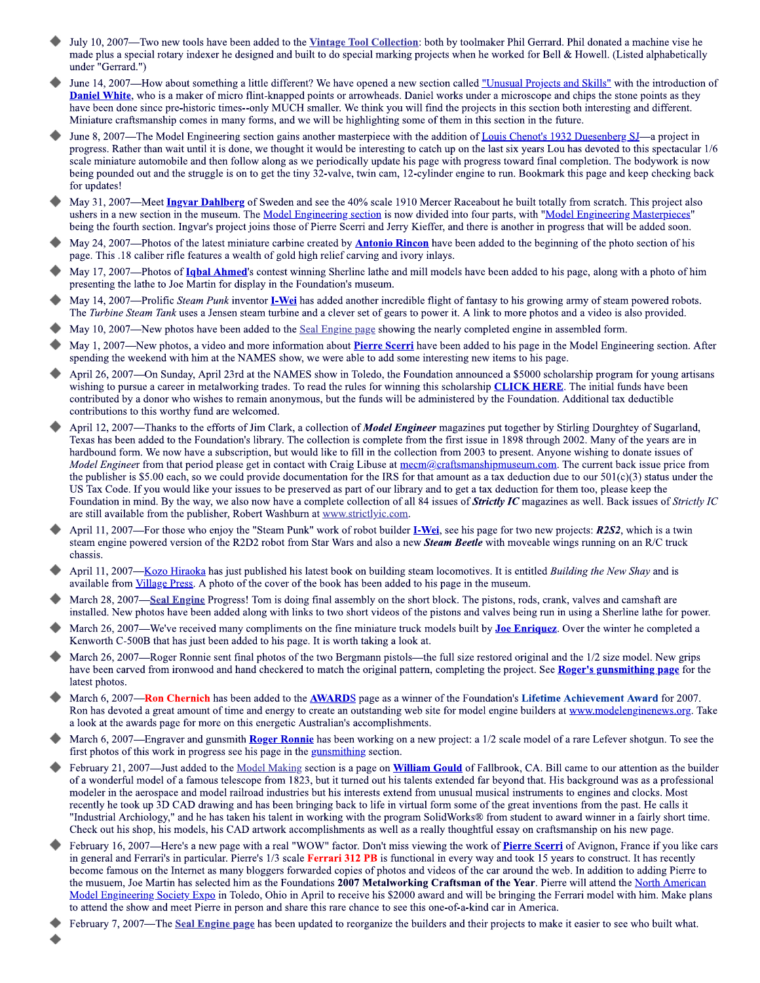- July 10, 2007—Two new tools have been added to the Vintage Tool Collection: both by toolmaker Phil Gerrard. Phil donated a machine vise he made plus a special rotary indexer he designed and built to do special marking projects when he worked for Bell & Howell. (Listed alphabetically under "Gerrard.")
- June 14, 2007—How about something a little different? We have opened a new section called "Unusual Projects and Skills" with the introduction of **Daniel White**, who is a maker of micro flint-knapped points or arrowheads. Daniel works under a microscope and chips the stone points as they have been done since pre-historic times--only MUCH smaller. We think you will find the projects in this section both interesting and different. Miniature craftsmanship comes in many forms, and we will be highlighting some of them in this section in the future.
- June 8, 2007—The Model Engineering section gains another masterpiece with the addition of Louis Chenot's 1932 Duesenberg SJ—a project in progress. Rather than wait until it is done, we thought it would be interesting to catch up on the last six years Lou has devoted to this spectacular 1/6 scale miniature automobile and then follow along as we periodically update his page with progress toward final completion. The bodywork is now being pounded out and the struggle is on to get the tiny 32-valve, twin cam, 12-cylinder engine to run. Bookmark this page and keep checking back for updates!
- May 31, 2007—Meet Ingvar Dahlberg of Sweden and see the 40% scale 1910 Mercer Raceabout he built totally from scratch. This project also ushers in a new section in the museum. The Model Engineering section is now divided into four parts, with "Model Engineering Masterpieces" being the fourth section. Ingvar's project joins those of Pierre Scerri and Jerry Kieffer, and there is another in progress that will be added soon.
- May 24, 2007—Photos of the latest miniature carbine created by **Antonio Rincon** have been added to the beginning of the photo section of his page. This .18 caliber rifle features a wealth of gold high relief carving and ivory inlays.
- May 17, 2007—Photos of **Ighal Ahmed**'s contest winning Sherline lathe and mill models have been added to his page, along with a photo of him presenting the lathe to Joe Martin for display in the Foundation's museum.
- May 14, 2007—Prolific Steam Punk inventor **I-Wei** has added another incredible flight of fantasy to his growing army of steam powered robots. The Turbine Steam Tank uses a Jensen steam turbine and a clever set of gears to power it. A link to more photos and a video is also provided.
- May 10, 2007—New photos have been added to the Seal Engine page showing the nearly completed engine in assembled form.
- May 1, 2007—New photos, a video and more information about **Pierre Scerri** have been added to his page in the Model Engineering section. After spending the weekend with him at the NAMES show, we were able to add some interesting new items to his page.
- April 26, 2007—On Sunday, April 23rd at the NAMES show in Toledo, the Foundation announced a \$5000 scholarship program for young artisans wishing to pursue a career in metalworking trades. To read the rules for winning this scholarship **CLICK HERE**. The initial funds have been contributed by a donor who wishes to remain anonymous, but the funds will be administered by the Foundation. Additional tax deductible contributions to this worthy fund are welcomed.
- April 12, 2007—Thanks to the efforts of Jim Clark, a collection of Model Engineer magazines put together by Stirling Dourghtey of Sugarland, Texas has been added to the Foundation's library. The collection is complete from the first issue in 1898 through 2002. Many of the years are in hardbound form. We now have a subscription, but would like to fill in the collection from 2003 to present. Anyone wishing to donate issues of Model Engineer from that period please get in contact with Craig Libuse at mecm@craftsmanshipmuseum.com. The current back issue price from the publisher is \$5.00 each, so we could provide documentation for the IRS for that amount as a tax deduction due to our  $501(c)(3)$  status under the US Tax Code. If you would like your issues to be preserved as part of our library and to get a tax deduction for them too, please keep the Foundation in mind. By the way, we also now have a complete collection of all 84 issues of **Strictly IC** magazines as well. Back issues of *Strictly IC* are still available from the publisher, Robert Washburn at www.strictlyic.com.
- April 11, 2007—For those who enjoy the "Steam Punk" work of robot builder **I-Wei**, see his page for two new projects: **R2S2**, which is a twin steam engine powered version of the R2D2 robot from Star Wars and also a new Steam Beetle with moveable wings running on an R/C truck chassis.
- April 11, 2007—Kozo Hiraoka has just published his latest book on building steam locomotives. It is entitled *Building the New Shay* and is available from Village Press. A photo of the cover of the book has been added to his page in the museum.
- March 28, 2007—Seal Engine Progress! Tom is doing final assembly on the short block. The pistons, rods, crank, valves and camshaft are installed. New photos have been added along with links to two short videos of the pistons and valves being run in using a Sherline lathe for power.
- March 26, 2007—We've received many compliments on the fine miniature truck models built by Joe Enriquez. Over the winter he completed a Kenworth C-500B that has just been added to his page. It is worth taking a look at.
- March 26, 2007—Roger Ronnie sent final photos of the two Bergmann pistols—the full size restored original and the 1/2 size model. New grips have been carved from ironwood and hand checkered to match the original pattern, completing the project. See Roger's gunsmithing page for the latest photos.
- March 6, 2007—**Ron Chernich** has been added to the **AWARDS** page as a winner of the Foundation's Lifetime Achievement Award for 2007. Ron has devoted a great amount of time and energy to create an outstanding web site for model engine builders at www.modelenginenews.org. Take a look at the awards page for more on this energetic Australian's accomplishments.
- March 6, 2007—Engraver and gunsmith Roger Ronnie has been working on a new project: a 1/2 scale model of a rare Lefever shotgun. To see the first photos of this work in progress see his page in the gunsmithing section.
- February 21, 2007—Just added to the Model Making section is a page on William Gould of Fallbrook, CA. Bill came to our attention as the builder of a wonderful model of a famous telescope from 1823, but it turned out his talents extended far beyond that. His background was as a professional modeler in the aerospace and model railroad industries but his interests extend from unusual musical instruments to engines and clocks. Most recently he took up 3D CAD drawing and has been bringing back to life in virtual form some of the great inventions from the past. He calls it "Industrial Archiology," and he has taken his talent in working with the program SolidWorks® from student to award winner in a fairly short time. Check out his shop, his models, his CAD artwork accomplishments as well as a really thoughtful essay on craftsmanship on his new page.
- February 16, 2007—Here's a new page with a real "WOW" factor. Don't miss viewing the work of Pierre Scerri of Avignon, France if you like cars in general and Ferrari's in particular. Pierre's 1/3 scale Ferrari 312 PB is functional in every way and took 15 years to construct. It has recently become famous on the Internet as many bloggers forwarded copies of photos and videos of the car around the web. In addition to adding Pierre to the musuem, Joe Martin has selected him as the Foundations 2007 Metalworking Craftsman of the Year. Pierre will attend the North American Model Engineering Society Expo in Toledo, Ohio in April to receive his \$2000 award and will be bringing the Ferrari model with him. Make plans to attend the show and meet Pierre in person and share this rare chance to see this one-of-a-kind car in America.
- February 7, 2007—The Seal Engine page has been updated to reorganize the builders and their projects to make it easier to see who built what.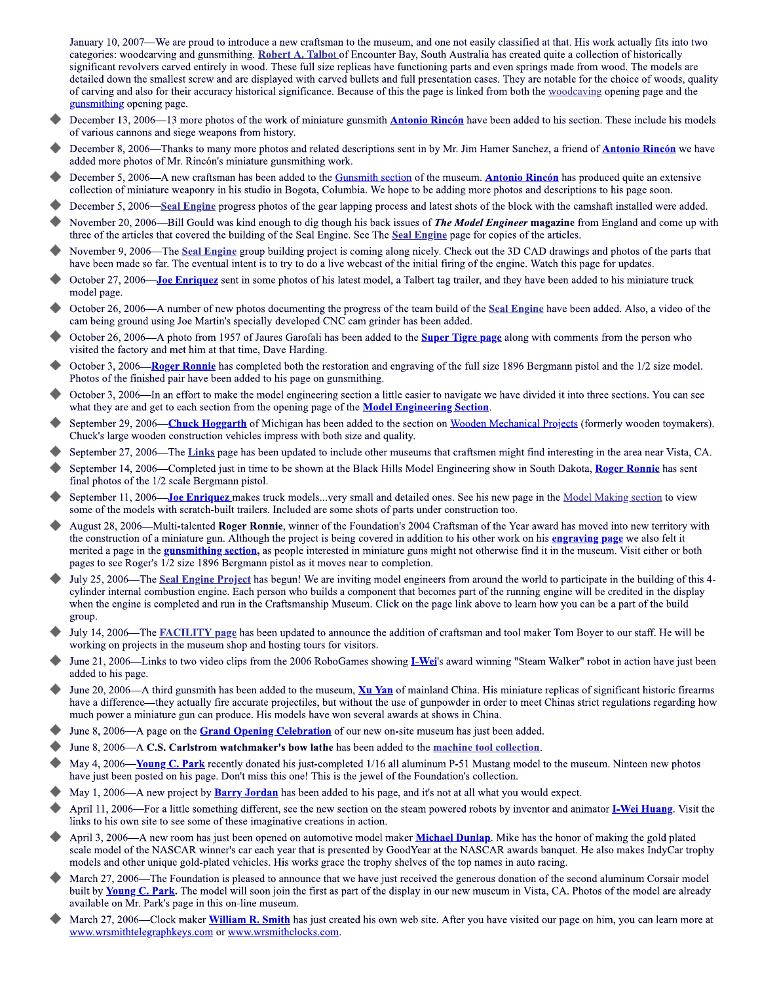January 10, 2007—We are proud to introduce a new craftsman to the museum, and one not easily classified at that. His work actually fits into two categories: woodcarving and gunsmithing. Robert A. Talbot of Encounter Bay, South Australia has created quite a collection of historically significant revolvers carved entirely in wood. These full size replicas have functioning parts and even springs made from wood. The models are detailed down the smallest screw and are displayed with carved bullets and full presentation cases. They are notable for the choice of woods, quality of carving and also for their accuracy historical significance. Because of this the page is linked from both the woodcaving opening page and the gunsmithing opening page.

- December 13, 2006—13 more photos of the work of miniature gunsmith **Antonio Rincón** have been added to his section. These include his models of various cannons and siege weapons from history.
- December 8, 2006—Thanks to many more photos and related descriptions sent in by Mr. Jim Hamer Sanchez, a friend of **Antonio Rincón** we have added more photos of Mr. Rincón's miniature gunsmithing work.
- December 5, 2006—A new craftsman has been added to the Gunsmith section of the museum. Antonio Rincón has produced quite an extensive collection of miniature weaponry in his studio in Bogota, Columbia. We hope to be adding more photos and descriptions to his page soon.
- December 5, 2006—Seal Engine progress photos of the gear lapping process and latest shots of the block with the camshaft installed were added.
- November 20, 2006—Bill Gould was kind enough to dig though his back issues of *The Model Engineer* magazine from England and come up with three of the articles that covered the building of the Seal Engine. See The Seal Engine page for copies of the articles.
- November 9, 2006—The Seal Engine group building project is coming along nicely. Check out the 3D CAD drawings and photos of the parts that have been made so far. The eventual intent is to try to do a live webcast of the initial firing of the engine. Watch this page for updates.
- October 27, 2006—Joe Enriquez sent in some photos of his latest model, a Talbert tag trailer, and they have been added to his miniature truck model page.
- October 26, 2006—A number of new photos documenting the progress of the team build of the Seal Engine have been added. Also, a video of the cam being ground using Joe Martin's specially developed CNC cam grinder has been added.
- October 26, 2006—A photo from 1957 of Jaures Garofali has been added to the **Super Tigre page** along with comments from the person who visited the factory and met him at that time, Dave Harding.
- October 3, 2006—Roger Ronnie has completed both the restoration and engraving of the full size 1896 Bergmann pistol and the 1/2 size model. Photos of the finished pair have been added to his page on gunsmithing.
- October 3, 2006—In an effort to make the model engineering section a little easier to navigate we have divided it into three sections. You can see what they are and get to each section from the opening page of the **Model Engineering Section**.
- September 29, 2006—Chuck Hoggarth of Michigan has been added to the section on Wooden Mechanical Projects (formerly wooden toymakers). Chuck's large wooden construction vehicles impress with both size and quality.
- September 27, 2006—The Links page has been updated to include other museums that craftsmen might find interesting in the area near Vista, CA.
- September 14, 2006—Completed just in time to be shown at the Black Hills Model Engineering show in South Dakota, Roger Ronnie has sent final photos of the 1/2 scale Bergmann pistol.
- September 11, 2006—Joe Enriquez makes truck models...very small and detailed ones. See his new page in the Model Making section to view some of the models with scratch-built trailers. Included are some shots of parts under construction too.
- August 28, 2006—Multi-talented Roger Ronnie, winner of the Foundation's 2004 Craftsman of the Year award has moved into new territory with the construction of a miniature gun. Although the project is being covered in addition to his other work on his engraving page we also felt it merited a page in the **gunsmithing section**, as people interested in miniature guns might not otherwise find it in the museum. Visit either or both pages to see Roger's 1/2 size 1896 Bergmann pistol as it moves near to completion.
- July 25, 2006—The Seal Engine Project has begun! We are inviting model engineers from around the world to participate in the building of this 4cylinder internal combustion engine. Each person who builds a component that becomes part of the running engine will be credited in the display when the engine is completed and run in the Craftsmanship Museum. Click on the page link above to learn how you can be a part of the build group.
- July 14, 2006—The FACILITY page has been updated to announce the addition of craftsman and tool maker Tom Boyer to our staff. He will be working on projects in the museum shop and hosting tours for visitors.
- June 21, 2006—Links to two video clips from the 2006 RoboGames showing **I-Wei**'s award winning "Steam Walker" robot in action have just been added to his page.
- June 20, 2006—A third gunsmith has been added to the museum, Xu Yan of mainland China. His miniature replicas of significant historic firearms have a difference—they actually fire accurate projectiles, but without the use of gunpowder in order to meet Chinas strict regulations regarding how much power a miniature gun can produce. His models have won several awards at shows in China.
- June 8, 2006—A page on the **Grand Opening Celebration** of our new on-site museum has just been added.
- June 8, 2006—A C.S. Carlstrom watchmaker's bow lathe has been added to the machine tool collection.
- May 4, 2006—Young C. Park recently donated his just-completed 1/16 all aluminum P-51 Mustang model to the museum. Ninteen new photos have just been posted on his page. Don't miss this one! This is the jewel of the Foundation's collection.
- May 1, 2006—A new project by **Barry Jordan** has been added to his page, and it's not at all what you would expect.
- April 11, 2006—For a little something different, see the new section on the steam powered robots by inventor and animator **I-Wei Huang**. Visit the links to his own site to see some of these imaginative creations in action.
- April 3, 2006—A new room has just been opened on automotive model maker Michael Dunlap. Mike has the honor of making the gold plated scale model of the NASCAR winner's car each year that is presented by GoodYear at the NASCAR awards banquet. He also makes IndyCar trophy models and other unique gold-plated vehicles. His works grace the trophy shelves of the top names in auto racing.
- March 27, 2006—The Foundation is pleased to announce that we have just received the generous donation of the second aluminum Corsair model built by **Young C. Park.** The model will soon join the first as part of the display in our new museum in Vista, CA. Photos of the model are already available on Mr. Park's page in this on-line museum.
- March 27, 2006—Clock maker William R. Smith has just created his own web site. After you have visited our page on him, you can learn more at www.wrsmithtelegraphkeys.com or www.wrsmithclocks.com.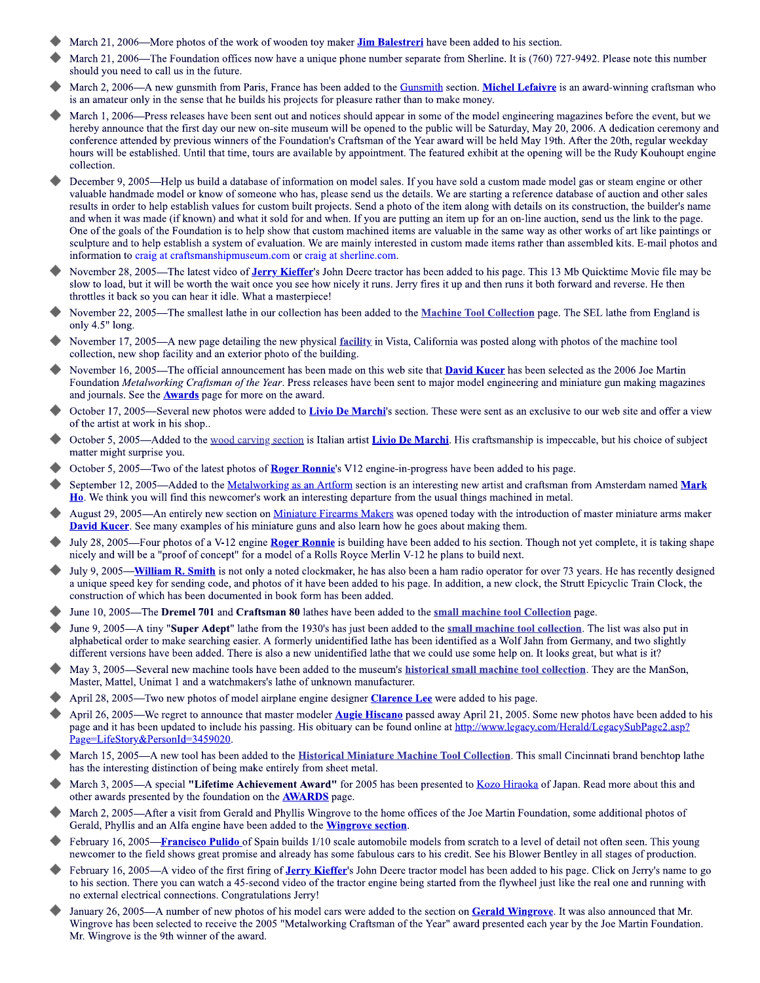- March 21, 2006—More photos of the work of wooden toy maker **Jim Balestreri** have been added to his section.
- March 21, 2006—The Foundation offices now have a unique phone number separate from Sherline. It is (760) 727-9492. Please note this number should you need to call us in the future.
- March 2, 2006—A new gunsmith from Paris, France has been added to the Gunsmith section. Michel Lefaivre is an award-winning craftsman who is an amateur only in the sense that he builds his projects for pleasure rather than to make money.
- March 1, 2006—Press releases have been sent out and notices should appear in some of the model engineering magazines before the event, but we hereby announce that the first day our new on-site museum will be opened to the public will be Saturday, May 20, 2006. A dedication ceremony and conference attended by previous winners of the Foundation's Craftsman of the Year award will be held May 19th. After the 20th, regular weekday hours will be established. Until that time, tours are available by appointment. The featured exhibit at the opening will be the Rudy Kouhoupt engine collection.
- December 9, 2005—Help us build a database of information on model sales. If you have sold a custom made model gas or steam engine or other valuable handmade model or know of someone who has, please send us the details. We are starting a reference database of auction and other sales results in order to help establish values for custom built projects. Send a photo of the item along with details on its construction, the builder's name and when it was made (if known) and what it sold for and when. If you are putting an item up for an on-line auction, send us the link to the page. One of the goals of the Foundation is to help show that custom machined items are valuable in the same way as other works of art like paintings or sculpture and to help establish a system of evaluation. We are mainly interested in custom made items rather than assembled kits. E-mail photos and information to craig at craftsmanshipmuseum.com or craig at sherline.com.
- November 28, 2005—The latest video of **Jerry Kieffer'**s John Deere tractor has been added to his page. This 13 Mb Quicktime Movie file may be slow to load, but it will be worth the wait once you see how nicely it runs. Jerry fires it up and then runs it both forward and reverse. He then throttles it back so you can hear it idle. What a masterpiece!
- November 22, 2005—The smallest lathe in our collection has been added to the Machine Tool Collection page. The SEL lathe from England is only 4.5" long.
- November 17, 2005—A new page detailing the new physical facility in Vista, California was posted along with photos of the machine tool collection, new shop facility and an exterior photo of the building.
- November 16, 2005—The official announcement has been made on this web site that **David Kucer** has been selected as the 2006 Joe Martin Foundation Metalworking Craftsman of the Year. Press releases have been sent to major model engineering and miniature gun making magazines and journals. See the **Awards** page for more on the award.
- October 17, 2005—Several new photos were added to Livio De Marchi's section. These were sent as an exclusive to our web site and offer a view of the artist at work in his shop..
- October 5, 2005—Added to the wood carving section is Italian artist Livio De Marchi. His craftsmanship is impeccable, but his choice of subject matter might surprise you.
- October 5, 2005—Two of the latest photos of **Roger Ronnie's** V12 engine-in-progress have been added to his page.
- September 12, 2005—Added to the Metalworking as an Artform section is an interesting new artist and craftsman from Amsterdam named Mark Ho. We think you will find this newcomer's work an interesting departure from the usual things machined in metal.
- August 29, 2005—An entirely new section on Miniature Firearms Makers was opened today with the introduction of master miniature arms maker **David Kucer**. See many examples of his miniature guns and also learn how he goes about making them.
- July 28, 2005—Four photos of a V-12 engine Roger Ronnie is building have been added to his section. Though not yet complete, it is taking shape nicely and will be a "proof of concept" for a model of a Rolls Royce Merlin V-12 he plans to build next.
- July 9, 2005—**William R. Smith** is not only a noted clockmaker, he has also been a ham radio operator for over 73 years. He has recently designed a unique speed key for sending code, and photos of it have been added to his page. In addition, a new clock, the Strutt Epicyclic Train Clock, the construction of which has been documented in book form has been added.
- June 10, 2005—The Dremel 701 and Craftsman 80 lathes have been added to the small machine tool Collection page.
- June 9, 2005—A tiny "Super Adept" lathe from the 1930's has just been added to the small machine tool collection. The list was also put in alphabetical order to make searching easier. A formerly unidentified lathe has been identified as a Wolf Jahn from Germany, and two slightly different versions have been added. There is also a new unidentified lathe that we could use some help on. It looks great, but what is it?
- May 3, 2005—Several new machine tools have been added to the museum's **historical small machine tool collection**. They are the ManSon, Master, Mattel, Unimat 1 and a watchmakers's lathe of unknown manufacturer.
- April 28, 2005—Two new photos of model airplane engine designer **Clarence Lee** were added to his page.
- April 26, 2005—We regret to announce that master modeler Augie Hiscano passed away April 21, 2005. Some new photos have been added to his page and it has been updated to include his passing. His obituary can be found online at http://www.legacy.com/Herald/LegacySubPage2.asp? Page=LifeStory&PersonId=3459020.
- March 15, 2005—A new tool has been added to the **Historical Miniature Machine Tool Collection**. This small Cincinnati brand benchtop lathe has the interesting distinction of being make entirely from sheet metal.
- March 3, 2005—A special "Lifetime Achievement Award" for 2005 has been presented to Kozo Hiraoka of Japan. Read more about this and other awards presented by the foundation on the **AWARDS** page.
- March 2, 2005—After a visit from Gerald and Phyllis Wingrove to the home offices of the Joe Martin Foundation, some additional photos of Gerald, Phyllis and an Alfa engine have been added to the **Wingrove section**.
- February 16, 2005—Francisco Pulido of Spain builds 1/10 scale automobile models from scratch to a level of detail not often seen. This young newcomer to the field shows great promise and already has some fabulous cars to his credit. See his Blower Bentley in all stages of production.
- February 16, 2005—A video of the first firing of Jerry Kieffer's John Deere tractor model has been added to his page. Click on Jerry's name to go to his section. There you can watch a 45-second video of the tractor engine being started from the flywheel just like the real one and running with no external electrical connections. Congratulations Jerry!
- January 26, 2005—A number of new photos of his model cars were added to the section on Gerald Wingrove. It was also announced that Mr. Wingrove has been selected to receive the 2005 "Metalworking Craftsman of the Year" award presented each year by the Joe Martin Foundation. Mr. Wingrove is the 9th winner of the award.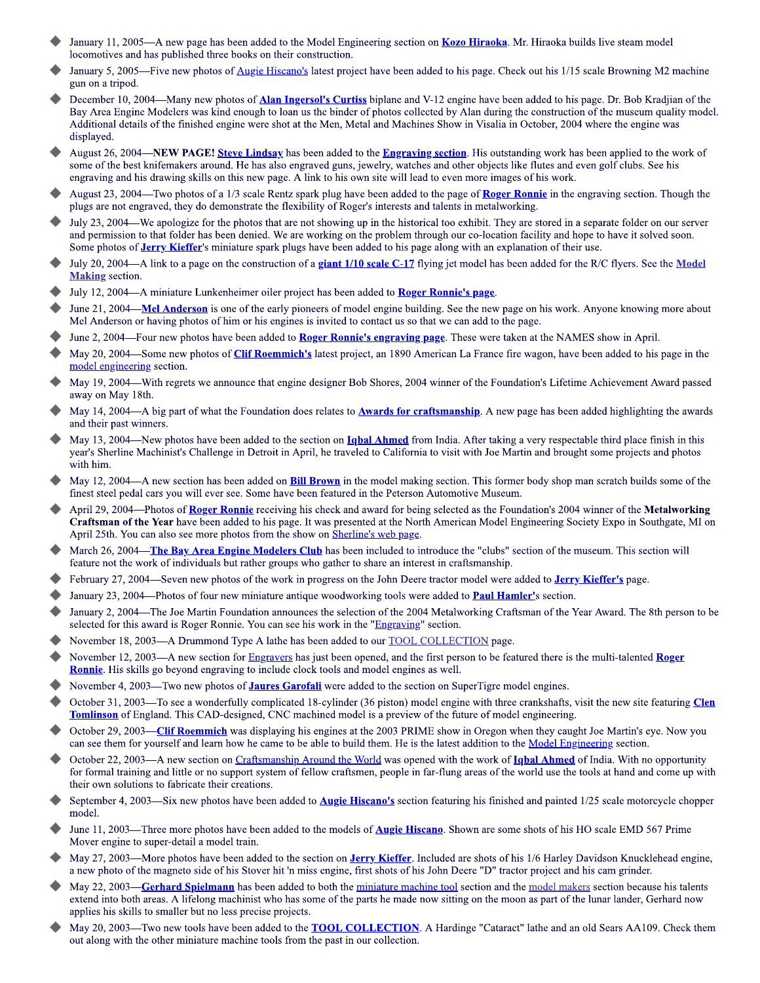- January 11, 2005—A new page has been added to the Model Engineering section on **Kozo Hiraoka**. Mr. Hiraoka builds live steam model locomotives and has published three books on their construction.
- January 5, 2005—Five new photos of Augie Hiscano's latest project have been added to his page. Check out his 1/15 scale Browning M2 machine gun on a tripod.
- December 10, 2004—Many new photos of **Alan Ingersol's Curtiss** biplane and V-12 engine have been added to his page. Dr. Bob Kradjian of the Bay Area Engine Modelers was kind enough to loan us the binder of photos collected by Alan during the construction of the museum quality model. Additional details of the finished engine were shot at the Men, Metal and Machines Show in Visalia in October, 2004 where the engine was displayed.
- August 26, 2004—NEW PAGE! Steve Lindsay has been added to the Engraving section. His outstanding work has been applied to the work of some of the best knifemakers around. He has also engraved guns, jewelry, watches and other objects like flutes and even golf clubs. See his engraving and his drawing skills on this new page. A link to his own site will lead to even more images of his work.
- August 23, 2004—Two photos of a 1/3 scale Rentz spark plug have been added to the page of Roger Ronnie in the engraving section. Though the plugs are not engraved, they do demonstrate the flexibility of Roger's interests and talents in metalworking.
- July 23, 2004—We apologize for the photos that are not showing up in the historical too exhibit. They are stored in a separate folder on our server and permission to that folder has been denied. We are working on the problem through our co-location facility and hope to have it solved soon. Some photos of **Jerry Kieffer's** miniature spark plugs have been added to his page along with an explanation of their use.
- July 20, 2004—A link to a page on the construction of a giant  $1/10$  scale C-17 flying jet model has been added for the R/C flyers. See the Model **Making** section.
- July 12, 2004—A miniature Lunkenheimer oiler project has been added to Roger Ronnie's page.
- June 21, 2004—Mel Anderson is one of the early pioneers of model engine building. See the new page on his work. Anyone knowing more about Mel Anderson or having photos of him or his engines is invited to contact us so that we can add to the page.
- June 2, 2004—Four new photos have been added to **Roger Ronnie's engraving page**. These were taken at the NAMES show in April.
- May 20, 2004—Some new photos of Clif Roemmich's latest project, an 1890 American La France fire wagon, have been added to his page in the model engineering section.
- May 19, 2004—With regrets we announce that engine designer Bob Shores, 2004 winner of the Foundation's Lifetime Achievement Award passed away on May 18th.
- May 14, 2004—A big part of what the Foundation does relates to **Awards for craftsmanship**. A new page has been added highlighting the awards and their past winners.
- May 13, 2004—New photos have been added to the section on **Ighal Ahmed** from India. After taking a very respectable third place finish in this year's Sherline Machinist's Challenge in Detroit in April, he traveled to California to visit with Joe Martin and brought some projects and photos with him.
- May 12, 2004—A new section has been added on **Bill Brown** in the model making section. This former body shop man scratch builds some of the finest steel pedal cars you will ever see. Some have been featured in the Peterson Automotive Museum.
- April 29, 2004—Photos of Roger Ronnie receiving his check and award for being selected as the Foundation's 2004 winner of the Metalworking Craftsman of the Year have been added to his page. It was presented at the North American Model Engineering Society Expo in Southgate, MI on April 25th. You can also see more photos from the show on Sherline's web page.
- March 26, 2004—The Bay Area Engine Modelers Club has been included to introduce the "clubs" section of the museum. This section will feature not the work of individuals but rather groups who gather to share an interest in craftsmanship.
- February 27, 2004—Seven new photos of the work in progress on the John Deere tractor model were added to Jerry Kieffer's page.
- January 23, 2004—Photos of four new miniature antique woodworking tools were added to **Paul Hamler's** section.
- January 2, 2004—The Joe Martin Foundation announces the selection of the 2004 Metalworking Craftsman of the Year Award. The 8th person to be selected for this award is Roger Ronnie. You can see his work in the "Engraving" section.
- November 18, 2003-A Drummond Type A lathe has been added to our **TOOL COLLECTION** page.
- November 12, 2003-A new section for Engravers has just been opened, and the first person to be featured there is the multi-talented Roger Ronnie. His skills go beyond engraving to include clock tools and model engines as well.
- November 4, 2003—Two new photos of **Jaures Garofali** were added to the section on SuperTigre model engines.
- October 31, 2003—To see a wonderfully complicated 18-cylinder (36 piston) model engine with three crankshafts, visit the new site featuring Clen **Tomlinson** of England. This CAD-designed, CNC machined model is a preview of the future of model engineering.
- October 29, 2003—Clif Roemmich was displaying his engines at the 2003 PRIME show in Oregon when they caught Joe Martin's eye. Now you can see them for yourself and learn how he came to be able to build them. He is the latest addition to the Model Engineering section.
- October 22, 2003—A new section on Craftsmanship Around the World was opened with the work of **Ighal Ahmed** of India. With no opportunity for formal training and little or no support system of fellow craftsmen, people in far-flung areas of the world use the tools at hand and come up with their own solutions to fabricate their creations.
- September 4, 2003—Six new photos have been added to **Augie Hiscano's** section featuring his finished and painted  $1/25$  scale motorcycle chopper model.
- June 11, 2003—Three more photos have been added to the models of Augie Hiscano. Shown are some shots of his HO scale EMD 567 Prime Mover engine to super-detail a model train.
- May 27, 2003—More photos have been added to the section on Jerry Kieffer. Included are shots of his 1/6 Harley Davidson Knucklehead engine, a new photo of the magneto side of his Stover hit 'n miss engine, first shots of his John Deere "D" tractor project and his cam grinder.
- May 22, 2003—Gerhard Spielmann has been added to both the miniature machine tool section and the model makers section because his talents extend into both areas. A lifelong machinist who has some of the parts he made now sitting on the moon as part of the lunar lander, Gerhard now applies his skills to smaller but no less precise projects.
- May 20, 2003—Two new tools have been added to the **TOOL COLLECTION**. A Hardinge "Cataract" lathe and an old Sears AA109. Check them out along with the other miniature machine tools from the past in our collection.